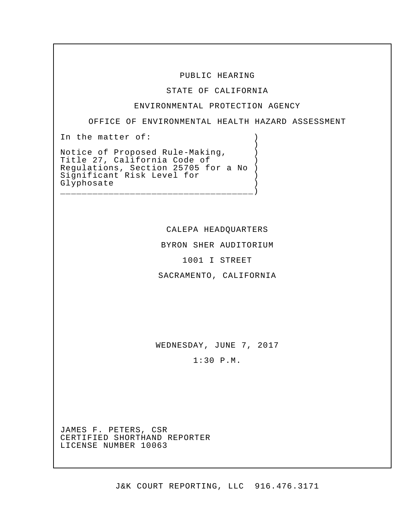### PUBLIC HEARING

STATE OF CALIFORNIA

#### ENVIRONMENTAL PROTECTION AGENCY

OFFICE OF ENVIRONMENTAL HEALTH HAZARD ASSESSMENT

)

In the matter of:  $\qquad \qquad$  )

Notice of Proposed Rule-Making,  $\qquad)$ Title 27, California Code of (1976) Significant Risk Level for (1) Regulations, Section 25705 for a No ) Glyphosate

CALEPA HEADQUARTERS

BYRON SHER AUDITORIUM

1001 I STREET

SACRAMENTO, CALIFORNIA

WEDNESDAY, JUNE 7, 2017

1:30 P.M.

 JAMES F. PETERS, CSR LICENSE NUMBER 10063 CERTIFIED SHORTHAND REPORTER LICENSE NUMBER 10063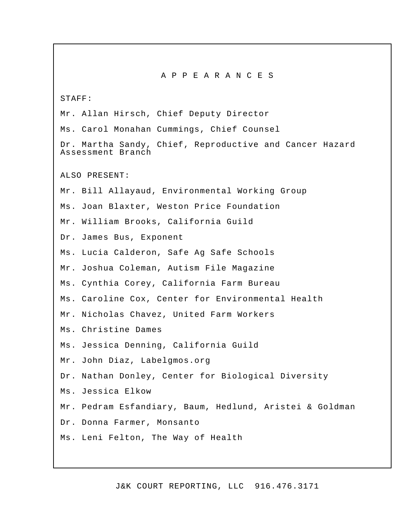A P P E A R A N C E S

STAFF:

Mr. Allan Hirsch, Chief Deputy Director Ms. Carol Monahan Cummings, Chief Counsel Dr. Martha Sandy, Chief, Reproductive and Cancer Hazard Assessment Branch ALSO PRESENT: Mr. Bill Allayaud, Environmental Working Group Ms. Joan Blaxter, Weston Price Foundation Mr. William Brooks, California Guild Dr. James Bus, Exponent Ms. Lucia Calderon, Safe Ag Safe Schools Mr. Joshua Coleman, Autism File Magazine Ms. Cynthia Corey, California Farm Bureau Ms. Caroline Cox, Center for Environmental Health Mr. Nicholas Chavez, United Farm Workers Ms. Christine Dames Ms. Jessica Denning, California Guild Mr. John Diaz, [Labelgmos.org](http:Labelgmos.org) Dr. Nathan Donley, Center for Biological Diversity Ms. Jessica Elkow Mr. Pedram Esfandiary, Baum, Hedlund, Aristei & Goldman Dr. Donna Farmer, Monsanto Ms. Leni Felton, The Way of Health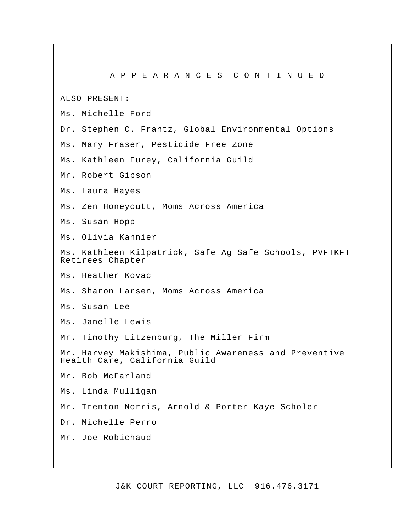A P P E A R A N C E S C O N T I N U E D ALSO PRESENT: Ms. Michelle Ford Dr. Stephen C. Frantz, Global Environmental Options Ms. Mary Fraser, Pesticide Free Zone Ms. Kathleen Furey, California Guild Mr. Robert Gipson Ms. Laura Hayes Ms. Zen Honeycutt, Moms Across America Ms. Susan Hopp Ms. Olivia Kannier Ms. Kathleen Kilpatrick, Safe Ag Safe Schools, PVFTKFT Retirees Chapter I Ms. Heather Kovac Ms. Sharon Larsen, Moms Across America Ms. Susan Lee Ms. Janelle Lewis Mr. Timothy Litzenburg, The Miller Firm Mr. Harvey Makishima, Public Awareness and Preventive Health Care, California Guild Mr. Bob McFarland Ms. Linda Mulligan Mr. Trenton Norris, Arnold & Porter Kaye Scholer Dr. Michelle Perro Mr. Joe Robichaud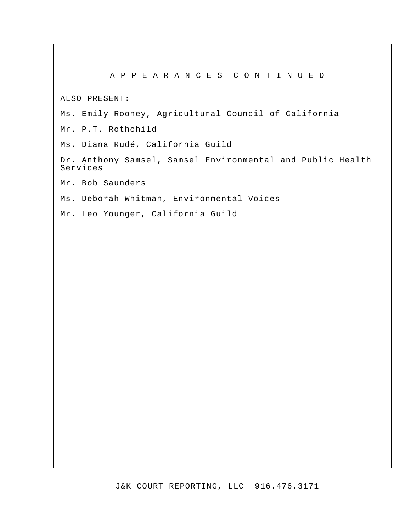# A P P E A R A N C E S C O N T I N U E D

ALSO PRESENT:

Ms. Emily Rooney, Agricultural Council of California

Mr. P.T. Rothchild

Ms. Diana Rudé, California Guild

Dr. Anthony Samsel, Samsel Environmental and Public Health Services

Mr. Bob Saunders

Ms. Deborah Whitman, Environmental Voices

Mr. Leo Younger, California Guild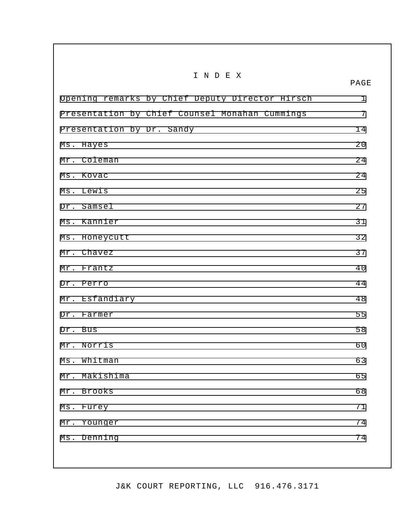| INDEX                                           | PAGE        |
|-------------------------------------------------|-------------|
| Opening remarks by Chief Deputy Director Hirsch | $\mathbf 1$ |
| Presentation by Chief Counsel Monahan Cummings  | 7           |
| Presentation by Dr. Sandy                       | 14          |
| Ms. Hayes                                       | 20          |
| Mr. Coleman                                     | 24          |
| Ms. Kovac                                       | 24          |
| Ms. Lewis                                       | 25          |
| Dr. Samsel                                      | 27          |
| Ms. Kannier                                     | 31          |
| Ms. Honeycutt                                   | 32          |
| Mr. Chavez                                      | 37          |
| Mr. Frantz                                      | 40          |
| Dr. Perro                                       | 44          |
| Mr. Esfandiary                                  | 48          |
| Dr. Farmer                                      | 55          |
| Dr. Bus                                         | 58          |
| Mr. Norris                                      | 60          |
| Whitman<br>$Ms$ .                               | 63          |
| Mr.<br>Makishima                                | 65          |
| Mr. Brooks                                      | 68          |
| $Ms$ .<br>Furey                                 | 71          |
| Younger<br>$Mr$ .                               | 74          |
| Denning<br>$Ms$ .                               | 74          |
|                                                 |             |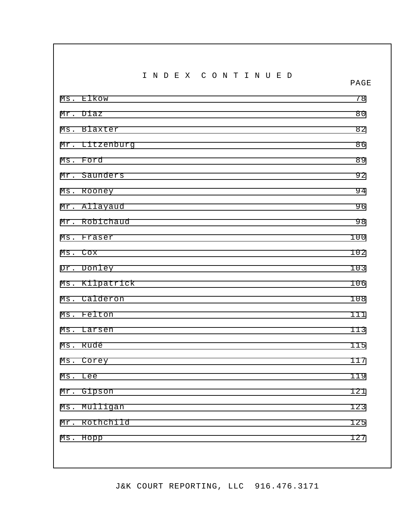I N D E X C O N T I N U E D

PAGE

Ms. Elkow 78 Mr. Diaz 80 Ms. Blaxter 82 Mr. Litzenburg 86 Ms. Ford 39 Mr. Saunders 92 Ms. Rooney 94 Mr. Allayaud 96 Mr. Robichaud 98 Ms. Fraser 100 Ms. Cox 102 Dr. Donley 103 Ms. Kilpatrick 106 Ms. Calderon 108 Ms. Felton 111 Ms. Larsen 113 Ms. Rudé 115 Ms. Corey 117 Ms. Lee 119 Mr. Gipson 121 Ms. Mulligan 123 Mr. Rothchild 125 Ms. Hopp 127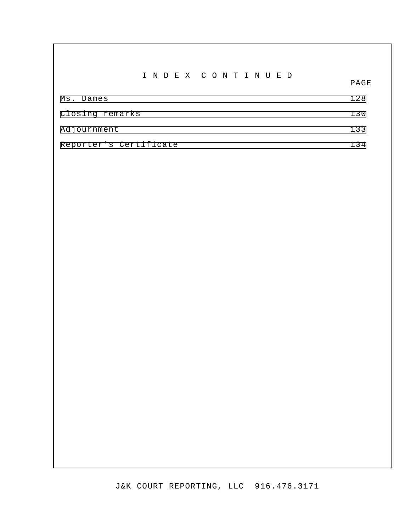I N D E X C O N T I N U E D

PAGE

| Ms. Dames              | 128 |
|------------------------|-----|
| Closing remarks        | 130 |
| Adjournment            | 133 |
| Reporter's Certificate | 134 |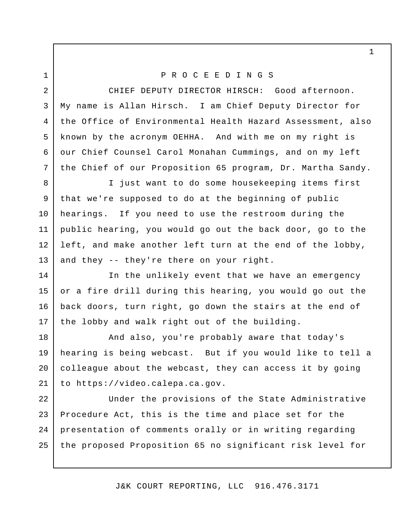# P R O C E E D I N G S

 CHIEF DEPUTY DIRECTOR HIRSCH: Good afternoon. My name is Allan Hirsch. I am Chief Deputy Director for the Office of Environmental Health Hazard Assessment, also known by the acronym OEHHA. And with me on my right is our Chief Counsel Carol Monahan Cummings, and on my left the Chief of our Proposition 65 program, Dr. Martha Sandy.

 I just want to do some housekeeping items first that we're supposed to do at the beginning of public hearings. If you need to use the restroom during the public hearing, you would go out the back door, go to the left, and make another left turn at the end of the lobby, and they -- they're there on your right. 8

 In the unlikely event that we have an emergency or a fire drill during this hearing, you would go out the back doors, turn right, go down the stairs at the end of the lobby and walk right out of the building.

 And also, you're probably aware that today's hearing is being webcast. But if you would like to tell a colleague about the webcast, they can access it by going to [https://video.calepa.ca.gov](http:https://video.calepa.ca.gov).

 Under the provisions of the State Administrative Procedure Act, this is the time and place set for the presentation of comments orally or in writing regarding the proposed Proposition 65 no significant risk level for 22 23 24 25

J&K COURT REPORTING, LLC 916.476.3171

1

1

2

3

4

5

6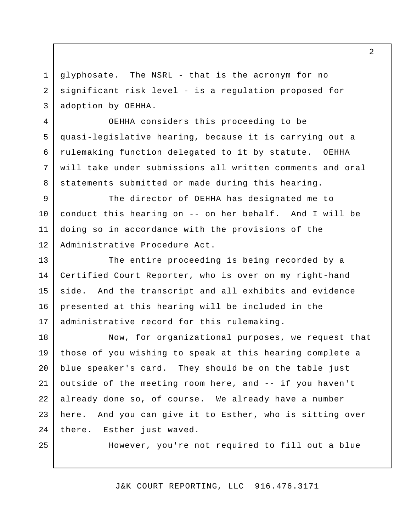glyphosate. The NSRL - that is the acronym for no significant risk level - is a regulation proposed for adoption by OEHHA. 3

 OEHHA considers this proceeding to be quasi-legislative hearing, because it is carrying out a rulemaking function delegated to it by statute. OEHHA will take under submissions all written comments and oral statements submitted or made during this hearing.

 The director of OEHHA has designated me to conduct this hearing on -- on her behalf. And I will be doing so in accordance with the provisions of the Administrative Procedure Act. 9 10 11 12

 The entire proceeding is being recorded by a Certified Court Reporter, who is over on my right-hand side. presented at this hearing will be included in the administrative record for this rulemaking. 13 14 15 16 17 And the transcript and all exhibits and evidence

 Now, for organizational purposes, we request that those of you wishing to speak at this hearing complete a blue speaker's card. They should be on the table just outside of the meeting room here, and -- if you haven't here. And you can give it to Esther, who is sitting over there. Esther just waved. 18 19 20 21 22 23 24 already done so, of course. We already have a number

25

1

2

4

5

6

7

8

However, you're not required to fill out a blue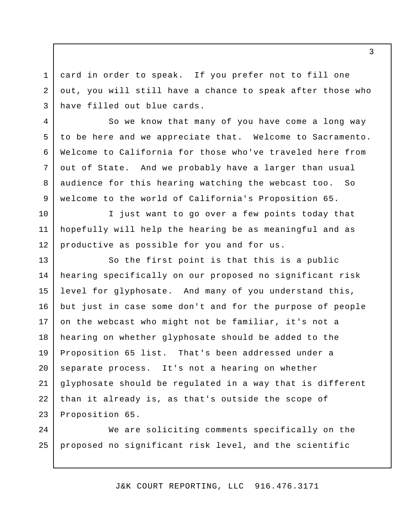card in order to speak. If you prefer not to fill one out, you will still have a chance to speak after those who have filled out blue cards. 3

1

2

4

5

6

7

8

9

10

11

12

 So we know that many of you have come a long way to be here and we appreciate that. Welcome to Sacramento. Welcome to California for those who've traveled here from out of State. And we probably have a larger than usual audience for this hearing watching the webcast too. So welcome to the world of California's Proposition 65.

 I just want to go over a few points today that hopefully will help the hearing be as meaningful and as productive as possible for you and for us.

 So the first point is that this is a public hearing specifically on our proposed no significant risk level for glyphosate. And many of you understand this, but just in case some don't and for the purpose of people on the webcast who might not be familiar, it's not a hearing on whether glyphosate should be added to the Proposition 65 list. That's been addressed under a separate process. It's not a hearing on whether glyphosate should be regulated in a way that is different than it already is, as that's outside the scope of Proposition 65. 13 14 15 16 17 18 19 20 21 22 23

 We are soliciting comments specifically on the proposed no significant risk level, and the scientific 24 25

J&K COURT REPORTING, LLC 916.476.3171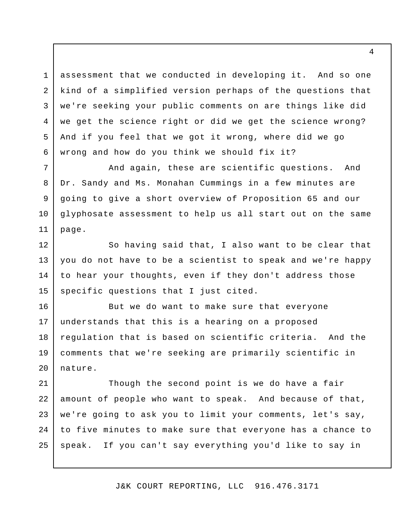assessment that we conducted in developing it. And so one kind of a simplified version perhaps of the questions that we're seeking your public comments on are things like did we get the science right or did we get the science wrong? And if you feel that we got it wrong, where did we go wrong and how do you think we should fix it?

1

2

3

4

5

6

7

8

9

10

11

 And again, these are scientific questions. And Dr. Sandy and Ms. Monahan Cummings in a few minutes are going to give a short overview of Proposition 65 and our glyphosate assessment to help us all start out on the same page.

 So having said that, I also want to be clear that you do not have to be a scientist to speak and we're happy to hear your thoughts, even if they don't address those specific questions that I just cited. 12 13 14 15

 But we do want to make sure that everyone understands that this is a hearing on a proposed regulation that is based on scientific criteria. And the comments that we're seeking are primarily scientific in 16 17 18 19 20 nature.

 Though the second point is we do have a fair amount of people who want to speak. And because of that, we're going to ask you to limit your comments, let's say, to five minutes to make sure that everyone has a chance to speak. If you can't say everything you'd like to say in 21 22 23 24 25

J&K COURT REPORTING, LLC 916.476.3171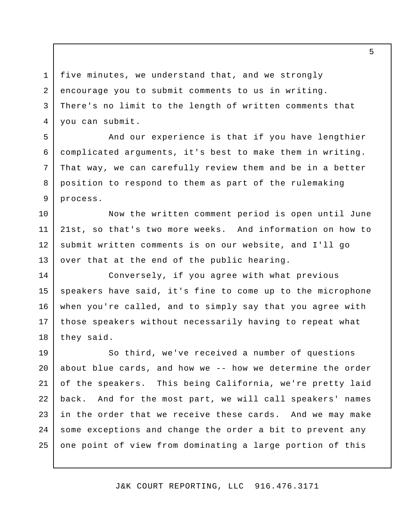five minutes, we understand that, and we strongly encourage you to submit comments to us in writing. There's no limit to the length of written comments that you can submit. 1 2 3 4

5

6

7

8

9

 And our experience is that if you have lengthier complicated arguments, it's best to make them in writing. That way, we can carefully review them and be in a better position to respond to them as part of the rulemaking process.

 Now the written comment period is open until June 21st, so that's two more weeks. And information on how to submit written comments is on our website, and I'll go over that at the end of the public hearing. 10 11 12 13

 Conversely, if you agree with what previous speakers have said, it's fine to come up to the microphone when you're called, and to simply say that you agree with those speakers without necessarily having to repeat what they said. 14 15 16 17 18

 So third, we've received a number of questions about blue cards, and how we -- how we determine the order of the speakers. This being California, we're pretty laid back. And for the most part, we will call speakers' names in the order that we receive these cards. And we may make some exceptions and change the order a bit to prevent any one point of view from dominating a large portion of this 19 20 21 22 23 24 25

J&K COURT REPORTING, LLC 916.476.3171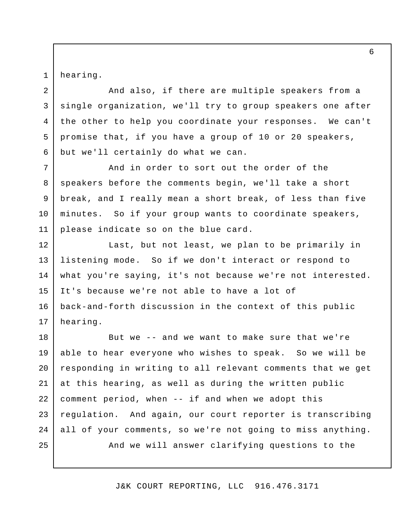hearing.

1

2

3

5

6

 And also, if there are multiple speakers from a single organization, we'll try to group speakers one after the other to help you coordinate your responses. We can't promise that, if you have a group of 10 or 20 speakers, but we'll certainly do what we can. 4

 And in order to sort out the order of the speakers before the comments begin, we'll take a short break, and I really mean a short break, of less than five minutes. So if your group wants to coordinate speakers, please indicate so on the blue card. 7 8 9 10 11

 Last, but not least, we plan to be primarily in listening mode. So if we don't interact or respond to what you're saying, it's not because we're not interested. It's because we're not able to have a lot of back-and-forth discussion in the context of this public 12 13 14 15 16 17 hearing.

 But we -- and we want to make sure that we're able to hear everyone who wishes to speak. So we will be responding in writing to all relevant comments that we get at this hearing, as well as during the written public comment period, when -- if and when we adopt this regulation. And again, our court reporter is transcribing all of your comments, so we're not going to miss anything. And we will answer clarifying questions to the 18 19 20 21 22 23 24 25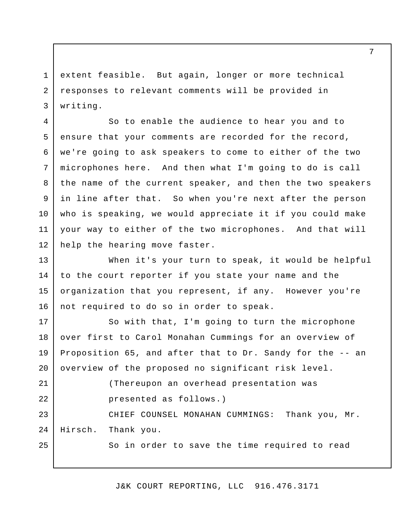extent feasible. But again, longer or more technical responses to relevant comments will be provided in 1 2 3 writing.

 So to enable the audience to hear you and to ensure that your comments are recorded for the record, we're going to ask speakers to come to either of the two microphones here. And then what I'm going to do is call the name of the current speaker, and then the two speakers in line after that. So when you're next after the person who is speaking, we would appreciate it if you could make your way to either of the two microphones. And that will help the hearing move faster. 4 5 6 7 8 9 10 11 12

 When it's your turn to speak, it would be helpful to the court reporter if you state your name and the organization that you represent, if any. However you're not required to do so in order to speak. 13 14 15 16

 So with that, I'm going to turn the microphone over first to Carol Monahan Cummings for an overview of Proposition 65, and after that to Dr. Sandy for the -- an overview of the proposed no significant risk level. 17 18 19 20

 (Thereupon an overhead presentation was presented as follows.) CHIEF COUNSEL MONAHAN CUMMINGS: Thank you, Mr. Hirsch. 21 22 23 24 25 Thank you.

So in order to save the time required to read

J&K COURT REPORTING, LLC 916.476.3171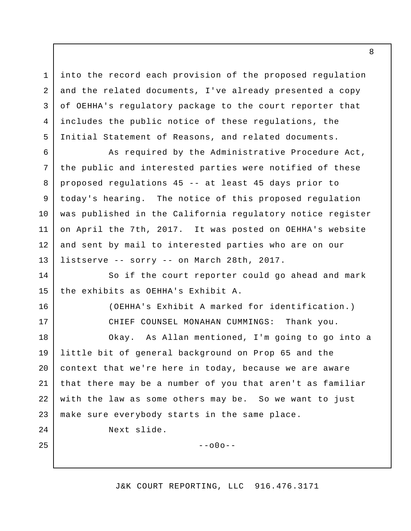into the record each provision of the proposed regulation and the related documents, I've already presented a copy of OEHHA's regulatory package to the court reporter that includes the public notice of these regulations, the Initial Statement of Reasons, and related documents.

 As required by the Administrative Procedure Act, the public and interested parties were notified of these proposed regulations 45 -- at least 45 days prior to today's hearing. The notice of this proposed regulation was published in the California regulatory notice register on April the 7th, 2017. It was posted on OEHHA's website and sent by mail to interested parties who are on our listserve -- sorry -- on March 28th, 2017. 6 7 8 9 10 11 12 13

 So if the court reporter could go ahead and mark the exhibits as OEHHA's Exhibit A. 14 15

> (OEHHA's Exhibit A marked for identification.) CHIEF COUNSEL MONAHAN CUMMINGS: Thank you.

 Okay. As Allan mentioned, I'm going to go into a little bit of general background on Prop 65 and the context that we're here in today, because we are aware that there may be a number of you that aren't as familiar with the law as some others may be. So we want to just make sure everybody starts in the same place. 18 19 20 21 22 23

Next slide.

1

2

3

4

5

16

17

24

25

 $--000--$ 

J&K COURT REPORTING, LLC 916.476.3171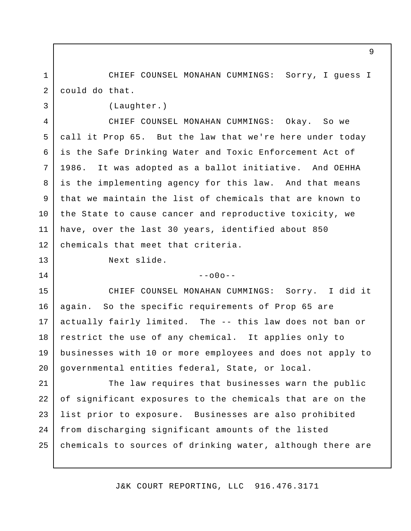CHIEF COUNSEL MONAHAN CUMMINGS: Sorry, I guess I could do that. 1 2

3

13

14

(Laughter.)

 CHIEF COUNSEL MONAHAN CUMMINGS: Okay. So we call it Prop 65. But the law that we're here under today is the Safe Drinking Water and Toxic Enforcement Act of 1986. is the implementing agency for this law. And that means that we maintain the list of chemicals that are known to the State to cause cancer and reproductive toxicity, we have, over the last 30 years, identified about 850 chemicals that meet that criteria. 4 5 6 7 8 9 10 11 12 It was adopted as a ballot initiative. And OEHHA

Next slide.

 $--000--$ 

 CHIEF COUNSEL MONAHAN CUMMINGS: Sorry. I did it again. So the specific requirements of Prop 65 are actually fairly limited. The -- this law does not ban or restrict the use of any chemical. It applies only to businesses with 10 or more employees and does not apply to governmental entities federal, State, or local. 15 16 17 18 19 20

 The law requires that businesses warn the public of significant exposures to the chemicals that are on the list prior to exposure. Businesses are also prohibited from discharging significant amounts of the listed chemicals to sources of drinking water, although there are 21 22 23 24 25

J&K COURT REPORTING, LLC 916.476.3171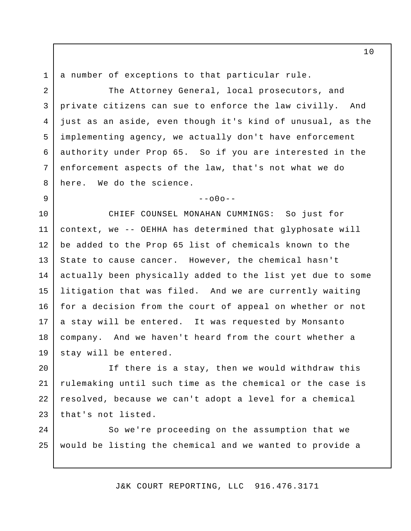a number of exceptions to that particular rule.

1

2

3

5

6

7

8

9

 The Attorney General, local prosecutors, and private citizens can sue to enforce the law civilly. And just as an aside, even though it's kind of unusual, as the implementing agency, we actually don't have enforcement authority under Prop 65. So if you are interested in the enforcement aspects of the law, that's not what we do here. We do the science. 4

 $-000-$ 

 CHIEF COUNSEL MONAHAN CUMMINGS: So just for context, we -- OEHHA has determined that glyphosate will be added to the Prop 65 list of chemicals known to the State to cause cancer. However, the chemical hasn't actually been physically added to the list yet due to some litigation that was filed. And we are currently waiting for a decision from the court of appeal on whether or not a stay will be entered. It was requested by Monsanto company. And we haven't heard from the court whether a stay will be entered. 10 11 12 13 14 15 16 17 18 19

 If there is a stay, then we would withdraw this rulemaking until such time as the chemical or the case is resolved, because we can't adopt a level for a chemical that's not listed. 20 21 22 23

 So we're proceeding on the assumption that we would be listing the chemical and we wanted to provide a 24 25

J&K COURT REPORTING, LLC 916.476.3171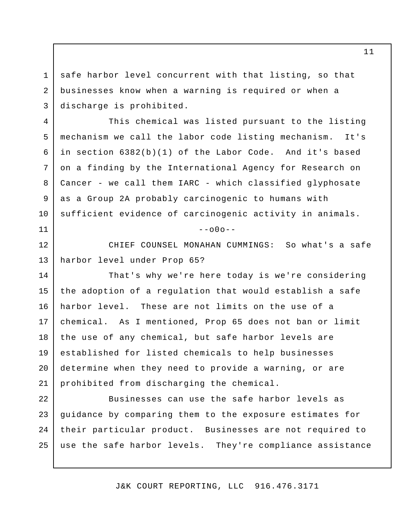safe harbor level concurrent with that listing, so that businesses know when a warning is required or when a discharge is prohibited. 3

1

2

4

5

6

7

8

9

10

11

 This chemical was listed pursuant to the listing mechanism we call the labor code listing mechanism. It's in section 6382(b)(1) of the Labor Code. And it's based on a finding by the International Agency for Research on Cancer - we call them IARC - which classified glyphosate as a Group 2A probably carcinogenic to humans with sufficient evidence of carcinogenic activity in animals.

 $-000-$ 

 CHIEF COUNSEL MONAHAN CUMMINGS: So what's a safe harbor level under Prop 65? 12 13

 That's why we're here today is we're considering the adoption of a regulation that would establish a safe harbor level. These are not limits on the use of a chemical. As I mentioned, Prop 65 does not ban or limit the use of any chemical, but safe harbor levels are established for listed chemicals to help businesses determine when they need to provide a warning, or are prohibited from discharging the chemical. 14 15 16 17 18 19 20 21

 Businesses can use the safe harbor levels as guidance by comparing them to the exposure estimates for their particular product. Businesses are not required to use the safe harbor levels. They're compliance assistance 22 23 24 25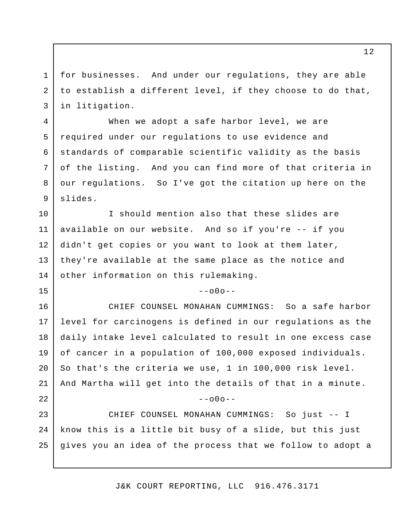for businesses. And under our regulations, they are able to establish a different level, if they choose to do that, in litigation.

1

2

3

4

5

6

7

8

9

15

25

 When we adopt a safe harbor level, we are required under our regulations to use evidence and standards of comparable scientific validity as the basis of the listing. And you can find more of that criteria in our regulations. So I've got the citation up here on the slides.

 I should mention also that these slides are available on our website. And so if you're -- if you didn't get copies or you want to look at them later, they're available at the same place as the notice and other information on this rulemaking. 10 11 12 13 14

 $--000--$ 

 CHIEF COUNSEL MONAHAN CUMMINGS: So a safe harbor level for carcinogens is defined in our regulations as the daily intake level calculated to result in one excess case of cancer in a population of 100,000 exposed individuals. So that's the criteria we use, 1 in 100,000 risk level. And Martha will get into the details of that in a minute. CHIEF COUNSEL MONAHAN CUMMINGS: So just -- I know this is a little bit busy of a slide, but this just 16 17 18 19 20 21 22 23 24  $--000--$ 

J&K COURT REPORTING, LLC 916.476.3171

gives you an idea of the process that we follow to adopt a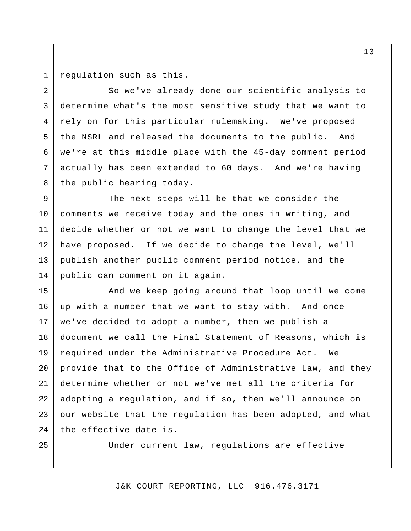1 2

3

5

6

7

8

regulation such as this.

 So we've already done our scientific analysis to determine what's the most sensitive study that we want to rely on for this particular rulemaking. We've proposed the NSRL and released the documents to the public. And we're at this middle place with the 45-day comment period actually has been extended to 60 days. And we're having the public hearing today. 4

 The next steps will be that we consider the comments we receive today and the ones in writing, and decide whether or not we want to change the level that we have proposed. If we decide to change the level, we'll publish another public comment period notice, and the public can comment on it again. 9 10 11 12 13 14

 And we keep going around that loop until we come up with a number that we want to stay with. And once we've decided to adopt a number, then we publish a document we call the Final Statement of Reasons, which is required under the Administrative Procedure Act. We provide that to the Office of Administrative Law, and they determine whether or not we've met all the criteria for adopting a regulation, and if so, then we'll announce on our website that the regulation has been adopted, and what the effective date is. 15 16 17 18 19 20 21 22 23 24

25

Under current law, regulations are effective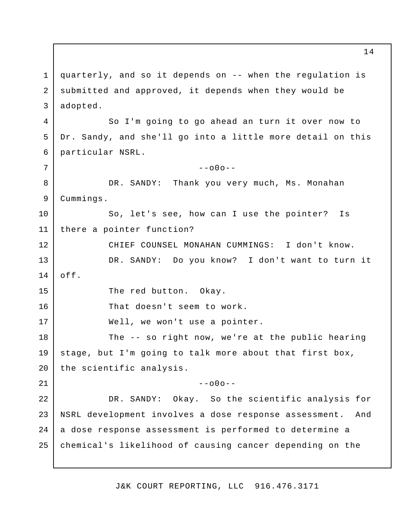quarterly, and so it depends on -- when the regulation is submitted and approved, it depends when they would be So I'm going to go ahead an turn it over now to Dr. Sandy, and she'll go into a little more detail on this particular NSRL. DR. SANDY: Thank you very much, Ms. Monahan So, let's see, how can I use the pointer? Is there a pointer function? CHIEF COUNSEL MONAHAN CUMMINGS: I don't know. DR. SANDY: Do you know? I don't want to turn it The red button. Okay. That doesn't seem to work. Well, we won't use a pointer. The -- so right now, we're at the public hearing stage, but I'm going to talk more about that first box, DR. SANDY: Okay. So the scientific analysis for NSRL development involves a dose response assessment. And a dose response assessment is performed to determine a chemical's likelihood of causing cancer depending on the 1 2 3 4 5 6 7 8 9 10 11 12 13 14 15 16 17 18 19 20 21 22 23 24 25 adopted.  $--000--$ Cummings. off. the scientific analysis.  $--000--$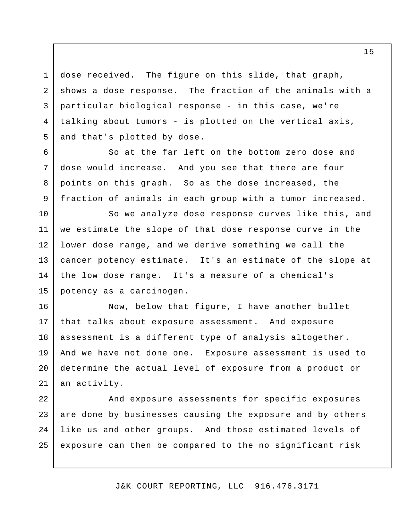dose received. The figure on this slide, that graph, shows a dose response. The fraction of the animals with a particular biological response - in this case, we're talking about tumors - is plotted on the vertical axis, and that's plotted by dose. 4 5

1

2

3

6

7

8

9

 So at the far left on the bottom zero dose and dose would increase. And you see that there are four points on this graph. So as the dose increased, the fraction of animals in each group with a tumor increased.

 So we analyze dose response curves like this, and we estimate the slope of that dose response curve in the lower dose range, and we derive something we call the cancer potency estimate. It's an estimate of the slope at the low dose range. It's a measure of a chemical's potency as a carcinogen. 10 11 12 13 14 15

 Now, below that figure, I have another bullet that talks about exposure assessment. And exposure assessment is a different type of analysis altogether. And we have not done one. Exposure assessment is used to determine the actual level of exposure from a product or 16 17 18 19 20 21 an activity.

 And exposure assessments for specific exposures are done by businesses causing the exposure and by others like us and other groups. And those estimated levels of exposure can then be compared to the no significant risk 22 23 24 25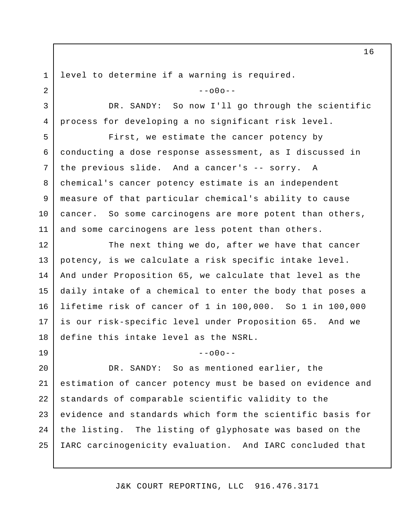1 2

3

4

19

level to determine if a warning is required.

 $-000-$ 

 DR. SANDY: So now I'll go through the scientific process for developing a no significant risk level.

 First, we estimate the cancer potency by conducting a dose response assessment, as I discussed in the previous slide. And a cancer's -- sorry. A chemical's cancer potency estimate is an independent measure of that particular chemical's ability to cause cancer. So some carcinogens are more potent than others, and some carcinogens are less potent than others. 5 6 7 8 9 10 11

 The next thing we do, after we have that cancer potency, is we calculate a risk specific intake level. And under Proposition 65, we calculate that level as the daily intake of a chemical to enter the body that poses a lifetime risk of cancer of 1 in 100,000. So 1 in 100,000 is our risk-specific level under Proposition 65. And we define this intake level as the NSRL. 12 13 14 15 16 17 18

 $--000--$ 

DR. SANDY: estimation of cancer potency must be based on evidence and standards of comparable scientific validity to the evidence and standards which form the scientific basis for the listing. The listing of glyphosate was based on the IARC carcinogenicity evaluation. And IARC concluded that 20 21 22 23 24 25 So as mentioned earlier, the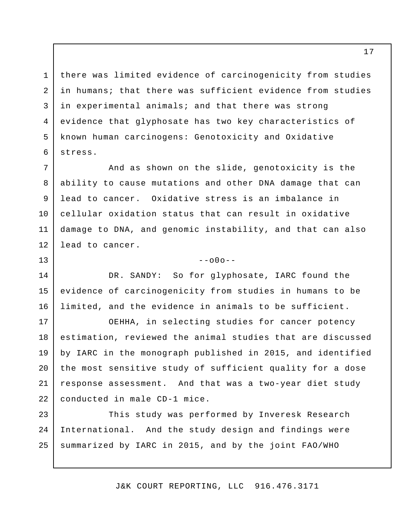there was limited evidence of carcinogenicity from studies in humans; that there was sufficient evidence from studies in experimental animals; and that there was strong evidence that glyphosate has two key characteristics of known human carcinogens: Genotoxicity and Oxidative 3 4 5 stress.

1

2

6

13

 And as shown on the slide, genotoxicity is the ability to cause mutations and other DNA damage that can lead to cancer. Oxidative stress is an imbalance in cellular oxidation status that can result in oxidative damage to DNA, and genomic instability, and that can also lead to cancer. 7 8 9 10 11 12

 $--000--$ 

 DR. SANDY: So for glyphosate, IARC found the evidence of carcinogenicity from studies in humans to be limited, and the evidence in animals to be sufficient. 14 15 16

 OEHHA, in selecting studies for cancer potency estimation, reviewed the animal studies that are discussed by IARC in the monograph published in 2015, and identified the most sensitive study of sufficient quality for a dose response assessment. And that was a two-year diet study conducted in male CD-1 mice. 17 18 19 20 21 22

 This study was performed by Inveresk Research International. And the study design and findings were summarized by IARC in 2015, and by the joint FAO/WHO 23 24 25

J&K COURT REPORTING, LLC 916.476.3171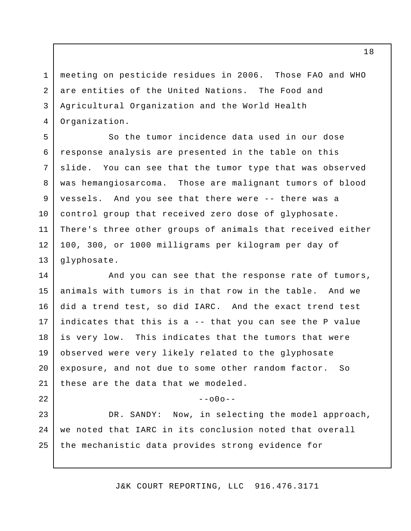meeting on pesticide residues in 2006. Those FAO and WHO are entities of the United Nations. The Food and Agricultural Organization and the World Health 1 2 3 4 Organization.

 So the tumor incidence data used in our dose response analysis are presented in the table on this slide. was hemangiosarcoma. Those are malignant tumors of blood vessels. And you see that there were -- there was a control group that received zero dose of glyphosate. There's three other groups of animals that received either 100, 300, or 1000 milligrams per kilogram per day of 5 6 7 11 12 13 You can see that the tumor type that was observed glyphosate.

8

9

10

22

 And you can see that the response rate of tumors, animals with tumors is in that row in the table. And we did a trend test, so did IARC. And the exact trend test indicates that this is a -- that you can see the P value is very low. This indicates that the tumors that were observed were very likely related to the glyphosate exposure, and not due to some other random factor. So these are the data that we modeled. 14 15 16 17 18 19 20 21

 $--000--$ 

 DR. SANDY: Now, in selecting the model approach, we noted that IARC in its conclusion noted that overall the mechanistic data provides strong evidence for 23 24 25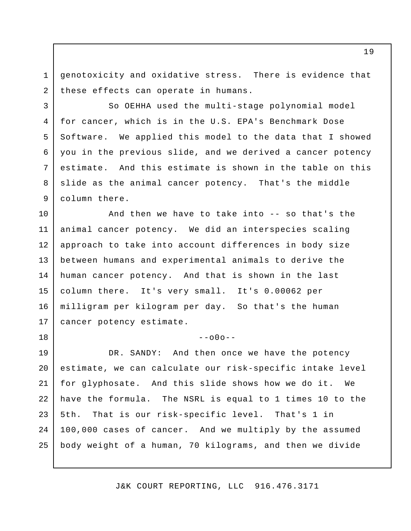genotoxicity and oxidative stress. There is evidence that these effects can operate in humans. 1 2

3

5

6

7

8

9

18

 So OEHHA used the multi-stage polynomial model for cancer, which is in the U.S. EPA's Benchmark Dose Software. We applied this model to the data that I showed you in the previous slide, and we derived a cancer potency estimate. slide as the animal cancer potency. That's the middle column there. 4 And this estimate is shown in the table on this

 And then we have to take into -- so that's the animal cancer potency. We did an interspecies scaling approach to take into account differences in body size between humans and experimental animals to derive the human cancer potency. And that is shown in the last column there. It's very small. It's 0.00062 per milligram per kilogram per day. So that's the human cancer potency estimate. 10 11 12 13 14 15 16 17

#### $--000--$

 DR. SANDY: And then once we have the potency estimate, we can calculate our risk-specific intake level for glyphosate. And this slide shows how we do it. We have the formula. The NSRL is equal to 1 times 10 to the  $5th.$  100,000 cases of cancer. And we multiply by the assumed body weight of a human, 70 kilograms, and then we divide 19 20 21 22 23 24 25 That is our risk-specific level. That's 1 in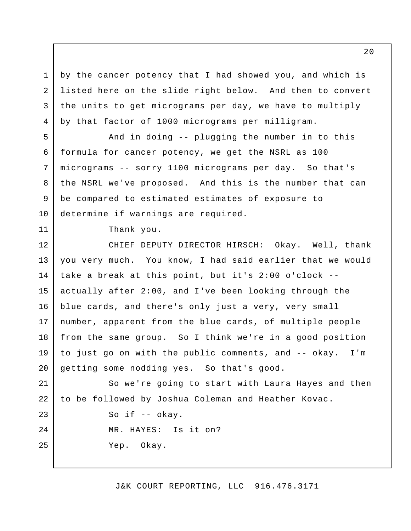by the cancer potency that I had showed you, and which is listed here on the slide right below. And then to convert the units to get micrograms per day, we have to multiply by that factor of 1000 micrograms per milligram. 4

 And in doing -- plugging the number in to this formula for cancer potency, we get the NSRL as 100 micrograms -- sorry 1100 micrograms per day. So that's the NSRL we've proposed. And this is the number that can be compared to estimated estimates of exposure to determine if warnings are required.

Thank you.

1

2

3

5

6

7

8

9

10

11

23

24

25

 CHIEF DEPUTY DIRECTOR HIRSCH: Okay. Well, thank you very much. You know, I had said earlier that we would take a break at this point, but it's 2:00 o'clock - actually after 2:00, and I've been looking through the blue cards, and there's only just a very, very small number, apparent from the blue cards, of multiple people from the same group. So I think we're in a good position to just go on with the public comments, and -- okay. I'm getting some nodding yes. So that's good. 12 13 14 15 16 17 18 19 20

 So we're going to start with Laura Hayes and then to be followed by Joshua Coleman and Heather Kovac. 21 22

So if -- okay.

MR. HAYES: Is it on?

Yep. Okay.

J&K COURT REPORTING, LLC 916.476.3171

 $2.0$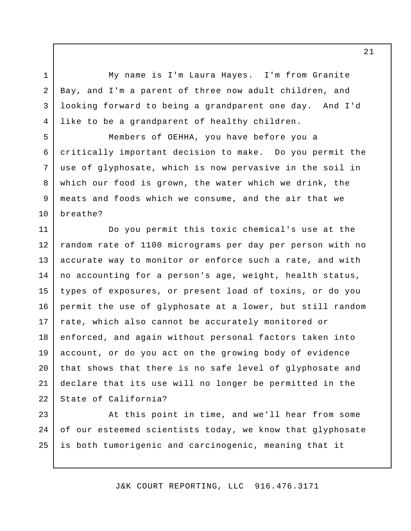My name is I'm Laura Hayes. I'm from Granite Bay, and I'm a parent of three now adult children, and looking forward to being a grandparent one day. And I'd like to be a grandparent of healthy children.

1

2

3

4

5

6

7

8

9

10

 Members of OEHHA, you have before you a critically important decision to make. Do you permit the use of glyphosate, which is now pervasive in the soil in which our food is grown, the water which we drink, the meats and foods which we consume, and the air that we breathe?

 Do you permit this toxic chemical's use at the random rate of 1100 micrograms per day per person with no accurate way to monitor or enforce such a rate, and with no accounting for a person's age, weight, health status, types of exposures, or present load of toxins, or do you permit the use of glyphosate at a lower, but still random rate, which also cannot be accurately monitored or enforced, and again without personal factors taken into account, or do you act on the growing body of evidence that shows that there is no safe level of glyphosate and declare that its use will no longer be permitted in the State of California? 11 12 13 14 15 16 17 18 19 20 21 22

 At this point in time, and we'll hear from some of our esteemed scientists today, we know that glyphosate is both tumorigenic and carcinogenic, meaning that it 23 24 25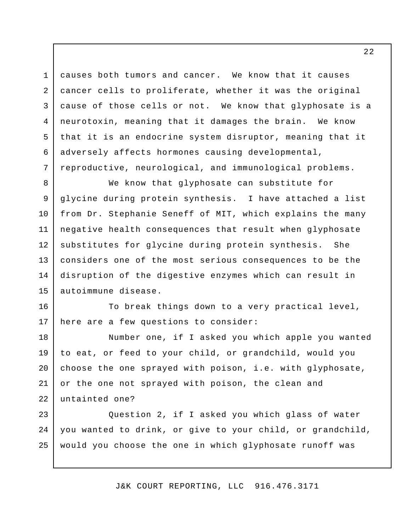causes both tumors and cancer. We know that it causes cancer cells to proliferate, whether it was the original cause of those cells or not. We know that glyphosate is a neurotoxin, meaning that it damages the brain. We know that it is an endocrine system disruptor, meaning that it adversely affects hormones causing developmental, reproductive, neurological, and immunological problems. 3 4 5 6

1

2

7

 We know that glyphosate can substitute for glycine during protein synthesis. I have attached a list from Dr. Stephanie Seneff of MIT, which explains the many negative health consequences that result when glyphosate substitutes for glycine during protein synthesis. She considers one of the most serious consequences to be the disruption of the digestive enzymes which can result in 8 9 10 11 12 13 14 15 autoimmune disease.

 To break things down to a very practical level, here are a few questions to consider: 16 17

 Number one, if I asked you which apple you wanted to eat, or feed to your child, or grandchild, would you choose the one sprayed with poison, i.e. with glyphosate, or the one not sprayed with poison, the clean and untainted one? 18 19 20 21 22

 Question 2, if I asked you which glass of water you wanted to drink, or give to your child, or grandchild, would you choose the one in which glyphosate runoff was 23 24 25

J&K COURT REPORTING, LLC 916.476.3171

 $2.2$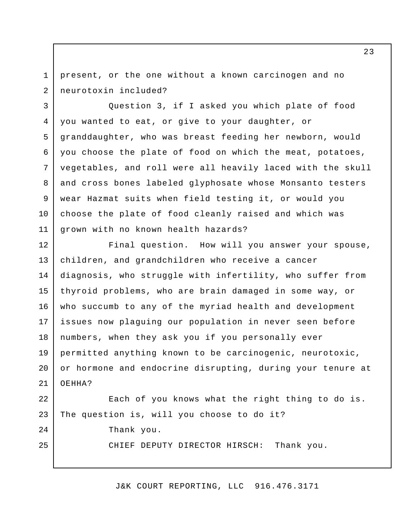present, or the one without a known carcinogen and no 1 2 neurotoxin included?

 Question 3, if I asked you which plate of food you wanted to eat, or give to your daughter, or granddaughter, who was breast feeding her newborn, would you choose the plate of food on which the meat, potatoes, vegetables, and roll were all heavily laced with the skull and cross bones labeled glyphosate whose Monsanto testers wear Hazmat suits when field testing it, or would you choose the plate of food cleanly raised and which was grown with no known health hazards? 3 4 5 6 7 8 9 10 11

 Final question. How will you answer your spouse, children, and grandchildren who receive a cancer diagnosis, who struggle with infertility, who suffer from thyroid problems, who are brain damaged in some way, or who succumb to any of the myriad health and development issues now plaguing our population in never seen before numbers, when they ask you if you personally ever permitted anything known to be carcinogenic, neurotoxic, or hormone and endocrine disrupting, during your tenure at OEHHA? Each of you knows what the right thing to do is. The question is, will you choose to do it? 12 13 14 15 16 17 18 19 20 21 22 23

Thank you.

 $2.4$ 

25

CHIEF DEPUTY DIRECTOR HIRSCH: Thank you.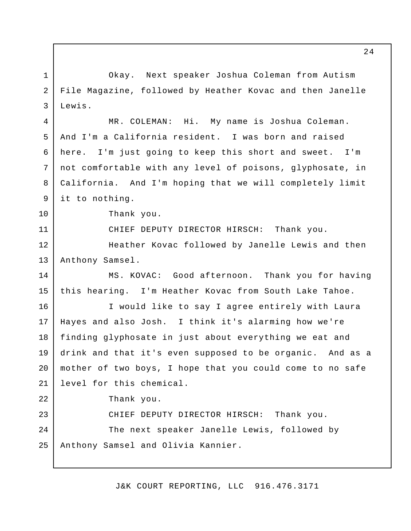Okay. Next speaker Joshua Coleman from Autism File Magazine, followed by Heather Kovac and then Janelle MR. COLEMAN: Hi. And I'm a California resident. I was born and raised here. I'm just going to keep this short and sweet. I'm not comfortable with any level of poisons, glyphosate, in California. And I'm hoping that we will completely limit it to nothing. Thank you. CHIEF DEPUTY DIRECTOR HIRSCH: Thank you. Heather Kovac followed by Janelle Lewis and then MS. KOVAC: Good afternoon. Thank you for having this hearing. I'm Heather Kovac from South Lake Tahoe. I would like to say I agree entirely with Laura Hayes and also Josh. I think it's alarming how we're finding glyphosate in just about everything we eat and drink and that it's even supposed to be organic. And as a mother of two boys, I hope that you could come to no safe level for this chemical. Thank you. CHIEF DEPUTY DIRECTOR HIRSCH: Thank you. The next speaker Janelle Lewis, followed by Anthony Samsel and Olivia Kannier. 1 2 3 4 5 6 7 8 9 10 11 12 13 14 15 16 17 18 19 20 21 22 23 24 25 Lewis. My name is Joshua Coleman. Anthony Samsel.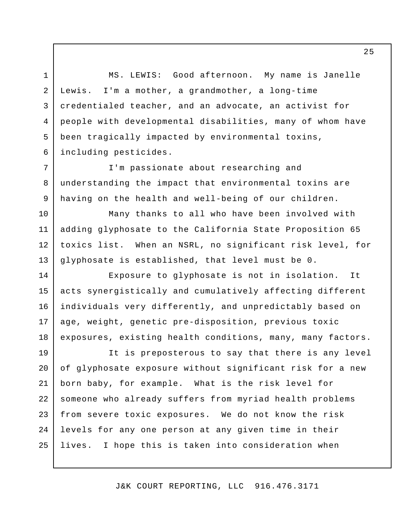MS. LEWIS: Good afternoon. My name is Janelle Lewis. credentialed teacher, and an advocate, an activist for people with developmental disabilities, many of whom have been tragically impacted by environmental toxins, 1 2 3 4 5 6  $I'm$  a mother, a grandmother, a long-time including pesticides.

 I'm passionate about researching and understanding the impact that environmental toxins are having on the health and well-being of our children.

7

8

9

10

 Many thanks to all who have been involved with adding glyphosate to the California State Proposition 65 toxics list. When an NSRL, no significant risk level, for glyphosate is established, that level must be 0. 11 12 13

 Exposure to glyphosate is not in isolation. It acts synergistically and cumulatively affecting different individuals very differently, and unpredictably based on age, weight, genetic pre-disposition, previous toxic exposures, existing health conditions, many, many factors. 14 15 16 17 18

 It is preposterous to say that there is any level of glyphosate exposure without significant risk for a new born baby, for example. What is the risk level for someone who already suffers from myriad health problems from severe toxic exposures. We do not know the risk levels for any one person at any given time in their lives. I hope this is taken into consideration when 19 20 21 22 23 24 25

J&K COURT REPORTING, LLC 916.476.3171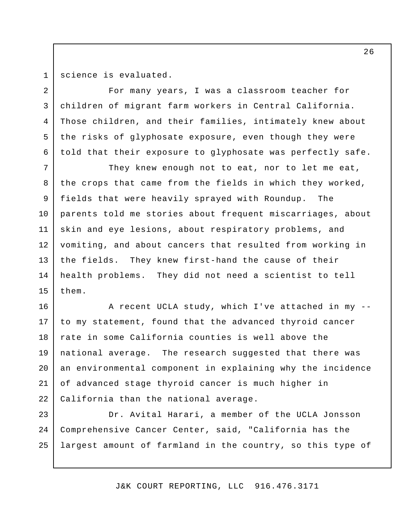1 2

3

4

5

6

science is evaluated.

 For many years, I was a classroom teacher for children of migrant farm workers in Central California. Those children, and their families, intimately knew about the risks of glyphosate exposure, even though they were told that their exposure to glyphosate was perfectly safe.

 They knew enough not to eat, nor to let me eat, the crops that came from the fields in which they worked, fields that were heavily sprayed with Roundup. The parents told me stories about frequent miscarriages, about skin and eye lesions, about respiratory problems, and vomiting, and about cancers that resulted from working in the fields. They knew first-hand the cause of their health problems. They did not need a scientist to tell 7 8 9 10 11 12 13 14 15 them.

 A recent UCLA study, which I've attached in my - to my statement, found that the advanced thyroid cancer rate in some California counties is well above the national average. The research suggested that there was an environmental component in explaining why the incidence of advanced stage thyroid cancer is much higher in California than the national average. 16 17 18 19 20 21 22

 Dr. Avital Harari, a member of the UCLA Jonsson Comprehensive Cancer Center, said, "California has the largest amount of farmland in the country, so this type of 23 24 25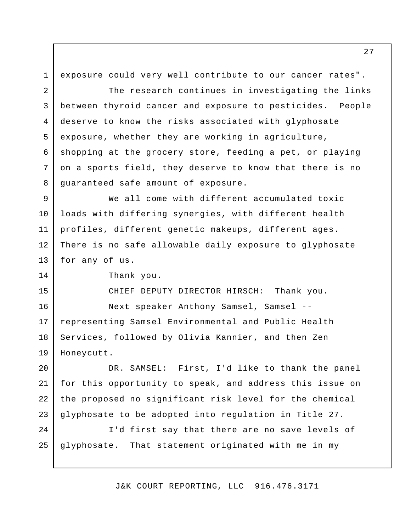exposure could very well contribute to our cancer rates". The research continues in investigating the links between thyroid cancer and exposure to pesticides. People deserve to know the risks associated with glyphosate exposure, whether they are working in agriculture, shopping at the grocery store, feeding a pet, or playing on a sports field, they deserve to know that there is no guaranteed safe amount of exposure. We all come with different accumulated toxic loads with differing synergies, with different health profiles, different genetic makeups, different ages. There is no safe allowable daily exposure to glyphosate for any of us. Thank you. CHIEF DEPUTY DIRECTOR HIRSCH: Thank you. Next speaker Anthony Samsel, Samsel - representing Samsel Environmental and Public Health Services, followed by Olivia Kannier, and then Zen DR. SAMSEL: First, I'd like to thank the panel for this opportunity to speak, and address this issue on the proposed no significant risk level for the chemical glyphosate to be adopted into regulation in Title 27. I'd first say that there are no save levels of qlyphosate. 1 2 3 4 5 6 7 8 9 10 11 12 13 14 15 16 17 18 19 20 21 22 23 24 25 Honeycutt. That statement originated with me in my

J&K COURT REPORTING, LLC 916.476.3171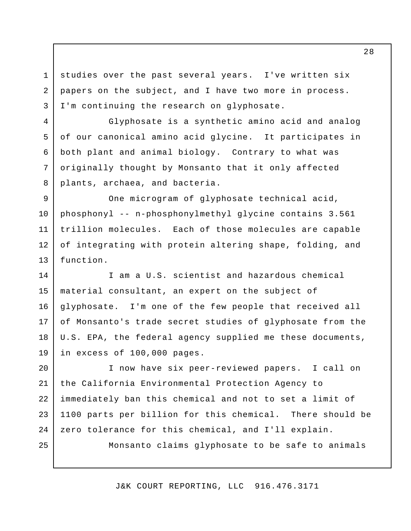studies over the past several years. I've written six papers on the subject, and I have two more in process. I'm continuing the research on glyphosate.

1

2

3

4

5

6

7

8

25

 Glyphosate is a synthetic amino acid and analog of our canonical amino acid glycine. It participates in both plant and animal biology. Contrary to what was originally thought by Monsanto that it only affected plants, archaea, and bacteria.

 One microgram of glyphosate technical acid, phosphonyl -- n-phosphonylmethyl glycine contains 3.561 trillion molecules. Each of those molecules are capable of integrating with protein altering shape, folding, and 9 10 11 12 13 function.

 I am a U.S. scientist and hazardous chemical material consultant, an expert on the subject of glyphosate. of Monsanto's trade secret studies of glyphosate from the U.S. EPA, the federal agency supplied me these documents, in excess of 100,000 pages. 14 15 16 17 18 19 I'm one of the few people that received all

 I now have six peer-reviewed papers. I call on the California Environmental Protection Agency to immediately ban this chemical and not to set a limit of 1100 parts per billion for this chemical. There should be zero tolerance for this chemical, and I'll explain. 20 21 22 23 24

Monsanto claims glyphosate to be safe to animals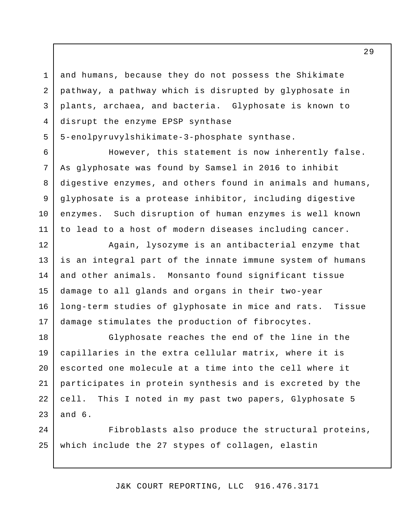and humans, because they do not possess the Shikimate pathway, a pathway which is disrupted by glyphosate in plants, archaea, and bacteria. Glyphosate is known to disrupt the enzyme EPSP synthase

5-enolpyruvylshikimate-3-phosphate synthase.

1

2

3

4

5

6

7

8

9

10

11

 However, this statement is now inherently false. As glyphosate was found by Samsel in 2016 to inhibit digestive enzymes, and others found in animals and humans, glyphosate is a protease inhibitor, including digestive enzymes. Such disruption of human enzymes is well known to lead to a host of modern diseases including cancer.

 Again, lysozyme is an antibacterial enzyme that is an integral part of the innate immune system of humans and other animals. Monsanto found significant tissue damage to all glands and organs in their two-year long-term studies of glyphosate in mice and rats. Tissue damage stimulates the production of fibrocytes. 12 13 14 15 16 17

 Glyphosate reaches the end of the line in the capillaries in the extra cellular matrix, where it is escorted one molecule at a time into the cell where it participates in protein synthesis and is excreted by the cell. This I noted in my past two papers, Glyphosate 5 and 6. 18 19 20 21 22 23

 Fibroblasts also produce the structural proteins, which include the 27 stypes of collagen, elastin 24 25

J&K COURT REPORTING, LLC 916.476.3171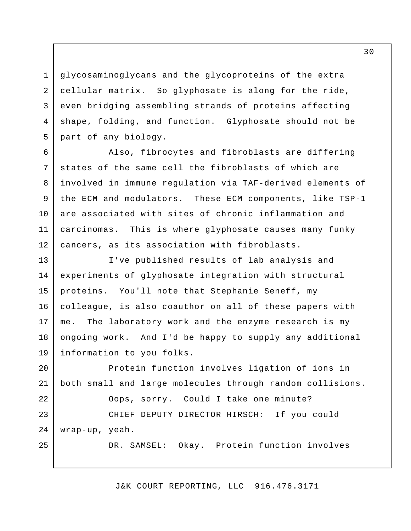glycosaminoglycans and the glycoproteins of the extra cellular matrix. So glyphosate is along for the ride, even bridging assembling strands of proteins affecting shape, folding, and function. Glyphosate should not be part of any biology.

1

2

3

4

5

 Also, fibrocytes and fibroblasts are differing states of the same cell the fibroblasts of which are involved in immune regulation via TAF-derived elements of the ECM and modulators. These ECM components, like TSP-1 are associated with sites of chronic inflammation and carcinomas. This is where glyphosate causes many funky cancers, as its association with fibroblasts. 6 7 8 9 10 11 12

 I've published results of lab analysis and experiments of glyphosate integration with structural proteins. You'll note that Stephanie Seneff, my colleague, is also coauthor on all of these papers with me. ongoing work. And I'd be happy to supply any additional information to you folks. 13 14 15 16 17 18 19 The laboratory work and the enzyme research is my

 Protein function involves ligation of ions in both small and large molecules through random collisions. Oops, sorry. Could I take one minute? CHIEF DEPUTY DIRECTOR HIRSCH: If you could DR. SAMSEL: Okay. Protein function involves 20 21 22 23 24 25 wrap-up, yeah.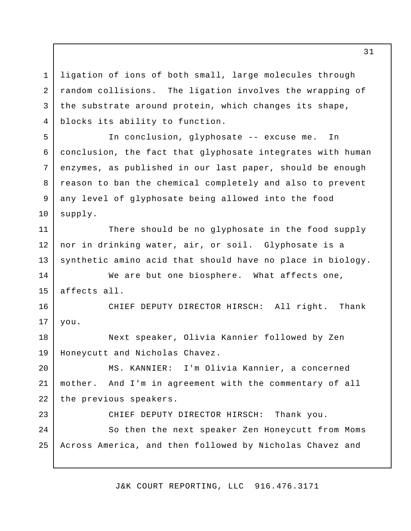ligation of ions of both small, large molecules through random collisions. The ligation involves the wrapping of the substrate around protein, which changes its shape, blocks its ability to function. 1 2 3 4

 In conclusion, glyphosate -- excuse me. In conclusion, the fact that glyphosate integrates with human enzymes, as published in our last paper, should be enough reason to ban the chemical completely and also to prevent any level of glyphosate being allowed into the food 5 6 7 8 supply.

 There should be no glyphosate in the food supply nor in drinking water, air, or soil. Glyphosate is a synthetic amino acid that should have no place in biology. 11 12 13

 We are but one biosphere. What affects one, affects all. 14 15

9

10

23

 CHIEF DEPUTY DIRECTOR HIRSCH: All right. Thank 16 17 you.

 Next speaker, Olivia Kannier followed by Zen Honeycutt and Nicholas Chavez. 18 19

MS. KANNIER: mother. 20 21 22 I'm Olivia Kannier, a concerned And I'm in agreement with the commentary of all the previous speakers.

CHIEF DEPUTY DIRECTOR HIRSCH: Thank you.

 So then the next speaker Zen Honeycutt from Moms Across America, and then followed by Nicholas Chavez and 24 25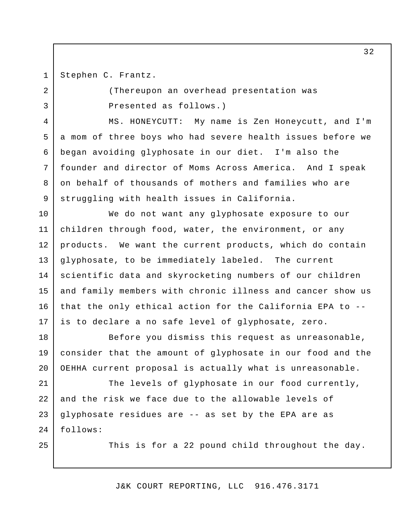3

4

5

6

7

8

9

25

Stephen C. Frantz.

 (Thereupon an overhead presentation was Presented as follows.)

 MS. HONEYCUTT: My name is Zen Honeycutt, and I'm a mom of three boys who had severe health issues before we began avoiding glyphosate in our diet. I'm also the founder and director of Moms Across America. And I speak on behalf of thousands of mothers and families who are struggling with health issues in California.

 We do not want any glyphosate exposure to our children through food, water, the environment, or any products. We want the current products, which do contain glyphosate, to be immediately labeled. The current scientific data and skyrocketing numbers of our children and family members with chronic illness and cancer show us that the only ethical action for the California EPA to - is to declare a no safe level of glyphosate, zero. 10 11 12 13 14 15 16 17

 Before you dismiss this request as unreasonable, consider that the amount of glyphosate in our food and the OEHHA current proposal is actually what is unreasonable. 18 19 20

 The levels of glyphosate in our food currently, and the risk we face due to the allowable levels of glyphosate residues are -- as set by the EPA are as 21 22 23  $2.4$ follows:

This is for a 22 pound child throughout the day.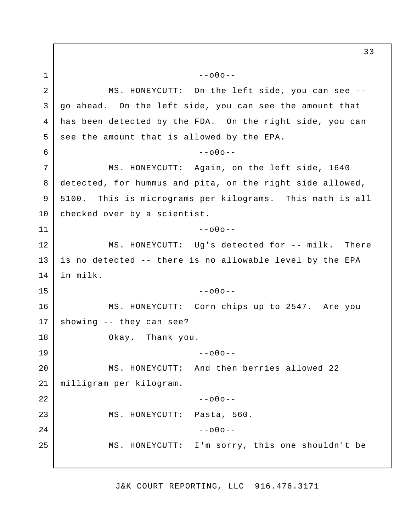MS. HONEYCUTT: On the left side, you can see - go ahead. On the left side, you can see the amount that has been detected by the FDA. On the right side, you can see the amount that is allowed by the EPA. MS. HONEYCUTT: Again, on the left side, 1640 detected, for hummus and pita, on the right side allowed, 5100. This is micrograms per kilograms. This math is all checked over by a scientist. MS. HONEYCUTT: Ug's detected for -- milk. There is no detected -- there is no allowable level by the EPA in milk. MS. HONEYCUTT: Corn chips up to 2547. Are you Okay. Thank you. MS. HONEYCUTT: And then berries allowed 22 MS. HONEYCUTT: Pasta, 560. MS. HONEYCUTT: I'm sorry, this one shouldn't be 1 2 3 4 5 6 7 8 9 10 11 12 13 14 15 16 17 18 19 20 21 22 23 24 25  $--000- --000- --000- --000-$ showing -- they can see?  $--000-$ milligram per kilogram.  $--000- --000--$ 

J&K COURT REPORTING, LLC 916.476.3171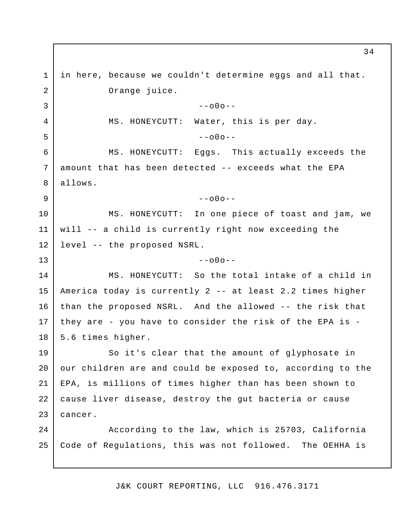in here, because we couldn't determine eggs and all that. MS. HONEYCUTT: MS. HONEYCUTT: MS. HONEYCUTT: will -- a child is currently right now exceeding the level -- the proposed NSRL. MS. HONEYCUTT: So the total intake of a child in America today is currently 2 -- at least 2.2 times higher than the proposed NSRL. And the allowed -- the risk that they are - you have to consider the risk of the EPA is 5.6 times higher. So it's clear that the amount of glyphosate in our children are and could be exposed to, according to the EPA, is millions of times higher than has been shown to cause liver disease, destroy the gut bacteria or cause According to the law, which is 25703, California Code of Regulations, this was not followed. The OEHHA is 1 2 3 4 5 6 7 8 9 10 11 12 13 14 15 16 17 18 19 20 21 22 23  $2.4$ 25 Orange juice.<br>--00o--Water, this is per day.  $-000-$ Eggs. This actually exceeds the amount that has been detected -- exceeds what the EPA allows.  $--000--$ In one piece of toast and jam, we  $-000$ cancer.

J&K COURT REPORTING, LLC 916.476.3171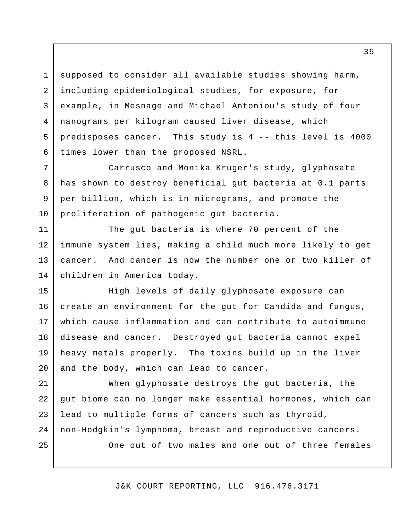supposed to consider all available studies showing harm, including epidemiological studies, for exposure, for example, in Mesnage and Michael Antoniou's study of four nanograms per kilogram caused liver disease, which predisposes cancer. This study is 4 -- this level is 4000 times lower than the proposed NSRL. 3 4 5 6

 Carrusco and Monika Kruger's study, glyphosate has shown to destroy beneficial gut bacteria at 0.1 parts per billion, which is in micrograms, and promote the proliferation of pathogenic gut bacteria. 7 8

 The gut bacteria is where 70 percent of the immune system lies, making a child much more likely to get cancer. And cancer is now the number one or two killer of children in America today. 11 12 13 14

 High levels of daily glyphosate exposure can create an environment for the gut for Candida and fungus, which cause inflammation and can contribute to autoimmune disease and cancer. Destroyed gut bacteria cannot expel heavy metals properly. The toxins build up in the liver and the body, which can lead to cancer. 15 16 17 18 19 20

 When glyphosate destroys the gut bacteria, the gut biome can no longer make essential hormones, which can lead to multiple forms of cancers such as thyroid, non-Hodgkin's lymphoma, breast and reproductive cancers. 21 22 23 24

25

1

2

9

10

One out of two males and one out of three females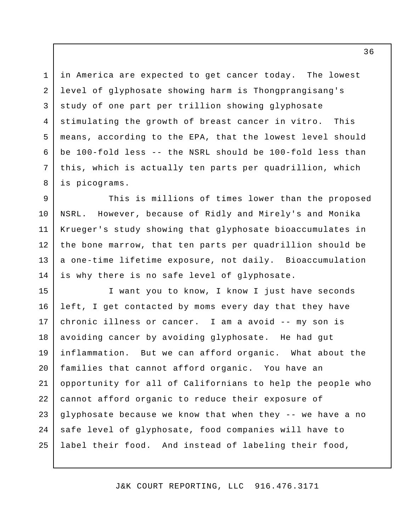in America are expected to get cancer today. The lowest level of glyphosate showing harm is Thongprangisang's study of one part per trillion showing glyphosate stimulating the growth of breast cancer in vitro. This means, according to the EPA, that the lowest level should be 100-fold less -- the NSRL should be 100-fold less than this, which is actually ten parts per quadrillion, which 1 2 3 4 5 6 7 8 is picograms.

 This is millions of times lower than the proposed NSRL. However, because of Ridly and Mirely's and Monika Krueger's study showing that glyphosate bioaccumulates in the bone marrow, that ten parts per quadrillion should be a one-time lifetime exposure, not daily. Bioaccumulation is why there is no safe level of glyphosate. 9 10 11 12 13 14

 I want you to know, I know I just have seconds left, I get contacted by moms every day that they have chronic illness or cancer. I am a avoid -- my son is avoiding cancer by avoiding glyphosate. He had gut inflammation. But we can afford organic. What about the families that cannot afford organic. You have an opportunity for all of Californians to help the people who cannot afford organic to reduce their exposure of glyphosate because we know that when they -- we have a no safe level of glyphosate, food companies will have to label their food. And instead of labeling their food, 15 16 17 18 19 20 21 22 23 24 25

J&K COURT REPORTING, LLC 916.476.3171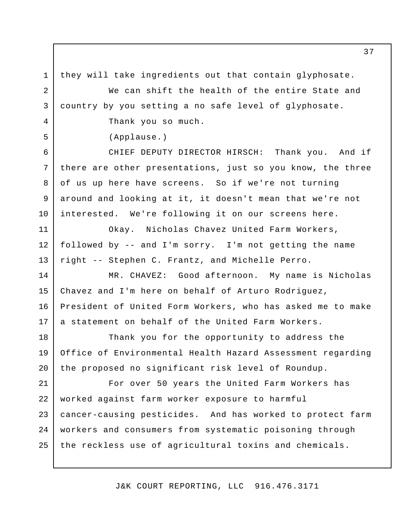they will take ingredients out that contain glyphosate. We can shift the health of the entire State and country by you setting a no safe level of glyphosate. Thank you so much. CHIEF DEPUTY DIRECTOR HIRSCH: Thank you. And if there are other presentations, just so you know, the three of us up here have screens. So if we're not turning around and looking at it, it doesn't mean that we're not interested. We're following it on our screens here. Okay. Nicholas Chavez United Farm Workers, followed by -- and I'm sorry. I'm not getting the name right -- Stephen C. Frantz, and Michelle Perro. MR. CHAVEZ: Good afternoon. My name is Nicholas Chavez and I'm here on behalf of Arturo Rodriguez, President of United Form Workers, who has asked me to make a statement on behalf of the United Farm Workers. Thank you for the opportunity to address the Office of Environmental Health Hazard Assessment regarding the proposed no significant risk level of Roundup. For over 50 years the United Farm Workers has worked against farm worker exposure to harmful cancer-causing pesticides. And has worked to protect farm workers and consumers from systematic poisoning through the reckless use of agricultural toxins and chemicals. 1 2 3 4 5 6 7 8 9 10 11 12 13 14 15 16 17 18 19 20 21 22 23 24 25 (Applause.)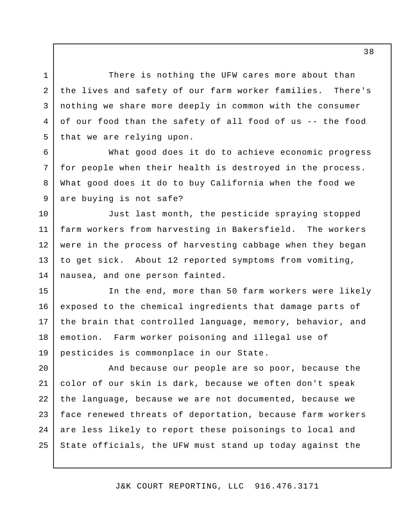There is nothing the UFW cares more about than the lives and safety of our farm worker families. There's nothing we share more deeply in common with the consumer of our food than the safety of all food of us -- the food that we are relying upon.

1

2

3

4

5

6

7

8

9

10

 What good does it do to achieve economic progress for people when their health is destroyed in the process. What good does it do to buy California when the food we are buying is not safe?

 Just last month, the pesticide spraying stopped farm workers from harvesting in Bakersfield. The workers were in the process of harvesting cabbage when they began to get sick. About 12 reported symptoms from vomiting, nausea, and one person fainted. 11 12 13 14

 In the end, more than 50 farm workers were likely exposed to the chemical ingredients that damage parts of the brain that controlled language, memory, behavior, and emotion. Farm worker poisoning and illegal use of pesticides is commonplace in our State. 15 16 17 18 19

 And because our people are so poor, because the color of our skin is dark, because we often don't speak the language, because we are not documented, because we face renewed threats of deportation, because farm workers are less likely to report these poisonings to local and State officials, the UFW must stand up today against the 20 21 22 23 24 25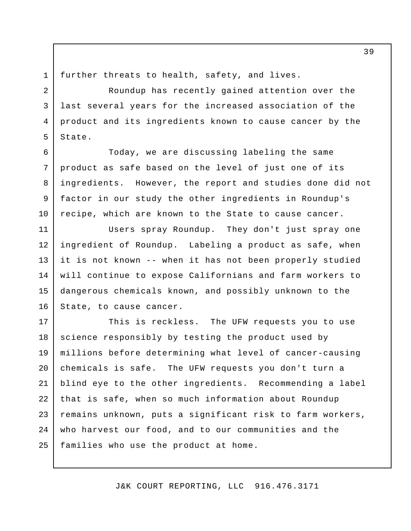5

9

10

further threats to health, safety, and lives.

 Roundup has recently gained attention over the last several years for the increased association of the product and its ingredients known to cause cancer by the 3 4 State.

 Today, we are discussing labeling the same product as safe based on the level of just one of its ingredients. However, the report and studies done did not factor in our study the other ingredients in Roundup's recipe, which are known to the State to cause cancer. 6 7 8

 Users spray Roundup. They don't just spray one ingredient of Roundup. Labeling a product as safe, when it is not known -- when it has not been properly studied will continue to expose Californians and farm workers to dangerous chemicals known, and possibly unknown to the State, to cause cancer. 11 12 13 14 15 16

 This is reckless. The UFW requests you to use science responsibly by testing the product used by millions before determining what level of cancer-causing chemicals is safe. The UFW requests you don't turn a blind eye to the other ingredients. Recommending a label that is safe, when so much information about Roundup remains unknown, puts a significant risk to farm workers, who harvest our food, and to our communities and the families who use the product at home. 17 18 19 20 21 22 23 24 25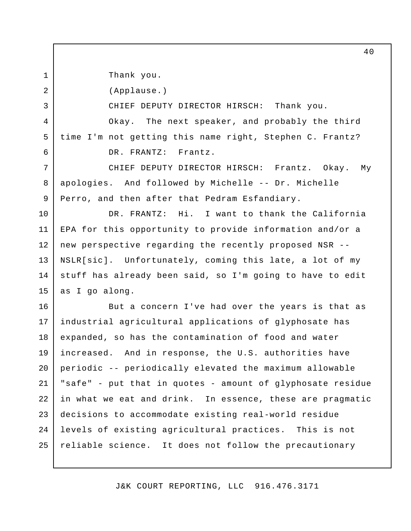Thank you.

1

2

3

4

5

6

(Applause.)

CHIEF DEPUTY DIRECTOR HIRSCH: Thank you.

Okay. time I'm not getting this name right, Stephen C. Frantz? DR. FRANTZ: Frantz. The next speaker, and probably the third

 CHIEF DEPUTY DIRECTOR HIRSCH: Frantz. Okay. My apologies. And followed by Michelle -- Dr. Michelle Perro, and then after that Pedram Esfandiary. 7 8 9

 DR. FRANTZ: Hi. I want to thank the California EPA for this opportunity to provide information and/or a new perspective regarding the recently proposed NSR - NSLR[sic]. Unfortunately, coming this late, a lot of my stuff has already been said, so I'm going to have to edit as I go along. 10 11 12 13 14 15

 But a concern I've had over the years is that as industrial agricultural applications of glyphosate has expanded, so has the contamination of food and water increased. And in response, the U.S. authorities have periodic -- periodically elevated the maximum allowable "safe" - put that in quotes - amount of glyphosate residue in what we eat and drink. In essence, these are pragmatic decisions to accommodate existing real-world residue levels of existing agricultural practices. This is not reliable science. It does not follow the precautionary 16 17 18 19 20 21 22 23 24 25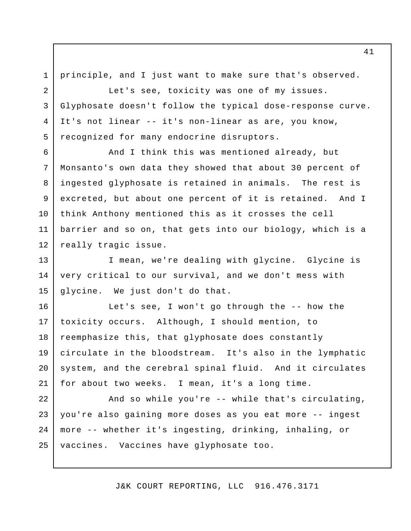3

4

5

principle, and I just want to make sure that's observed.

 Let's see, toxicity was one of my issues. Glyphosate doesn't follow the typical dose-response curve. It's not linear -- it's non-linear as are, you know, recognized for many endocrine disruptors.

 And I think this was mentioned already, but Monsanto's own data they showed that about 30 percent of ingested glyphosate is retained in animals. The rest is excreted, but about one percent of it is retained. And I think Anthony mentioned this as it crosses the cell barrier and so on, that gets into our biology, which is a really tragic issue. 6 7 8 9 10 11 12

 I mean, we're dealing with glycine. Glycine is very critical to our survival, and we don't mess with glycine. We just don't do that. 13 14 15

 Let's see, I won't go through the -- how the toxicity occurs. Although, I should mention, to reemphasize this, that glyphosate does constantly circulate in the bloodstream. It's also in the lymphatic system, and the cerebral spinal fluid. And it circulates for about two weeks. I mean, it's a long time. 16 17 18 19 20 21

 And so while you're -- while that's circulating, you're also gaining more doses as you eat more -- ingest more -- whether it's ingesting, drinking, inhaling, or vaccines. Vaccines have glyphosate too. 22 23 24 25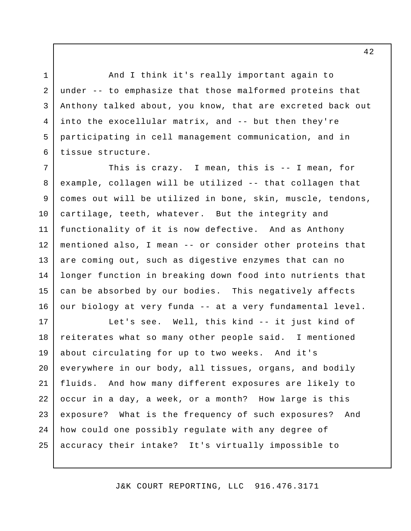And I think it's really important again to under -- to emphasize that those malformed proteins that Anthony talked about, you know, that are excreted back out into the exocellular matrix, and -- but then they're participating in cell management communication, and in tissue structure.

1

2

3

4

5

6

 This is crazy. I mean, this is -- I mean, for example, collagen will be utilized -- that collagen that comes out will be utilized in bone, skin, muscle, tendons, cartilage, teeth, whatever. But the integrity and functionality of it is now defective. And as Anthony mentioned also, I mean -- or consider other proteins that are coming out, such as digestive enzymes that can no longer function in breaking down food into nutrients that can be absorbed by our bodies. This negatively affects our biology at very funda -- at a very fundamental level. 7 8 9 10 11 12 13 14 15 16

 Let's see. Well, this kind -- it just kind of reiterates what so many other people said. I mentioned about circulating for up to two weeks. And it's everywhere in our body, all tissues, organs, and bodily fluids. And how many different exposures are likely to occur in a day, a week, or a month? How large is this exposure? What is the frequency of such exposures? And how could one possibly regulate with any degree of accuracy their intake? It's virtually impossible to 17 18 19 20 21 22 23 24 25

J&K COURT REPORTING, LLC 916.476.3171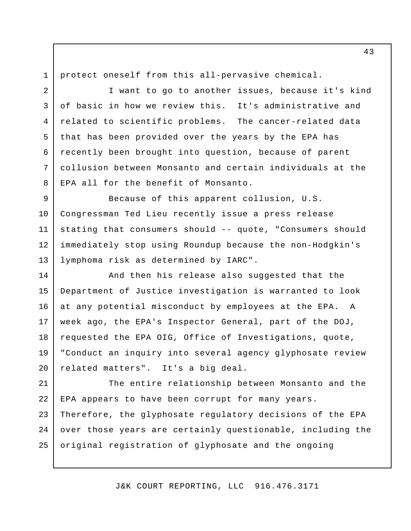protect oneself from this all-pervasive chemical.

 I want to go to another issues, because it's kind of basic in how we review this. It's administrative and related to scientific problems. The cancer-related data that has been provided over the years by the EPA has recently been brought into question, because of parent collusion between Monsanto and certain individuals at the EPA all for the benefit of Monsanto. 3 4 5 6 7 8

 Because of this apparent collusion, U.S. Congressman Ted Lieu recently issue a press release stating that consumers should -- quote, "Consumers should immediately stop using Roundup because the non-Hodgkin's lymphoma risk as determined by IARC". 9 10 11 12 13

 And then his release also suggested that the Department of Justice investigation is warranted to look at any potential misconduct by employees at the EPA. A week ago, the EPA's Inspector General, part of the DOJ, requested the EPA OIG, Office of Investigations, quote, "Conduct an inquiry into several agency glyphosate review related matters". It's a big deal. 14 15 16 17 18 19 20

 The entire relationship between Monsanto and the EPA appears to have been corrupt for many years. Therefore, the glyphosate regulatory decisions of the EPA over those years are certainly questionable, including the original registration of glyphosate and the ongoing 21 22 23 24 25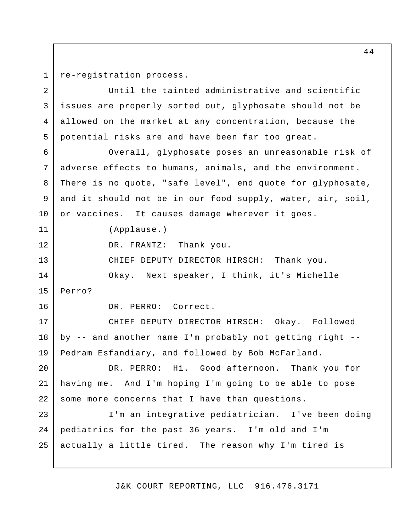re-registration process.

 Until the tainted administrative and scientific issues are properly sorted out, glyphosate should not be allowed on the market at any concentration, because the potential risks are and have been far too great. 2 3 4 5

 Overall, glyphosate poses an unreasonable risk of adverse effects to humans, animals, and the environment. There is no quote, "safe level", end quote for glyphosate, and it should not be in our food supply, water, air, soil, or vaccines. It causes damage wherever it goes. 6 7 8 9 10

(Applause.)

DR. FRANTZ: Thank you.

CHIEF DEPUTY DIRECTOR HIRSCH: Thank you.

 Okay. Next speaker, I think, it's Michelle 14 15 Perro?

16

11

12

13

DR. PERRO: Correct.

 CHIEF DEPUTY DIRECTOR HIRSCH: Okay. Followed by -- and another name I'm probably not getting right -- Pedram Esfandiary, and followed by Bob McFarland. 17 18 19

 DR. PERRO: Hi. Good afternoon. Thank you for having me. And I'm hoping I'm going to be able to pose some more concerns that I have than questions. 20 21 22

 I'm an integrative pediatrician. I've been doing pediatrics for the past 36 years. I'm old and I'm actually a little tired. The reason why I'm tired is 23 24 25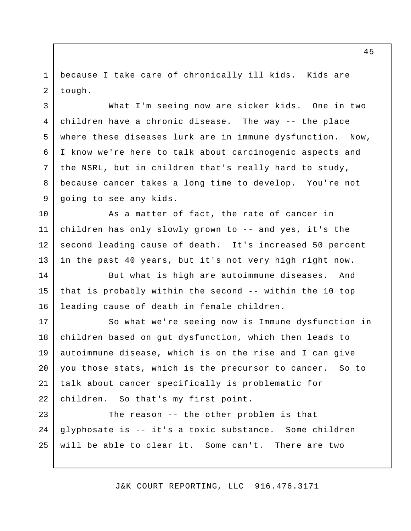because I take care of chronically ill kids. Kids are 1 2 tough.

3

4

5

6

7

8

9

 What I'm seeing now are sicker kids. One in two children have a chronic disease. The way -- the place where these diseases lurk are in immune dysfunction. Now, I know we're here to talk about carcinogenic aspects and the NSRL, but in children that's really hard to study, because cancer takes a long time to develop. You're not going to see any kids.

 As a matter of fact, the rate of cancer in children has only slowly grown to -- and yes, it's the second leading cause of death. It's increased 50 percent in the past 40 years, but it's not very high right now. 10 11 12 13

 But what is high are autoimmune diseases. And that is probably within the second -- within the 10 top leading cause of death in female children. 14 15 16

 So what we're seeing now is Immune dysfunction in children based on gut dysfunction, which then leads to autoimmune disease, which is on the rise and I can give you those stats, which is the precursor to cancer. So to talk about cancer specifically is problematic for children. So that's my first point. 17 18 19 20 21 22

 The reason -- the other problem is that glyphosate is -- it's a toxic substance. Some children will be able to clear it. Some can't. There are two 23 24 25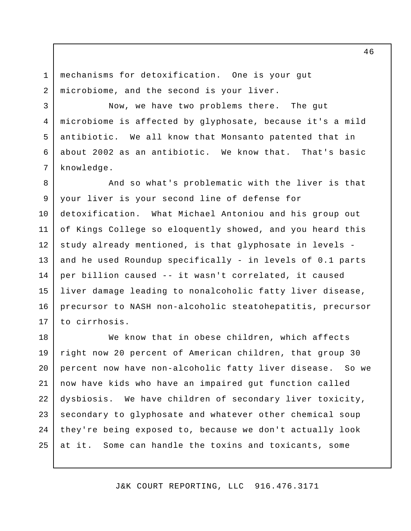mechanisms for detoxification. One is your gut microbiome, and the second is your liver. 1 2

3

4

5

6

7

 Now, we have two problems there. The gut microbiome is affected by glyphosate, because it's a mild antibiotic. We all know that Monsanto patented that in about 2002 as an antibiotic. We know that. That's basic knowledge.

 And so what's problematic with the liver is that your liver is your second line of defense for detoxification. What Michael Antoniou and his group out of Kings College so eloquently showed, and you heard this study already mentioned, is that glyphosate in levels and he used Roundup specifically - in levels of 0.1 parts per billion caused -- it wasn't correlated, it caused liver damage leading to nonalcoholic fatty liver disease, precursor to NASH non-alcoholic steatohepatitis, precursor 8 9 10 11 12 13 14 15 16 17 to cirrhosis.

 We know that in obese children, which affects right now 20 percent of American children, that group 30 percent now have non-alcoholic fatty liver disease. So we now have kids who have an impaired gut function called dysbiosis. We have children of secondary liver toxicity, secondary to glyphosate and whatever other chemical soup they're being exposed to, because we don't actually look at it. Some can handle the toxins and toxicants, some 18 19 20 21 22 23 24 25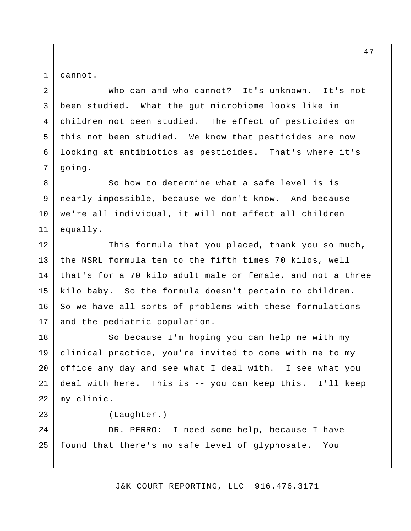cannot.

1

2

6

7

8

9

10

11

23

 Who can and who cannot? It's unknown. It's not been studied. What the gut microbiome looks like in children not been studied. The effect of pesticides on this not been studied. We know that pesticides are now looking at antibiotics as pesticides. That's where it's 3 4 5 going.

 So how to determine what a safe level is is nearly impossible, because we don't know. And because we're all individual, it will not affect all children equally.

 This formula that you placed, thank you so much, the NSRL formula ten to the fifth times 70 kilos, well that's for a 70 kilo adult male or female, and not a three kilo baby. So the formula doesn't pertain to children. So we have all sorts of problems with these formulations and the pediatric population. 12 13 14 15 16 17

 So because I'm hoping you can help me with my clinical practice, you're invited to come with me to my office any day and see what I deal with. I see what you deal with here. This is -- you can keep this. I'll keep my clinic. 18 19 20 21 22

(Laughter.)

 DR. PERRO: I need some help, because I have found that there's no safe level of glyphosate. You 24 25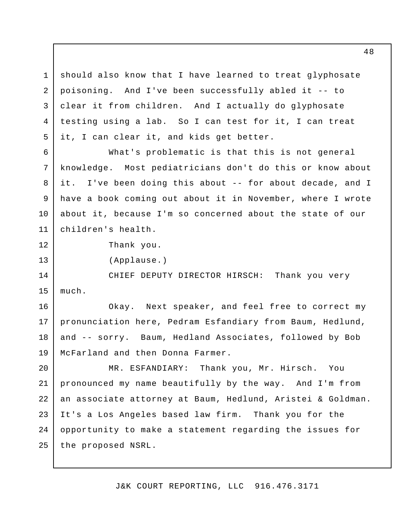should also know that I have learned to treat glyphosate poisoning. And I've been successfully abled it -- to clear it from children. And I actually do glyphosate testing using a lab. So I can test for it, I can treat it, I can clear it, and kids get better. 1 2 3 4 5

 What's problematic is that this is not general knowledge. it. have a book coming out about it in November, where I wrote about it, because I'm so concerned about the state of our children's health. 6 7 8 9 10 11 Most pediatricians don't do this or know about I've been doing this about -- for about decade, and I

12

13

Thank you.

(Applause.)

 CHIEF DEPUTY DIRECTOR HIRSCH: Thank you very 14 15 much.

 Okay. Next speaker, and feel free to correct my pronunciation here, Pedram Esfandiary from Baum, Hedlund, and -- sorry. Baum, Hedland Associates, followed by Bob McFarland and then Donna Farmer. 16 17 18 19

 MR. ESFANDIARY: Thank you, Mr. Hirsch. You pronounced my name beautifully by the way. And I'm from an associate attorney at Baum, Hedlund, Aristei & Goldman. It's a Los Angeles based law firm. Thank you for the opportunity to make a statement regarding the issues for the proposed NSRL. 20 21 22 23 24 25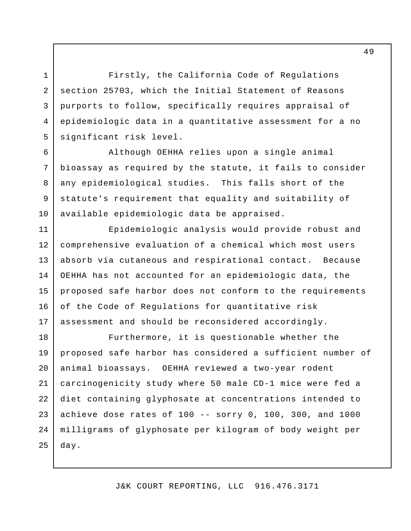Firstly, the California Code of Regulations section 25703, which the Initial Statement of Reasons purports to follow, specifically requires appraisal of epidemiologic data in a quantitative assessment for a no significant risk level.

1

2

3

4

5

6

7

8

9

10

 Although OEHHA relies upon a single animal bioassay as required by the statute, it fails to consider any epidemiological studies. This falls short of the statute's requirement that equality and suitability of available epidemiologic data be appraised.

 Epidemiologic analysis would provide robust and comprehensive evaluation of a chemical which most users absorb via cutaneous and respirational contact. Because OEHHA has not accounted for an epidemiologic data, the proposed safe harbor does not conform to the requirements of the Code of Regulations for quantitative risk assessment and should be reconsidered accordingly. 11 12 13 14 15 16 17

 Furthermore, it is questionable whether the proposed safe harbor has considered a sufficient number of animal bioassays. OEHHA reviewed a two-year rodent carcinogenicity study where 50 male CD-1 mice were fed a diet containing glyphosate at concentrations intended to achieve dose rates of 100 -- sorry 0, 100, 300, and 1000 milligrams of glyphosate per kilogram of body weight per 18 19 20 21 22 23 24 25 day.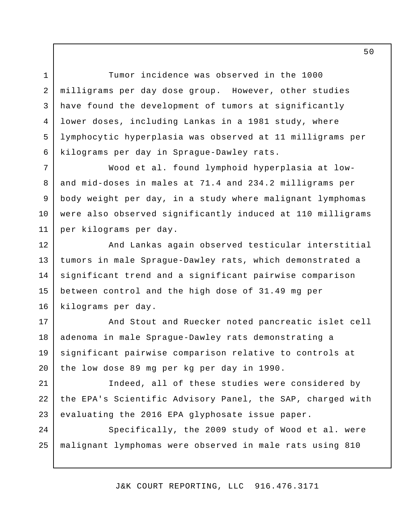Tumor incidence was observed in the 1000 milligrams per day dose group. However, other studies have found the development of tumors at significantly lower doses, including Lankas in a 1981 study, where lymphocytic hyperplasia was observed at 11 milligrams per kilograms per day in Sprague-Dawley rats.

1

2

3

4

5

6

 Wood et al. found lymphoid hyperplasia at low- and mid-doses in males at 71.4 and 234.2 milligrams per body weight per day, in a study where malignant lymphomas were also observed significantly induced at 110 milligrams per kilograms per day. 7 8 9 10 11

 And Lankas again observed testicular interstitial tumors in male Sprague-Dawley rats, which demonstrated a significant trend and a significant pairwise comparison between control and the high dose of 31.49 mg per kilograms per day. 12 13 14 15 16

 And Stout and Ruecker noted pancreatic islet cell adenoma in male Sprague-Dawley rats demonstrating a significant pairwise comparison relative to controls at the low dose 89 mg per kg per day in 1990. 17 18 19 20

 Indeed, all of these studies were considered by the EPA's Scientific Advisory Panel, the SAP, charged with evaluating the 2016 EPA glyphosate issue paper. 21 22 23

 Specifically, the 2009 study of Wood et al. were malignant lymphomas were observed in male rats using 810 24 25

J&K COURT REPORTING, LLC 916.476.3171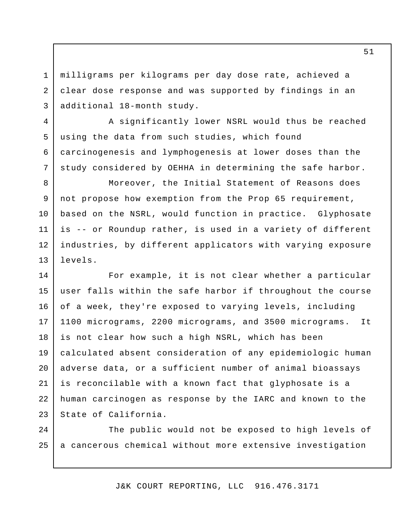milligrams per kilograms per day dose rate, achieved a clear dose response and was supported by findings in an additional 18-month study.

1

2

3

4

5

6

7

 A significantly lower NSRL would thus be reached using the data from such studies, which found carcinogenesis and lymphogenesis at lower doses than the study considered by OEHHA in determining the safe harbor.

 Moreover, the Initial Statement of Reasons does not propose how exemption from the Prop 65 requirement, based on the NSRL, would function in practice. Glyphosate is -- or Roundup rather, is used in a variety of different industries, by different applicators with varying exposure 8 9 10 11 12 13 levels.

 For example, it is not clear whether a particular user falls within the safe harbor if throughout the course of a week, they're exposed to varying levels, including 1100 micrograms, 2200 micrograms, and 3500 micrograms. It is not clear how such a high NSRL, which has been calculated absent consideration of any epidemiologic human adverse data, or a sufficient number of animal bioassays is reconcilable with a known fact that glyphosate is a human carcinogen as response by the IARC and known to the State of California. 14 15 16 17 18 19 20 21 22 23

 The public would not be exposed to high levels of a cancerous chemical without more extensive investigation 24 25

J&K COURT REPORTING, LLC 916.476.3171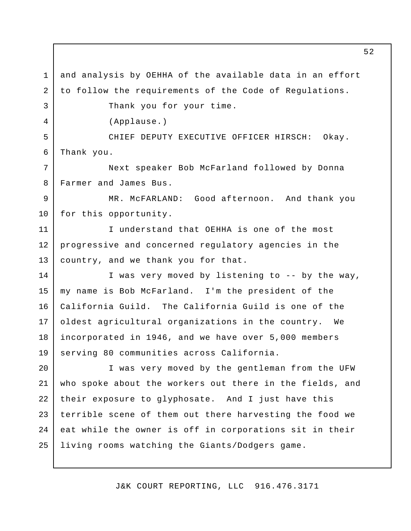and analysis by OEHHA of the available data in an effort to follow the requirements of the Code of Regulations. Thank you for your time. CHIEF DEPUTY EXECUTIVE OFFICER HIRSCH: Okay. Thank you. Next speaker Bob McFarland followed by Donna Farmer and James Bus. MR. McFARLAND: Good afternoon. And thank you for this opportunity. I understand that OEHHA is one of the most progressive and concerned regulatory agencies in the country, and we thank you for that. I was very moved by listening to -- by the way, my name is Bob McFarland. I'm the president of the California Guild. oldest agricultural organizations in the country. We incorporated in 1946, and we have over 5,000 members serving 80 communities across California. I was very moved by the gentleman from the UFW who spoke about the workers out there in the fields, and their exposure to glyphosate. And I just have this terrible scene of them out there harvesting the food we eat while the owner is off in corporations sit in their living rooms watching the Giants/Dodgers game. 1 2 3 4 5 6 7 8 9 10 11 12 13 14 15 16 17 18 19 20 21 22 23 24 25 (Applause.) The California Guild is one of the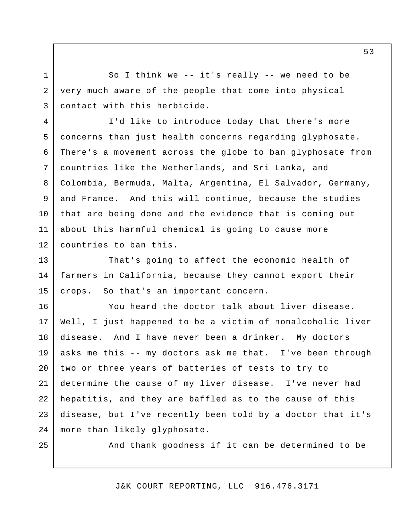So I think we -- it's really -- we need to be very much aware of the people that come into physical contact with this herbicide.

 I'd like to introduce today that there's more concerns than just health concerns regarding glyphosate. There's a movement across the globe to ban glyphosate from countries like the Netherlands, and Sri Lanka, and Colombia, Bermuda, Malta, Argentina, El Salvador, Germany, and France. And this will continue, because the studies that are being done and the evidence that is coming out about this harmful chemical is going to cause more countries to ban this. 4 5 6 7 8 9 10 11 12

 That's going to affect the economic health of farmers in California, because they cannot export their crops. 13 14 15 So that's an important concern.

 You heard the doctor talk about liver disease. Well, I just happened to be a victim of nonalcoholic liver disease. And I have never been a drinker. My doctors asks me this -- my doctors ask me that. I've been through two or three years of batteries of tests to try to determine the cause of my liver disease. I've never had hepatitis, and they are baffled as to the cause of this disease, but I've recently been told by a doctor that it's more than likely glyphosate. 16 17 18 19 20 21 22 23 24

25

1

2

3

And thank goodness if it can be determined to be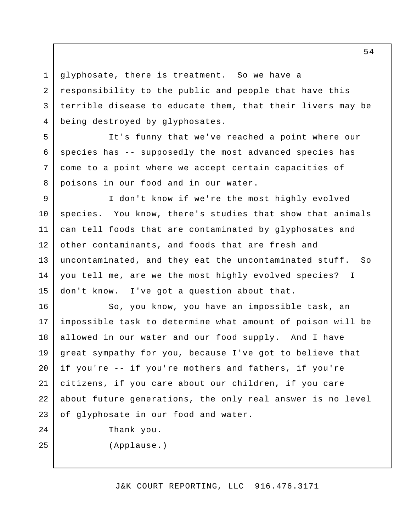glyphosate, there is treatment. So we have a responsibility to the public and people that have this terrible disease to educate them, that their livers may be being destroyed by glyphosates. 1 2 3 4

 It's funny that we've reached a point where our species has -- supposedly the most advanced species has come to a point where we accept certain capacities of poisons in our food and in our water.

 I don't know if we're the most highly evolved species. You know, there's studies that show that animals can tell foods that are contaminated by glyphosates and other contaminants, and foods that are fresh and uncontaminated, and they eat the uncontaminated stuff. So you tell me, are we the most highly evolved species? I don't know. 9 10 11 12 13 14 15 I've got a question about that.

 So, you know, you have an impossible task, an impossible task to determine what amount of poison will be allowed in our water and our food supply. And I have great sympathy for you, because I've got to believe that if you're -- if you're mothers and fathers, if you're citizens, if you care about our children, if you care about future generations, the only real answer is no level of glyphosate in our food and water. 16 17 18 19 20 21 22 23

Thank you.

25

24

5

6

7

8

(Applause.)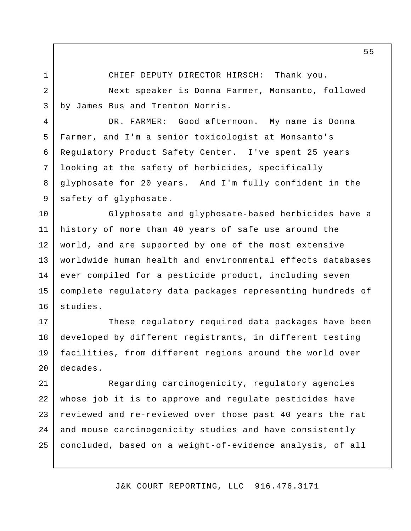1

3

4

5

6

7

8

9

CHIEF DEPUTY DIRECTOR HIRSCH: Thank you.

 Next speaker is Donna Farmer, Monsanto, followed by James Bus and Trenton Norris.

 DR. FARMER: Good afternoon. My name is Donna Farmer, and I'm a senior toxicologist at Monsanto's Regulatory Product Safety Center. I've spent 25 years looking at the safety of herbicides, specifically glyphosate for 20 years. And I'm fully confident in the safety of glyphosate.

 Glyphosate and glyphosate-based herbicides have a history of more than 40 years of safe use around the world, and are supported by one of the most extensive worldwide human health and environmental effects databases ever compiled for a pesticide product, including seven complete regulatory data packages representing hundreds of 10 11 12 13 14 15 16 studies.

 These regulatory required data packages have been developed by different registrants, in different testing facilities, from different regions around the world over 17 18 19 20 decades.

 whose job it is to approve and regulate pesticides have reviewed and re-reviewed over those past 40 years the rat and mouse carcinogenicity studies and have consistently concluded, based on a weight-of-evidence analysis, of all 21 22 23 24 25 Regarding carcinogenicity, regulatory agencies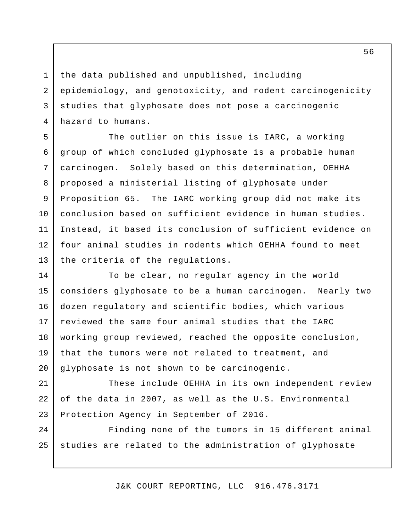the data published and unpublished, including epidemiology, and genotoxicity, and rodent carcinogenicity studies that glyphosate does not pose a carcinogenic hazard to humans.

1

2

3

4

 The outlier on this issue is IARC, a working group of which concluded glyphosate is a probable human carcinogen. proposed a ministerial listing of glyphosate under Proposition 65. The IARC working group did not make its conclusion based on sufficient evidence in human studies. Instead, it based its conclusion of sufficient evidence on four animal studies in rodents which OEHHA found to meet the criteria of the regulations. 5 6 7 8 9 10 11 12 13 Solely based on this determination, OEHHA

 To be clear, no regular agency in the world considers glyphosate to be a human carcinogen. Nearly two dozen regulatory and scientific bodies, which various reviewed the same four animal studies that the IARC working group reviewed, reached the opposite conclusion, that the tumors were not related to treatment, and glyphosate is not shown to be carcinogenic. 14 15 16 17 18 19 20

 These include OEHHA in its own independent review of the data in 2007, as well as the U.S. Environmental Protection Agency in September of 2016. 21 22 23

 Finding none of the tumors in 15 different animal studies are related to the administration of glyphosate 24 25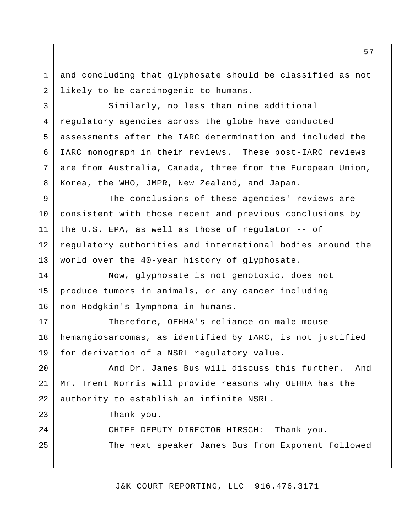and concluding that glyphosate should be classified as not likely to be carcinogenic to humans. 1 2

 Similarly, no less than nine additional regulatory agencies across the globe have conducted assessments after the IARC determination and included the IARC monograph in their reviews. These post-IARC reviews are from Australia, Canada, three from the European Union, Korea, the WHO, JMPR, New Zealand, and Japan. 4

 The conclusions of these agencies' reviews are consistent with those recent and previous conclusions by the U.S. EPA, as well as those of regulator -- of regulatory authorities and international bodies around the world over the 40-year history of glyphosate. 9 10 11 12 13

 Now, glyphosate is not genotoxic, does not produce tumors in animals, or any cancer including non-Hodgkin's lymphoma in humans. 14 15 16

 Therefore, OEHHA's reliance on male mouse hemangiosarcomas, as identified by IARC, is not justified for derivation of a NSRL regulatory value. 17 18 19

 And Dr. James Bus will discuss this further. And Mr. Trent Norris will provide reasons why OEHHA has the authority to establish an infinite NSRL. 20 21 22

Thank you.

3

5

6

7

8

23

24

25

CHIEF DEPUTY DIRECTOR HIRSCH: Thank you.

The next speaker James Bus from Exponent followed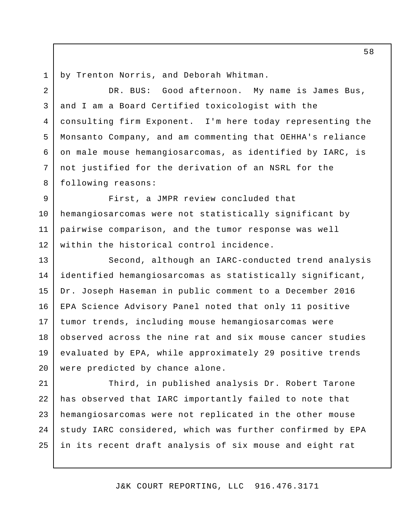by Trenton Norris, and Deborah Whitman. 1

 DR. BUS: Good afternoon. My name is James Bus, and I am a Board Certified toxicologist with the consulting firm Exponent. I'm here today representing the Monsanto Company, and am commenting that OEHHA's reliance on male mouse hemangiosarcomas, as identified by IARC, is not justified for the derivation of an NSRL for the 2 3 4 5 6 7 8 following reasons:

 First, a JMPR review concluded that hemangiosarcomas were not statistically significant by pairwise comparison, and the tumor response was well within the historical control incidence. 9 10 11 12

 Second, although an IARC-conducted trend analysis identified hemangiosarcomas as statistically significant, Dr. Joseph Haseman in public comment to a December 2016 EPA Science Advisory Panel noted that only 11 positive tumor trends, including mouse hemangiosarcomas were observed across the nine rat and six mouse cancer studies evaluated by EPA, while approximately 29 positive trends were predicted by chance alone. 13 14 15 16 17 18 19 20

 Third, in published analysis Dr. Robert Tarone has observed that IARC importantly failed to note that hemangiosarcomas were not replicated in the other mouse study IARC considered, which was further confirmed by EPA in its recent draft analysis of six mouse and eight rat 21 22 23 24 25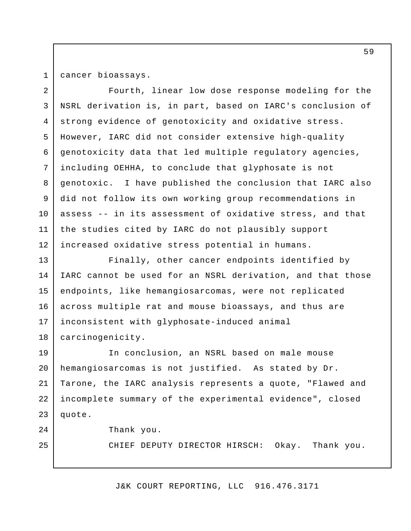cancer bioassays.

 Fourth, linear low dose response modeling for the NSRL derivation is, in part, based on IARC's conclusion of strong evidence of genotoxicity and oxidative stress. However, IARC did not consider extensive high-quality genotoxicity data that led multiple regulatory agencies, including OEHHA, to conclude that glyphosate is not genotoxic. did not follow its own working group recommendations in assess -- in its assessment of oxidative stress, and that the studies cited by IARC do not plausibly support increased oxidative stress potential in humans. 2 3 4 5 6 7 8 9 10 11 12 I have published the conclusion that IARC also

 Finally, other cancer endpoints identified by IARC cannot be used for an NSRL derivation, and that those endpoints, like hemangiosarcomas, were not replicated across multiple rat and mouse bioassays, and thus are inconsistent with glyphosate-induced animal 13 14 15 16 17 18 carcinogenicity.

 In conclusion, an NSRL based on male mouse hemangiosarcomas is not justified. As stated by Dr. Tarone, the IARC analysis represents a quote, "Flawed and incomplete summary of the experimental evidence", closed 19 20 21 22 23 quote.

24

25

Thank you.

CHIEF DEPUTY DIRECTOR HIRSCH: Okay. Thank you.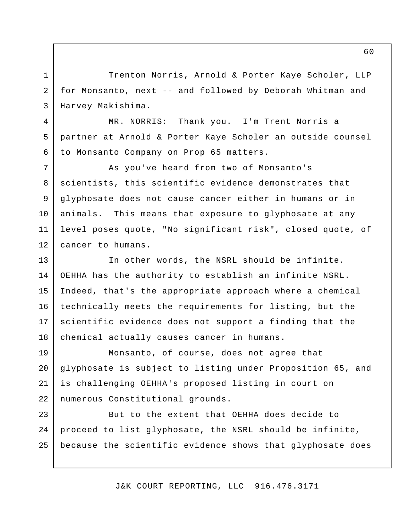Trenton Norris, Arnold & Porter Kaye Scholer, LLP for Monsanto, next -- and followed by Deborah Whitman and Harvey Makishima.

1

2

3

4

5

6

MR. NORRIS: partner at Arnold & Porter Kaye Scholer an outside counsel to Monsanto Company on Prop 65 matters. Thank you. I'm Trent Norris a

 As you've heard from two of Monsanto's scientists, this scientific evidence demonstrates that glyphosate does not cause cancer either in humans or in animals. level poses quote, "No significant risk", closed quote, of cancer to humans. 7 8 9 10 11 12 This means that exposure to glyphosate at any

 In other words, the NSRL should be infinite. OEHHA has the authority to establish an infinite NSRL. Indeed, that's the appropriate approach where a chemical technically meets the requirements for listing, but the scientific evidence does not support a finding that the chemical actually causes cancer in humans. 13 14 15 16 17 18

 Monsanto, of course, does not agree that glyphosate is subject to listing under Proposition 65, and is challenging OEHHA's proposed listing in court on 19 20 21 22 numerous Constitutional grounds.

 But to the extent that OEHHA does decide to proceed to list glyphosate, the NSRL should be infinite, because the scientific evidence shows that glyphosate does 23 24 25

J&K COURT REPORTING, LLC 916.476.3171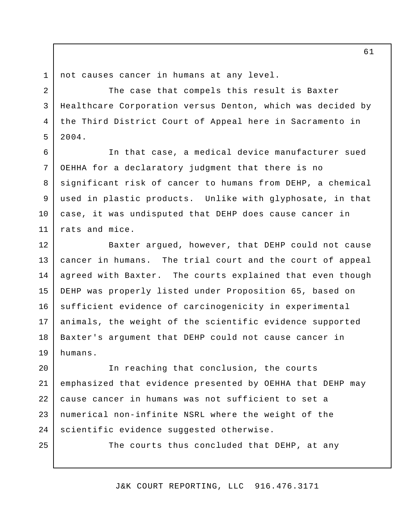5

6

7

8

9

10

11

25

not causes cancer in humans at any level.

 The case that compels this result is Baxter Healthcare Corporation versus Denton, which was decided by the Third District Court of Appeal here in Sacramento in 3 4 2004.

 In that case, a medical device manufacturer sued OEHHA for a declaratory judgment that there is no significant risk of cancer to humans from DEHP, a chemical used in plastic products. Unlike with glyphosate, in that case, it was undisputed that DEHP does cause cancer in rats and mice.

 Baxter argued, however, that DEHP could not cause cancer in humans. The trial court and the court of appeal agreed with Baxter. The courts explained that even though DEHP was properly listed under Proposition 65, based on sufficient evidence of carcinogenicity in experimental animals, the weight of the scientific evidence supported Baxter's argument that DEHP could not cause cancer in 12 13 14 15 16 17 18 19 humans.

 In reaching that conclusion, the courts emphasized that evidence presented by OEHHA that DEHP may cause cancer in humans was not sufficient to set a numerical non-infinite NSRL where the weight of the 20 21 22 23 24 scientific evidence suggested otherwise.

The courts thus concluded that DEHP, at any

J&K COURT REPORTING, LLC 916.476.3171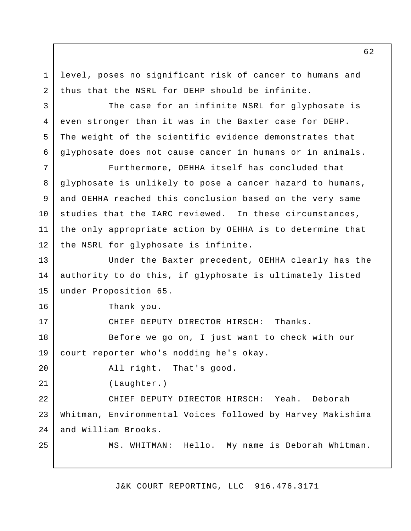level, poses no significant risk of cancer to humans and thus that the NSRL for DEHP should be infinite.

 The case for an infinite NSRL for glyphosate is even stronger than it was in the Baxter case for DEHP. The weight of the scientific evidence demonstrates that glyphosate does not cause cancer in humans or in animals.

 Furthermore, OEHHA itself has concluded that glyphosate is unlikely to pose a cancer hazard to humans, and OEHHA reached this conclusion based on the very same studies that the IARC reviewed. In these circumstances, the only appropriate action by OEHHA is to determine that the NSRL for glyphosate is infinite. 7 8 9 10 11 12

 Under the Baxter precedent, OEHHA clearly has the authority to do this, if glyphosate is ultimately listed under Proposition 65. 13 14 15

Thank you.

1

2

3

4

5

6

16

17

20

21

25

CHIEF DEPUTY DIRECTOR HIRSCH: Thanks.

 Before we go on, I just want to check with our court reporter who's nodding he's okay. 18 19

All right. That's good.

(Laughter.)

 CHIEF DEPUTY DIRECTOR HIRSCH: Yeah. Deborah Whitman, Environmental Voices followed by Harvey Makishima and William Brooks. 22 23 24

MS. WHITMAN: Hello. My name is Deborah Whitman.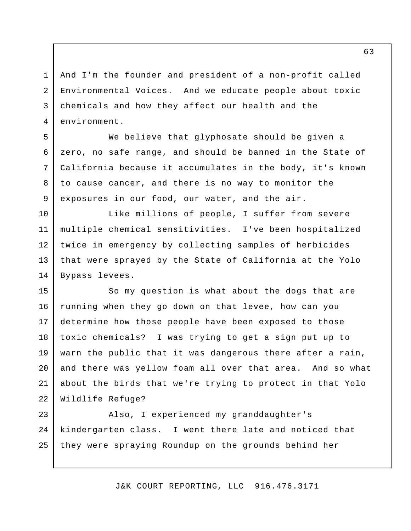And I'm the founder and president of a non-profit called Environmental Voices. And we educate people about toxic chemicals and how they affect our health and the 1 2 3 4 environment.

5

6

7

8

9

 We believe that glyphosate should be given a zero, no safe range, and should be banned in the State of California because it accumulates in the body, it's known to cause cancer, and there is no way to monitor the exposures in our food, our water, and the air.

 Like millions of people, I suffer from severe multiple chemical sensitivities. I've been hospitalized twice in emergency by collecting samples of herbicides that were sprayed by the State of California at the Yolo Bypass levees. 10 11 12 13 14

 So my question is what about the dogs that are running when they go down on that levee, how can you determine how those people have been exposed to those toxic chemicals? warn the public that it was dangerous there after a rain, and there was yellow foam all over that area. And so what about the birds that we're trying to protect in that Yolo Wildlife Refuge? 15 16 17 18 19 20 21 22 I was trying to get a sign put up to

 Also, I experienced my granddaughter's kindergarten class. they were spraying Roundup on the grounds behind her 23 24 25 I went there late and noticed that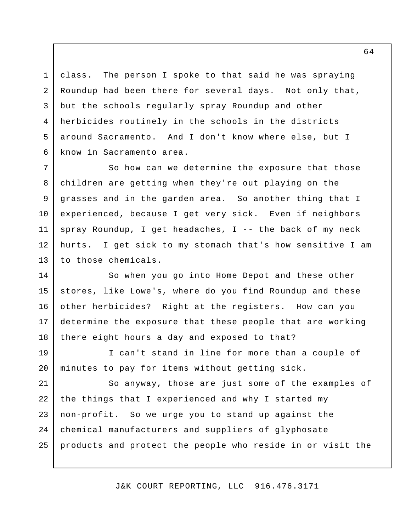class. The person I spoke to that said he was spraying Roundup had been there for several days. Not only that, but the schools regularly spray Roundup and other herbicides routinely in the schools in the districts around Sacramento. And I don't know where else, but I know in Sacramento area. 1 2 3 4 5 6

 So how can we determine the exposure that those children are getting when they're out playing on the grasses and in the garden area. So another thing that I experienced, because I get very sick. Even if neighbors spray Roundup, I get headaches, I -- the back of my neck hurts. I get sick to my stomach that's how sensitive I am to those chemicals. 7 8 9 10 11 12 13

 So when you go into Home Depot and these other stores, like Lowe's, where do you find Roundup and these other herbicides? Right at the registers. How can you determine the exposure that these people that are working there eight hours a day and exposed to that? 14 15 16 17 18

 I can't stand in line for more than a couple of minutes to pay for items without getting sick. 19 20

 So anyway, those are just some of the examples of the things that I experienced and why I started my non-profit. So we urge you to stand up against the chemical manufacturers and suppliers of glyphosate products and protect the people who reside in or visit the 21 22 23 24 25

J&K COURT REPORTING, LLC 916.476.3171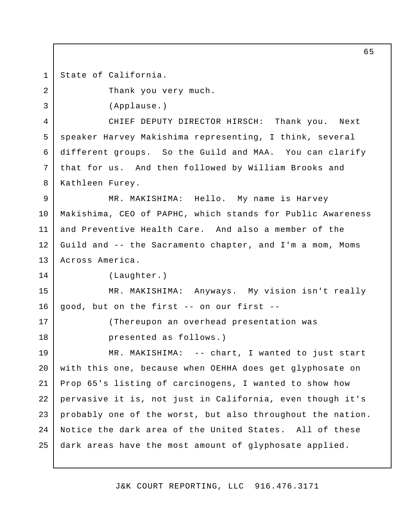State of California. 1

2

3

14

17

18

Thank you very much.

(Applause.)

 CHIEF DEPUTY DIRECTOR HIRSCH: Thank you. Next speaker Harvey Makishima representing, I think, several different groups. So the Guild and MAA. You can clarify that for us. And then followed by William Brooks and 4 5 6 7 8 Kathleen Furey.

 MR. MAKISHIMA: Hello. My name is Harvey Makishima, CEO of PAPHC, which stands for Public Awareness and Preventive Health Care. And also a member of the Guild and -- the Sacramento chapter, and I'm a mom, Moms 9 10 11 12 13 Across America.

(Laughter.)

 MR. MAKISHIMA: Anyways. My vision isn't really good, but on the first -- on our first - 15 16

> (Thereupon an overhead presentation was presented as follows.)

 MR. MAKISHIMA: -- chart, I wanted to just start with this one, because when OEHHA does get glyphosate on Prop 65's listing of carcinogens, I wanted to show how pervasive it is, not just in California, even though it's probably one of the worst, but also throughout the nation. Notice the dark area of the United States. All of these dark areas have the most amount of glyphosate applied. 19 20 21 22 23 24 25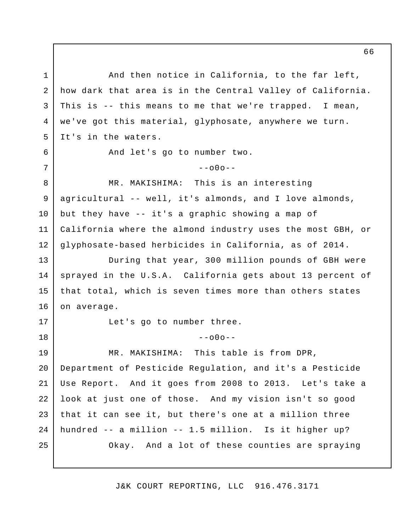And then notice in California, to the far left, how dark that area is in the Central Valley of California. This is -- this means to me that we're trapped. I mean, we've got this material, glyphosate, anywhere we turn. It's in the waters. And let's go to number two. MR. MAKISHIMA: This is an interesting agricultural -- well, it's almonds, and I love almonds, but they have -- it's a graphic showing a map of California where the almond industry uses the most GBH, or glyphosate-based herbicides in California, as of 2014. During that year, 300 million pounds of GBH were sprayed in the U.S.A. California gets about 13 percent of that total, which is seven times more than others states Let's go to number three. MR. MAKISHIMA: This table is from DPR, Department of Pesticide Regulation, and it's a Pesticide Use Report. And it goes from 2008 to 2013. Let's take a look at just one of those. And my vision isn't so good that it can see it, but there's one at a million three hundred -- a million -- 1.5 million. Is it higher up? Okay. And a lot of these counties are spraying 1 2 3 4 5 6 7 8 9 10 11 12 13 14 15 16 17 18 19 20 21 22 23 24 25  $--000-$ on average.  $--000--$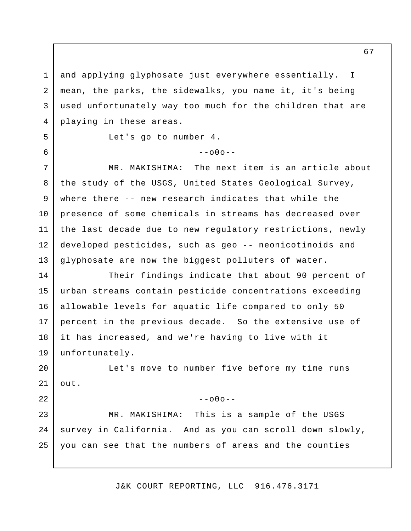and applying glyphosate just everywhere essentially. mean, the parks, the sidewalks, you name it, it's being used unfortunately way too much for the children that are playing in these areas. 1 2 3 4 I

5

6

22

## $--000--$

Let's go to number 4.

MR. MAKISHIMA: the study of the USGS, United States Geological Survey, where there -- new research indicates that while the presence of some chemicals in streams has decreased over the last decade due to new regulatory restrictions, newly developed pesticides, such as geo -- neonicotinoids and glyphosate are now the biggest polluters of water. 7 8 9 10 11 12 13 The next item is an article about

 Their findings indicate that about 90 percent of urban streams contain pesticide concentrations exceeding allowable levels for aquatic life compared to only 50 percent in the previous decade. So the extensive use of it has increased, and we're having to live with it 14 15 16 17 18 19 unfortunately.

 Let's move to number five before my time runs 20 21 out.

 $--000--$ 

MR. MAKISHIMA: survey in California. And as you can scroll down slowly, you can see that the numbers of areas and the counties 23 24 25 This is a sample of the USGS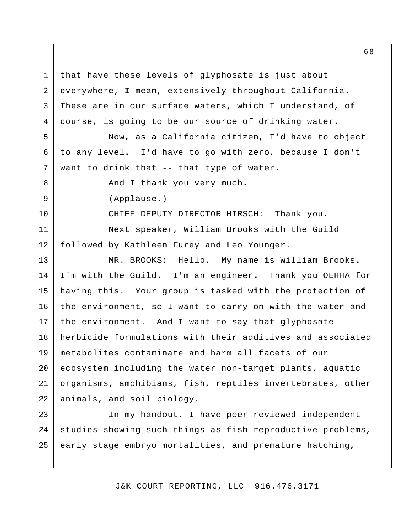that have these levels of glyphosate is just about everywhere, I mean, extensively throughout California. These are in our surface waters, which I understand, of course, is going to be our source of drinking water. 1 2 3 4

 Now, as a California citizen, I'd have to object to any level. I'd have to go with zero, because I don't want to drink that -- that type of water. 5 6 7

And I thank you very much.

(Applause.)

8

9

10

11

12

 CHIEF DEPUTY DIRECTOR HIRSCH: Thank you. Next speaker, William Brooks with the Guild followed by Kathleen Furey and Leo Younger.

 MR. BROOKS: Hello. My name is William Brooks. I'm with the Guild. having this. the environment, so I want to carry on with the water and the environment. And I want to say that glyphosate herbicide formulations with their additives and associated metabolites contaminate and harm all facets of our ecosystem including the water non-target plants, aquatic organisms, amphibians, fish, reptiles invertebrates, other animals, and soil biology. 13 14 15 16 17 18 19 20 21 22 I'm an engineer. Thank you OEHHA for Your group is tasked with the protection of

 In my handout, I have peer-reviewed independent studies showing such things as fish reproductive problems, early stage embryo mortalities, and premature hatching, 23 24 25

J&K COURT REPORTING, LLC 916.476.3171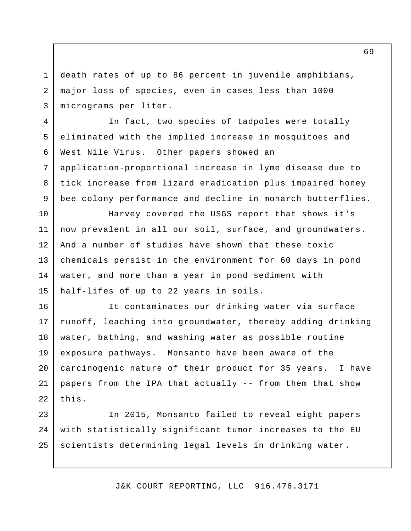death rates of up to 86 percent in juvenile amphibians, major loss of species, even in cases less than 1000 micrograms per liter. 1 2 3

4

5

6

7

8

9

 In fact, two species of tadpoles were totally eliminated with the implied increase in mosquitoes and West Nile Virus. Other papers showed an application-proportional increase in lyme disease due to tick increase from lizard eradication plus impaired honey bee colony performance and decline in monarch butterflies.

 Harvey covered the USGS report that shows it's now prevalent in all our soil, surface, and groundwaters. And a number of studies have shown that these toxic chemicals persist in the environment for 60 days in pond water, and more than a year in pond sediment with half-lifes of up to 22 years in soils. 10 11 12 13 14 15

 It contaminates our drinking water via surface runoff, leaching into groundwater, thereby adding drinking water, bathing, and washing water as possible routine exposure pathways. Monsanto have been aware of the carcinogenic nature of their product for 35 years. I have papers from the IPA that actually -- from them that show 16 17 18 19 20 21 22 this.

 In 2015, Monsanto failed to reveal eight papers with statistically significant tumor increases to the EU scientists determining legal levels in drinking water. 23 24 25

J&K COURT REPORTING, LLC 916.476.3171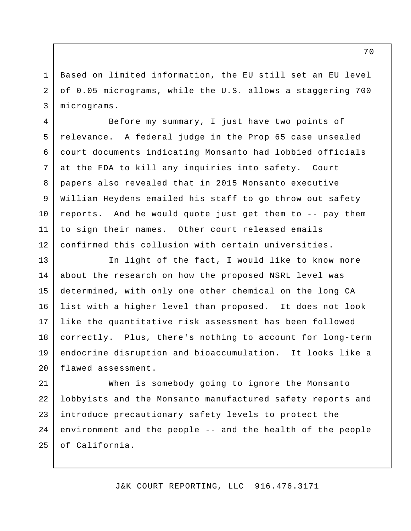Based on limited information, the EU still set an EU level of 0.05 micrograms, while the U.S. allows a staggering 700 micrograms.

1

2

3

4

5

6

7

8

9

10

11

12

 Before my summary, I just have two points of relevance. A federal judge in the Prop 65 case unsealed court documents indicating Monsanto had lobbied officials at the FDA to kill any inquiries into safety. Court papers also revealed that in 2015 Monsanto executive William Heydens emailed his staff to go throw out safety reports. And he would quote just get them to -- pay them to sign their names. Other court released emails confirmed this collusion with certain universities.

 In light of the fact, I would like to know more about the research on how the proposed NSRL level was determined, with only one other chemical on the long CA list with a higher level than proposed. It does not look like the quantitative risk assessment has been followed correctly. Plus, there's nothing to account for long-term endocrine disruption and bioaccumulation. It looks like a 13 14 15 16 17 18 19 20 flawed assessment.

 When is somebody going to ignore the Monsanto lobbyists and the Monsanto manufactured safety reports and introduce precautionary safety levels to protect the environment and the people -- and the health of the people 21 22 23 24 25 of California.

J&K COURT REPORTING, LLC 916.476.3171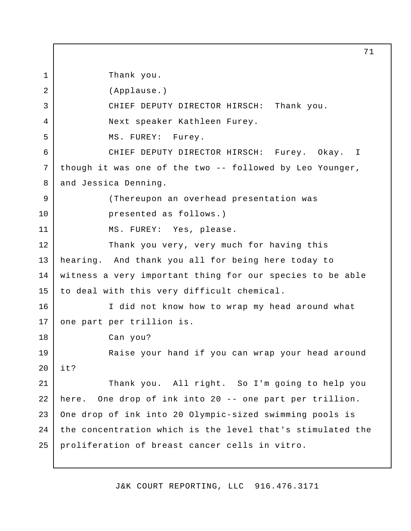Thank you. CHIEF DEPUTY DIRECTOR HIRSCH: Thank you. Next speaker Kathleen Furey. MS. FUREY: Furey. CHIEF DEPUTY DIRECTOR HIRSCH: Furey. Okay. though it was one of the two -- followed by Leo Younger, and Jessica Denning. (Thereupon an overhead presentation was presented as follows.) MS. FUREY: Yes, please. Thank you very, very much for having this hearing. And thank you all for being here today to witness a very important thing for our species to be able to deal with this very difficult chemical. I did not know how to wrap my head around what one part per trillion is. Can you? Raise your hand if you can wrap your head around Thank you. All right. So I'm going to help you here. One drop of ink into 20 -- one part per trillion. One drop of ink into 20 Olympic-sized swimming pools is the concentration which is the level that's stimulated the proliferation of breast cancer cells in vitro. 1 2 3 4 5 6 7 8 9 10 11 12 13 14 15 16 17 18 19  $20^{\circ}$ 21 22 23 24 25 (Applause.) it? I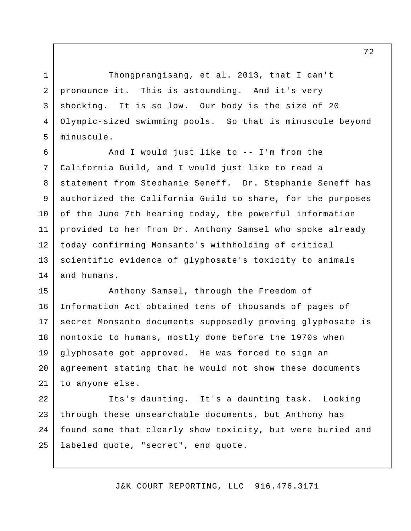Thongprangisang, et al. 2013, that I can't pronounce it. This is astounding. And it's very shocking. It is so low. Our body is the size of 20 Olympic-sized swimming pools. So that is minuscule beyond minuscule.

1

2

3

4

5

6

9

10

 And I would just like to -- I'm from the California Guild, and I would just like to read a statement from Stephanie Seneff. Dr. Stephanie Seneff has authorized the California Guild to share, for the purposes of the June 7th hearing today, the powerful information provided to her from Dr. Anthony Samsel who spoke already today confirming Monsanto's withholding of critical scientific evidence of glyphosate's toxicity to animals and humans. 7 8 11 12 13 14

 Anthony Samsel, through the Freedom of Information Act obtained tens of thousands of pages of secret Monsanto documents supposedly proving glyphosate is nontoxic to humans, mostly done before the 1970s when glyphosate got approved. He was forced to sign an agreement stating that he would not show these documents to anyone else. 15 16 17 18 19 20 21

 Its's daunting. It's a daunting task. Looking through these unsearchable documents, but Anthony has found some that clearly show toxicity, but were buried and labeled quote, "secret", end quote. 22 23 24 25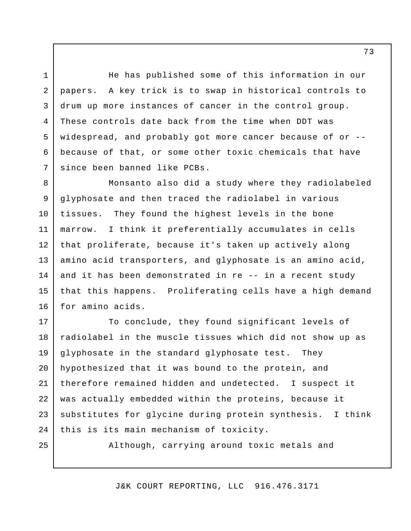He has published some of this information in our papers. A key trick is to swap in historical controls to drum up more instances of cancer in the control group. These controls date back from the time when DDT was widespread, and probably got more cancer because of or -- because of that, or some other toxic chemicals that have since been banned like PCBs. 3 4 5 6

 Monsanto also did a study where they radiolabeled glyphosate and then traced the radiolabel in various tissues. They found the highest levels in the bone marrow. I think it preferentially accumulates in cells that proliferate, because it's taken up actively along amino acid transporters, and glyphosate is an amino acid, and it has been demonstrated in re -- in a recent study that this happens. Proliferating cells have a high demand for amino acids. 8 9 10 11 12 13 14 15 16

 To conclude, they found significant levels of radiolabel in the muscle tissues which did not show up as glyphosate in the standard glyphosate test. They hypothesized that it was bound to the protein, and therefore remained hidden and undetected. I suspect it was actually embedded within the proteins, because it substitutes for glycine during protein synthesis. I think this is its main mechanism of toxicity. 17 18 19 20 21 22 23 24 They

25

1

2

7

Although, carrying around toxic metals and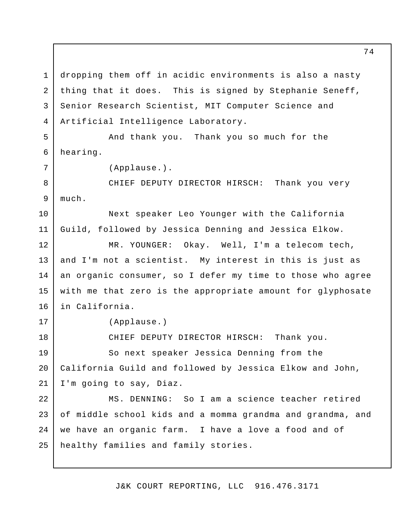dropping them off in acidic environments is also a nasty thing that it does. This is signed by Stephanie Seneff, Senior Research Scientist, MIT Computer Science and 1 2 3 4 Artificial Intelligence Laboratory.

 And thank you. Thank you so much for the 5 6 hearing.

(Applause.).

 CHIEF DEPUTY DIRECTOR HIRSCH: Thank you very 8 9 much.

 Next speaker Leo Younger with the California Guild, followed by Jessica Denning and Jessica Elkow.

 MR. YOUNGER: Okay. Well, I'm a telecom tech, and I'm not a scientist. My interest in this is just as an organic consumer, so I defer my time to those who agree with me that zero is the appropriate amount for glyphosate 12 13 14 15 16 in California.

7

10

11

17

18

(Applause.)

CHIEF DEPUTY DIRECTOR HIRSCH: Thank you.

 So next speaker Jessica Denning from the California Guild and followed by Jessica Elkow and John, I'm going to say, Diaz. 19 20 21

 MS. DENNING: So I am a science teacher retired of middle school kids and a momma grandma and grandma, and we have an organic farm. I have a love a food and of healthy families and family stories. 22 23 24 25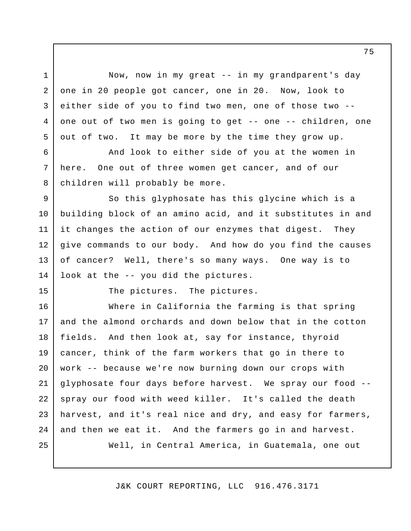Now, now in my great -- in my grandparent's day one in 20 people got cancer, one in 20. Now, look to either side of you to find two men, one of those two - one out of two men is going to get -- one -- children, one out of two. It may be more by the time they grow up.

 And look to either side of you at the women in here. children will probably be more. One out of three women get cancer, and of our

 So this glyphosate has this glycine which is a building block of an amino acid, and it substitutes in and it changes the action of our enzymes that digest. They give commands to our body. And how do you find the causes of cancer? Well, there's so many ways. One way is to look at the -- you did the pictures. 9 10 11 12 13 14

15

1

2

3

4

5

6

7

8

The pictures. The pictures.

 Where in California the farming is that spring and the almond orchards and down below that in the cotton fields. And then look at, say for instance, thyroid cancer, think of the farm workers that go in there to work -- because we're now burning down our crops with glyphosate four days before harvest. We spray our food - spray our food with weed killer. It's called the death harvest, and it's real nice and dry, and easy for farmers, and then we eat it. And the farmers go in and harvest. Well, in Central America, in Guatemala, one out 16 17 18 19 20 21 22 23 24 25

J&K COURT REPORTING, LLC 916.476.3171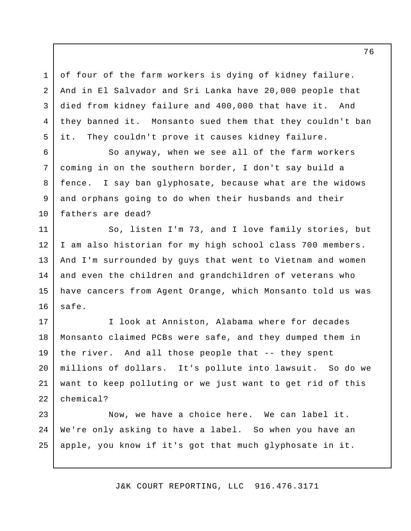of four of the farm workers is dying of kidney failure. And in El Salvador and Sri Lanka have 20,000 people that died from kidney failure and 400,000 that have it. And they banned it. Monsanto sued them that they couldn't ban it. They couldn't prove it causes kidney failure.

1

2

3

4

5

 So anyway, when we see all of the farm workers coming in on the southern border, I don't say build a fence. and orphans going to do when their husbands and their fathers are dead? 6 7 8 9 10 I say ban glyphosate, because what are the widows

 So, listen I'm 73, and I love family stories, but I am also historian for my high school class 700 members. And I'm surrounded by guys that went to Vietnam and women and even the children and grandchildren of veterans who have cancers from Agent Orange, which Monsanto told us was 11 12 13 14 15 16 safe.

 I look at Anniston, Alabama where for decades Monsanto claimed PCBs were safe, and they dumped them in the river. And all those people that -- they spent millions of dollars. It's pollute into lawsuit. So do we want to keep polluting or we just want to get rid of this 17 18 19 20 21 22 chemical?

 Now, we have a choice here. We can label it. We're only asking to have a label. So when you have an apple, you know if it's got that much glyphosate in it. 23 24 25

J&K COURT REPORTING, LLC 916.476.3171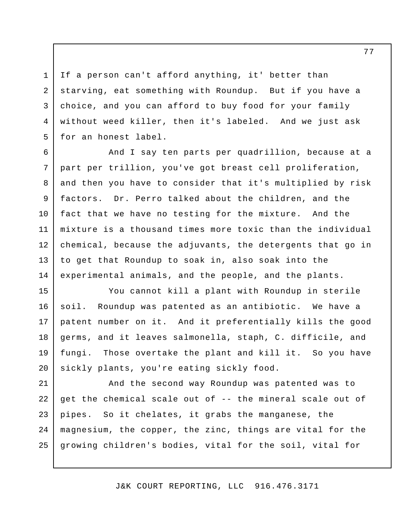If a person can't afford anything, it' better than starving, eat something with Roundup. But if you have a choice, and you can afford to buy food for your family without weed killer, then it's labeled. And we just ask for an honest label.

1

2

3

4

5

 And I say ten parts per quadrillion, because at a part per trillion, you've got breast cell proliferation, and then you have to consider that it's multiplied by risk factors. Dr. Perro talked about the children, and the fact that we have no testing for the mixture. And the mixture is a thousand times more toxic than the individual chemical, because the adjuvants, the detergents that go in to get that Roundup to soak in, also soak into the experimental animals, and the people, and the plants. 6 7 8 9 10 11 12 13 14

 You cannot kill a plant with Roundup in sterile soil. patent number on it. And it preferentially kills the good germs, and it leaves salmonella, staph, C. difficile, and fungi. sickly plants, you're eating sickly food. 15 16 17 18 19 20 Roundup was patented as an antibiotic. We have a Those overtake the plant and kill it. So you have

 And the second way Roundup was patented was to get the chemical scale out of -- the mineral scale out of pipes. So it chelates, it grabs the manganese, the magnesium, the copper, the zinc, things are vital for the growing children's bodies, vital for the soil, vital for 21 22 23 24 25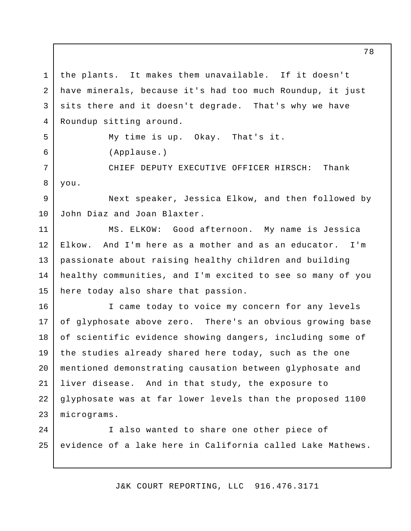the plants. It makes them unavailable. If it doesn't have minerals, because it's had too much Roundup, it just sits there and it doesn't degrade. That's why we have Roundup sitting around. 1 2 3 4

5 6  My time is up. Okay. That's it. (Applause.)

 CHIEF DEPUTY EXECUTIVE OFFICER HIRSCH: Thank 7 8 you.

 Next speaker, Jessica Elkow, and then followed by John Diaz and Joan Blaxter. 9 10

 MS. ELKOW: Good afternoon. My name is Jessica Elkow. And I'm here as a mother and as an educator. I'm passionate about raising healthy children and building healthy communities, and I'm excited to see so many of you here today also share that passion. 11 12 13 14 15

 I came today to voice my concern for any levels of glyphosate above zero. There's an obvious growing base of scientific evidence showing dangers, including some of the studies already shared here today, such as the one mentioned demonstrating causation between glyphosate and liver disease. And in that study, the exposure to glyphosate was at far lower levels than the proposed 1100 16 17 18 19 20 21 22 23 micrograms.

 I also wanted to share one other piece of evidence of a lake here in California called Lake Mathews.  $2.4$ 25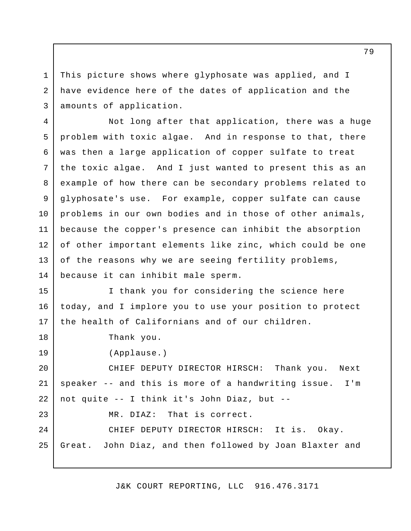This picture shows where glyphosate was applied, and I have evidence here of the dates of application and the amounts of application. 1 2 3

 Not long after that application, there was a huge problem with toxic algae. And in response to that, there was then a large application of copper sulfate to treat the toxic algae. And I just wanted to present this as an example of how there can be secondary problems related to glyphosate's use. For example, copper sulfate can cause problems in our own bodies and in those of other animals, because the copper's presence can inhibit the absorption of other important elements like zinc, which could be one of the reasons why we are seeing fertility problems, because it can inhibit male sperm. 4 5 6 7 8 9 10 11 12 13 14

 I thank you for considering the science here today, and I implore you to use your position to protect the health of Californians and of our children. 15 16 17

Thank you.

18

19

23

(Applause.)

 CHIEF DEPUTY DIRECTOR HIRSCH: Thank you. Next speaker -- and this is more of a handwriting issue. I'm not quite -- I think it's John Diaz, but - 20 21 22

> MR DIAZ: That is correct.

 CHIEF DEPUTY DIRECTOR HIRSCH: It is. Okay. Great.  $2.4$ 25 John Diaz, and then followed by Joan Blaxter and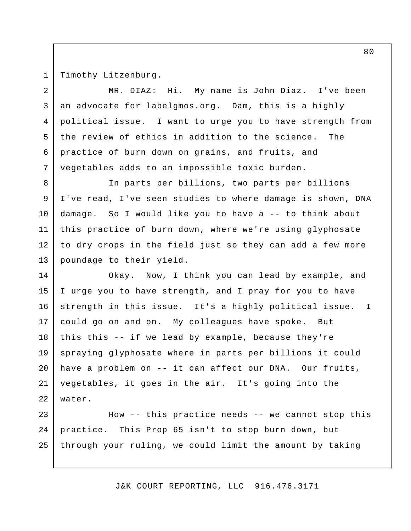1

Timothy Litzenburg.

 MR. DIAZ: Hi. My name is John Diaz. I've been an advocate for [labelgmos.org](http:labelgmos.org). Dam, this is a highly political issue. the review of ethics in addition to the science. The practice of burn down on grains, and fruits, and vegetables adds to an impossible toxic burden. 2 3 4 5 6 7 political issue. I want to urge you to have strength from

 In parts per billions, two parts per billions I've read, I've seen studies to where damage is shown, DNA damage. So I would like you to have a -- to think about this practice of burn down, where we're using glyphosate to dry crops in the field just so they can add a few more poundage to their yield. 8 9 10 11 12 13

 Okay. Now, I think you can lead by example, and I urge you to have strength, and I pray for you to have strength in this issue. It's a highly political issue. could go on and on. My colleagues have spoke. But this this -- if we lead by example, because they're spraying glyphosate where in parts per billions it could have a problem on -- it can affect our DNA. Our fruits, vegetables, it goes in the air. It's going into the 14 15 16 17 18 19 20 21 22 water. I

 How -- this practice needs -- we cannot stop this practice. This Prop 65 isn't to stop burn down, but through your ruling, we could limit the amount by taking 23 24 25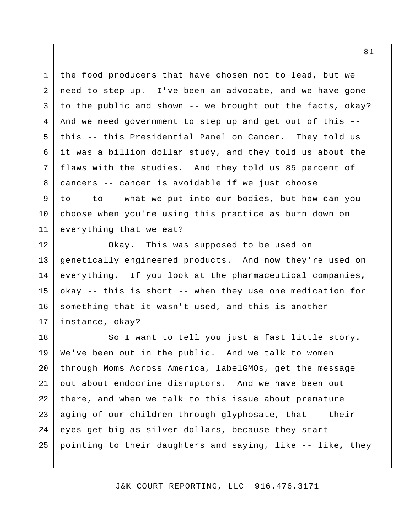the food producers that have chosen not to lead, but we need to step up. I've been an advocate, and we have gone to the public and shown -- we brought out the facts, okay? And we need government to step up and get out of this - this -- this Presidential Panel on Cancer. They told us it was a billion dollar study, and they told us about the flaws with the studies. And they told us 85 percent of cancers -- cancer is avoidable if we just choose to -- to -- what we put into our bodies, but how can you choose when you're using this practice as burn down on everything that we eat? 1 2 3 4 5 6 7 8 9 10 11

 Okay. This was supposed to be used on genetically engineered products. And now they're used on everything. If you look at the pharmaceutical companies, okay -- this is short -- when they use one medication for something that it wasn't used, and this is another instance, okay? 12 13 14 15 16 17

 So I want to tell you just a fast little story. We've been out in the public. And we talk to women through Moms Across America, labelGMOs, get the message out about endocrine disruptors. And we have been out there, and when we talk to this issue about premature aging of our children through glyphosate, that -- their eyes get big as silver dollars, because they start pointing to their daughters and saying, like -- like, they 18 19 20 21 22 23 24 25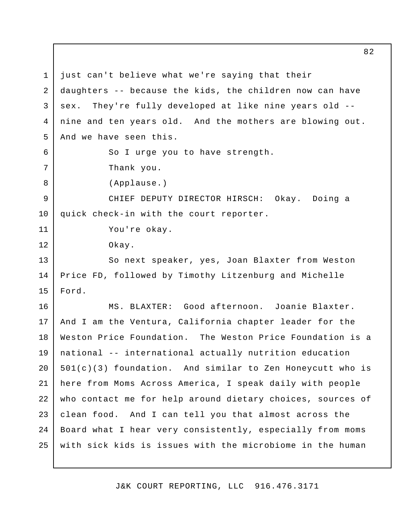just can't believe what we're saying that their daughters -- because the kids, the children now can have sex. nine and ten years old. And the mothers are blowing out. And we have seen this. So I urge you to have strength. Thank you. CHIEF DEPUTY DIRECTOR HIRSCH: Okay. Doing a quick check-in with the court reporter. You're okay. So next speaker, yes, Joan Blaxter from Weston Price FD, followed by Timothy Litzenburg and Michelle MS. BLAXTER: Good afternoon. Joanie Blaxter. And I am the Ventura, California chapter leader for the Weston Price Foundation. The Weston Price Foundation is a national -- international actually nutrition education 501(c)(3) foundation. And similar to Zen Honeycutt who is here from Moms Across America, I speak daily with people who contact me for help around dietary choices, sources of clean food. And I can tell you that almost across the Board what I hear very consistently, especially from moms with sick kids is issues with the microbiome in the human 1 2 3 4 5 6 7 8 9 10 11 12 13 14 15 16 17 18 19 20 21 22 23 24 25 They're fully developed at like nine years old --(Applause.) Okay. Ford.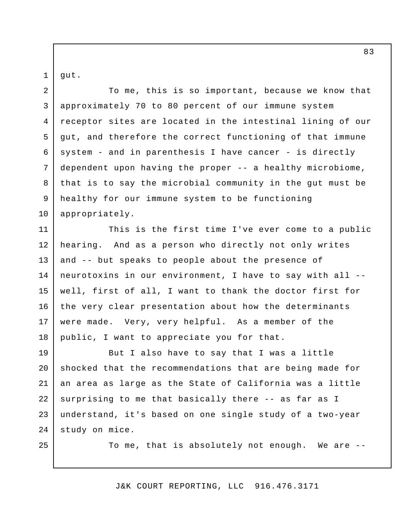1 gut.

25

 To me, this is so important, because we know that approximately 70 to 80 percent of our immune system receptor sites are located in the intestinal lining of our gut, and therefore the correct functioning of that immune system - and in parenthesis I have cancer - is directly dependent upon having the proper -- a healthy microbiome, that is to say the microbial community in the gut must be healthy for our immune system to be functioning 2 3 4 5 6 7 8 9 10 appropriately.

 This is the first time I've ever come to a public hearing. And as a person who directly not only writes and -- but speaks to people about the presence of neurotoxins in our environment, I have to say with all - well, first of all, I want to thank the doctor first for the very clear presentation about how the determinants were made. Very, very helpful. As a member of the public, I want to appreciate you for that. 11 12 13 14 15 16 17 18

 But I also have to say that I was a little shocked that the recommendations that are being made for an area as large as the State of California was a little surprising to me that basically there -- as far as I understand, it's based on one single study of a two-year study on mice. 19 20 21 22 23 24

To me, that is absolutely not enough. We are --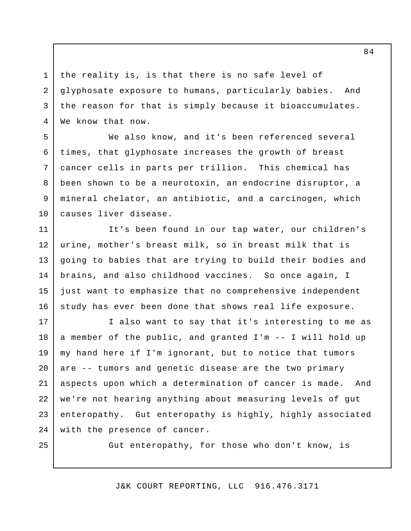the reality is, is that there is no safe level of glyphosate exposure to humans, particularly babies. And the reason for that is simply because it bioaccumulates. We know that now.

 We also know, and it's been referenced several times, that glyphosate increases the growth of breast cancer cells in parts per trillion. This chemical has been shown to be a neurotoxin, an endocrine disruptor, a mineral chelator, an antibiotic, and a carcinogen, which causes liver disease. 5 6 7 8 9 10

 It's been found in our tap water, our children's urine, mother's breast milk, so in breast milk that is going to babies that are trying to build their bodies and brains, and also childhood vaccines. So once again, I just want to emphasize that no comprehensive independent study has ever been done that shows real life exposure. 11 12 13 14 15 16

 I also want to say that it's interesting to me as a member of the public, and granted I'm -- I will hold up my hand here if I'm ignorant, but to notice that tumors are -- tumors and genetic disease are the two primary aspects upon which a determination of cancer is made. And we're not hearing anything about measuring levels of gut enteropathy. Gut enteropathy is highly, highly associated with the presence of cancer. 17 18 19 20 21 22 23 24

25

1

2

3

4

Gut enteropathy, for those who don't know, is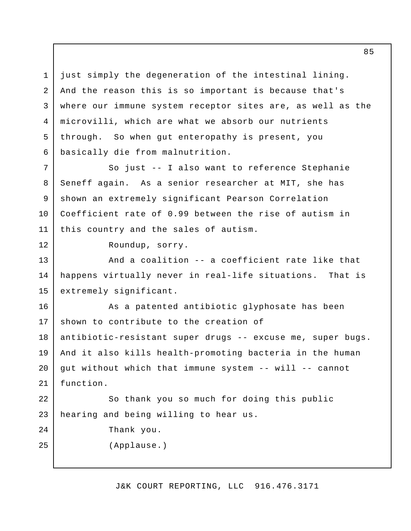just simply the degeneration of the intestinal lining. And the reason this is so important is because that's where our immune system receptor sites are, as well as the microvilli, which are what we absorb our nutrients through. So when gut enteropathy is present, you basically die from malnutrition. 1 2 3 4 5 6

 So just -- I also want to reference Stephanie Seneff again. As a senior researcher at MIT, she has shown an extremely significant Pearson Correlation Coefficient rate of 0.99 between the rise of autism in this country and the sales of autism. 7 8 9 10 11

Roundup, sorry.

 And a coalition -- a coefficient rate like that happens virtually never in real-life situations. That is 13 14 15 extremely significant.

 As a patented antibiotic glyphosate has been shown to contribute to the creation of antibiotic-resistant super drugs -- excuse me, super bugs. And it also kills health-promoting bacteria in the human gut without which that immune system -- will -- cannot So thank you so much for doing this public 16 17 18 19 20 21 22 function.

 hearing and being willing to hear us. 23

Thank you.

12

 $2.4$ 

25

(Applause.)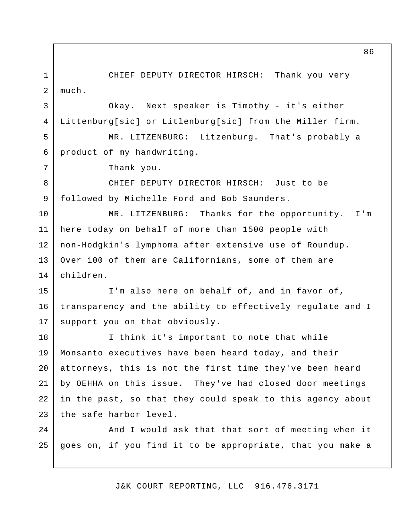CHIEF DEPUTY DIRECTOR HIRSCH: Thank you very 1 2 much.

Okay. Littenburg[sic] or Litlenburg[sic] from the Miller firm. Next speaker is Timothy - it's either

 MR. LITZENBURG: Litzenburg. That's probably a product of my handwriting. 5 6

Thank you.

3

4

7

 CHIEF DEPUTY DIRECTOR HIRSCH: Just to be followed by Michelle Ford and Bob Saunders. 8 9

 MR. LITZENBURG: Thanks for the opportunity. I'm here today on behalf of more than 1500 people with non-Hodgkin's lymphoma after extensive use of Roundup. Over 100 of them are Californians, some of them are 10 11 12 13 14 children.

 I'm also here on behalf of, and in favor of, transparency and the ability to effectively regulate and I support you on that obviously. 15 16 17

 I think it's important to note that while Monsanto executives have been heard today, and their attorneys, this is not the first time they've been heard by OEHHA on this issue. They've had closed door meetings in the past, so that they could speak to this agency about the safe harbor level. 18 19 20 21 22 23

 And I would ask that that sort of meeting when it goes on, if you find it to be appropriate, that you make a  $2.4$ 25

J&K COURT REPORTING, LLC 916.476.3171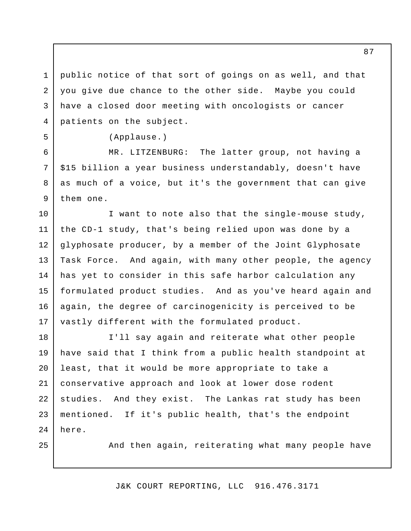public notice of that sort of goings on as well, and that you give due chance to the other side. Maybe you could have a closed door meeting with oncologists or cancer patients on the subject. 1 2 3 4

(Applause.)

 MR. LITZENBURG: The latter group, not having a \$15 billion a year business understandably, doesn't have as much of a voice, but it's the government that can give them one.

 I want to note also that the single-mouse study, the CD-1 study, that's being relied upon was done by a glyphosate producer, by a member of the Joint Glyphosate Task Force. And again, with many other people, the agency has yet to consider in this safe harbor calculation any formulated product studies. And as you've heard again and again, the degree of carcinogenicity is perceived to be vastly different with the formulated product. 10 11 12 13 14 15 16 17

 I'll say again and reiterate what other people have said that I think from a public health standpoint at least, that it would be more appropriate to take a conservative approach and look at lower dose rodent studies. And they exist. The Lankas rat study has been mentioned. If it's public health, that's the endpoint 18 19 20 21 22 23  $2.4$ here.

25

5

6

7

8

9

And then again, reiterating what many people have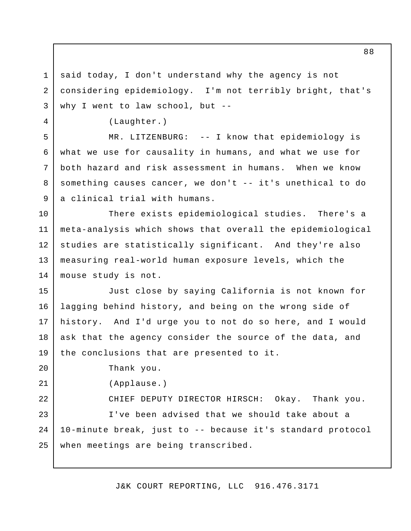said today, I don't understand why the agency is not considering epidemiology. I'm not terribly bright, that's why I went to law school, but - 1 2 3

(Laughter.)

4

5

6

7

8

9

20

21

 MR. LITZENBURG: -- I know that epidemiology is what we use for causality in humans, and what we use for both hazard and risk assessment in humans. When we know something causes cancer, we don't -- it's unethical to do a clinical trial with humans.

 There exists epidemiological studies. There's a meta-analysis which shows that overall the epidemiological studies are statistically significant. And they're also measuring real-world human exposure levels, which the mouse study is not. 10 11 12 13 14

 Just close by saying California is not known for lagging behind history, and being on the wrong side of history. And I'd urge you to not do so here, and I would ask that the agency consider the source of the data, and the conclusions that are presented to it. 15 16 17 18 19

Thank you.

(Applause.)

 CHIEF DEPUTY DIRECTOR HIRSCH: Okay. Thank you. I've been advised that we should take about a 10-minute break, just to -- because it's standard protocol when meetings are being transcribed. 22 23 24 25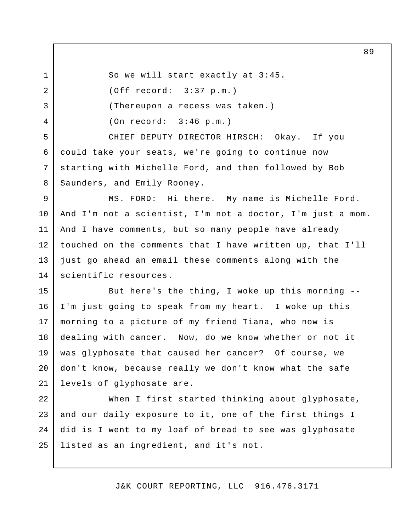So we will start exactly at 3:45. (Off record: 3:37 p.m.) (Thereupon a recess was taken.) (On record: 3:46 p.m.)

1

2

3

4

5

6

7

8

 CHIEF DEPUTY DIRECTOR HIRSCH: Okay. If you could take your seats, we're going to continue now starting with Michelle Ford, and then followed by Bob Saunders, and Emily Rooney.

 MS. FORD: Hi there. My name is Michelle Ford. And I'm not a scientist, I'm not a doctor, I'm just a mom. And I have comments, but so many people have already touched on the comments that I have written up, that I'll just go ahead an email these comments along with the 9 10 11 12 13 14 scientific resources.

 But here's the thing, I woke up this morning - I'm just going to speak from my heart. I woke up this morning to a picture of my friend Tiana, who now is dealing with cancer. Now, do we know whether or not it was glyphosate that caused her cancer? Of course, we don't know, because really we don't know what the safe levels of glyphosate are. 15 16 17 18 19 20 21

 When I first started thinking about glyphosate, and our daily exposure to it, one of the first things I did is I went to my loaf of bread to see was glyphosate listed as an ingredient, and it's not. 22 23 24 25

J&K COURT REPORTING, LLC 916.476.3171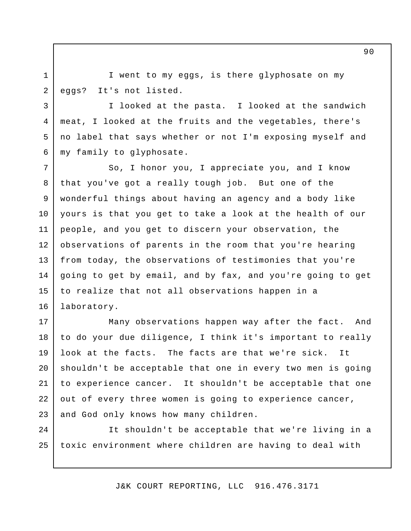I went to my eggs, is there glyphosate on my eggs? It's not listed.

1

2

3

4

5

6

 I looked at the pasta. I looked at the sandwich meat, I looked at the fruits and the vegetables, there's no label that says whether or not I'm exposing myself and my family to glyphosate.

 So, I honor you, I appreciate you, and I know that you've got a really tough job. But one of the wonderful things about having an agency and a body like yours is that you get to take a look at the health of our people, and you get to discern your observation, the observations of parents in the room that you're hearing from today, the observations of testimonies that you're going to get by email, and by fax, and you're going to get to realize that not all observations happen in a 7 8 9 10 11 12 13 14 15 16 laboratory.

 Many observations happen way after the fact. And to do your due diligence, I think it's important to really look at the facts. The facts are that we're sick. It shouldn't be acceptable that one in every two men is going to experience cancer. It shouldn't be acceptable that one out of every three women is going to experience cancer, and God only knows how many children. 17 18 19 20 21 22 23

 It shouldn't be acceptable that we're living in a toxic environment where children are having to deal with  $2.4$ 25

J&K COURT REPORTING, LLC 916.476.3171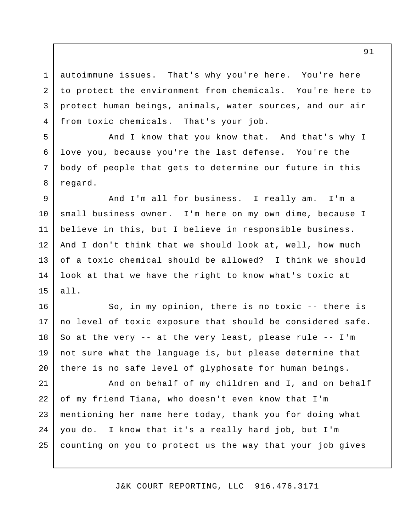autoimmune issues. That's why you're here. You're here to protect the environment from chemicals. You're here to protect human beings, animals, water sources, and our air from toxic chemicals. That's your job. 1 2 3 4

 And I know that you know that. And that's why I love you, because you're the last defense. You're the body of people that gets to determine our future in this regard.

5

6

7

8

 And I'm all for business. I really am. I'm a small business owner. I'm here on my own dime, because I believe in this, but I believe in responsible business. And I don't think that we should look at, well, how much of a toxic chemical should be allowed? I think we should look at that we have the right to know what's toxic at 9 10 11 12 13 14 15 all.

 So, in my opinion, there is no toxic -- there is no level of toxic exposure that should be considered safe. So at the very -- at the very least, please rule -- I'm not sure what the language is, but please determine that there is no safe level of glyphosate for human beings. 16 17 18 19 20

 And on behalf of my children and I, and on behalf of my friend Tiana, who doesn't even know that I'm mentioning her name here today, thank you for doing what you do. I know that it's a really hard job, but I'm counting on you to protect us the way that your job gives 21 22 23 24 25

J&K COURT REPORTING, LLC 916.476.3171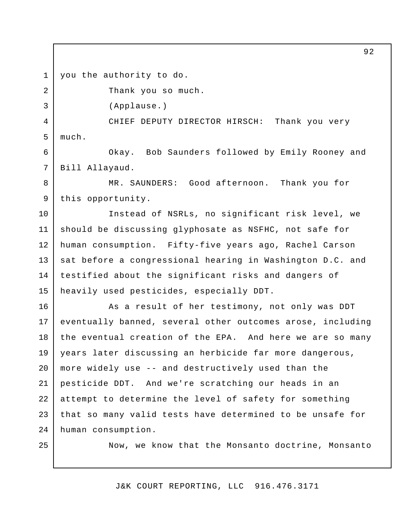you the authority to do. 1

2

3

4

5

Thank you so much.

(Applause.)

 CHIEF DEPUTY DIRECTOR HIRSCH: Thank you very much.

 Okay. Bob Saunders followed by Emily Rooney and 6 7 Bill Allayaud.

 MR. SAUNDERS: Good afternoon. Thank you for 8 9 this opportunity.

 Instead of NSRLs, no significant risk level, we should be discussing glyphosate as NSFHC, not safe for human consumption. Fifty-five years ago, Rachel Carson sat before a congressional hearing in Washington D.C. and testified about the significant risks and dangers of heavily used pesticides, especially DDT. 10 11 12 13 14 15

 As a result of her testimony, not only was DDT eventually banned, several other outcomes arose, including the eventual creation of the EPA. And here we are so many years later discussing an herbicide far more dangerous, more widely use -- and destructively used than the pesticide DDT. And we're scratching our heads in an attempt to determine the level of safety for something that so many valid tests have determined to be unsafe for 16 17 18 19 20 21 22 23 24 human consumption.

25

Now, we know that the Monsanto doctrine, Monsanto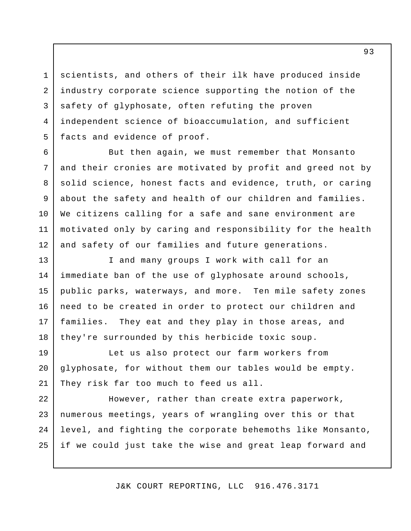scientists, and others of their ilk have produced inside industry corporate science supporting the notion of the safety of glyphosate, often refuting the proven independent science of bioaccumulation, and sufficient facts and evidence of proof.

1

2

3

4

5

6

7

8

9

10

11

12

 But then again, we must remember that Monsanto and their cronies are motivated by profit and greed not by solid science, honest facts and evidence, truth, or caring about the safety and health of our children and families. We citizens calling for a safe and sane environment are motivated only by caring and responsibility for the health and safety of our families and future generations.

 I and many groups I work with call for an immediate ban of the use of glyphosate around schools, public parks, waterways, and more. Ten mile safety zones need to be created in order to protect our children and families. They eat and they play in those areas, and they're surrounded by this herbicide toxic soup. 13 14 15 16 17 18

 Let us also protect our farm workers from glyphosate, for without them our tables would be empty. They risk far too much to feed us all. 19 20 21

 However, rather than create extra paperwork, numerous meetings, years of wrangling over this or that level, and fighting the corporate behemoths like Monsanto, if we could just take the wise and great leap forward and 22 23 24 25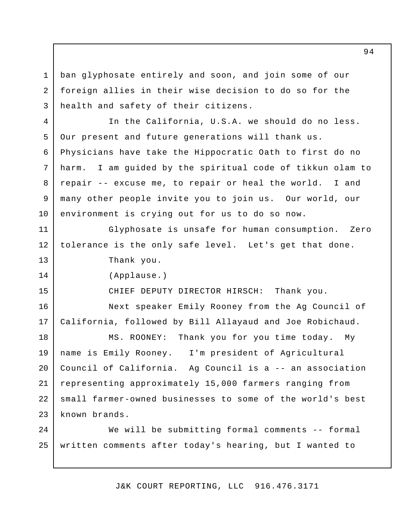ban glyphosate entirely and soon, and join some of our foreign allies in their wise decision to do so for the health and safety of their citizens. 1 2 3

 In the California, U.S.A. we should do no less. Our present and future generations will thank us. Physicians have take the Hippocratic Oath to first do no harm. repair -- excuse me, to repair or heal the world. I and many other people invite you to join us. Our world, our environment is crying out for us to do so now. 4 5 6 7 8 9 10 I am guided by the spiritual code of tikkun olam to

 Glyphosate is unsafe for human consumption. Zero tolerance is the only safe level. Let's get that done. 11 12 13 Thank you.

(Applause.)

14

15

CHIEF DEPUTY DIRECTOR HIRSCH: Thank you.

 Next speaker Emily Rooney from the Ag Council of California, followed by Bill Allayaud and Joe Robichaud. 16 17

 MS. ROONEY: Thank you for you time today. My name is Emily Rooney. Council of California. representing approximately 15,000 farmers ranging from small farmer-owned businesses to some of the world's best known brands. 18 19 20 21 22 23 I'm president of Agricultural Ag Council is a  $-$  an association

 We will be submitting formal comments -- formal written comments after today's hearing, but I wanted to 24 25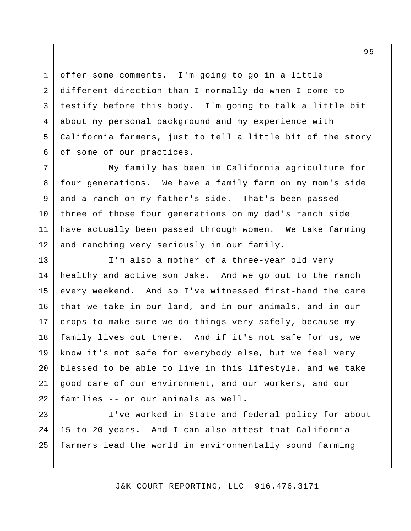offer some comments. I'm going to go in a little different direction than I normally do when I come to testify before this body. I'm going to talk a little bit about my personal background and my experience with California farmers, just to tell a little bit of the story of some of our practices.

1

2

3

4

5

6

 My family has been in California agriculture for four generations. We have a family farm on my mom's side and a ranch on my father's side. That's been passed - three of those four generations on my dad's ranch side have actually been passed through women. We take farming and ranching very seriously in our family. 7 8 9 10 11 12

 I'm also a mother of a three-year old very healthy and active son Jake. And we go out to the ranch every weekend. that we take in our land, and in our animals, and in our crops to make sure we do things very safely, because my family lives out there. And if it's not safe for us, we know it's not safe for everybody else, but we feel very blessed to be able to live in this lifestyle, and we take good care of our environment, and our workers, and our families -- or our animals as well. 13 14 15 16 17 18 19 20 21 22 And so I've witnessed first-hand the care

 I've worked in State and federal policy for about 15 to 20 years. farmers lead the world in environmentally sound farming 23 24 25 And I can also attest that California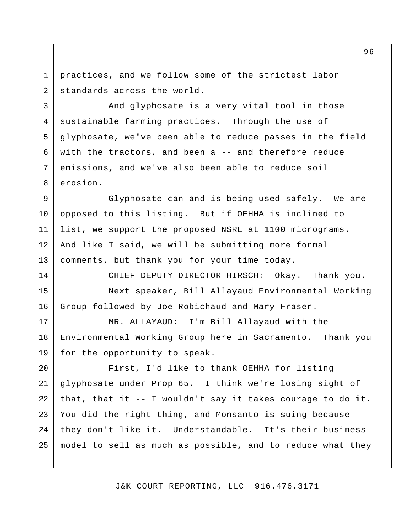practices, and we follow some of the strictest labor standards across the world. 1 2

3

4

5

6

7

8

14

 And glyphosate is a very vital tool in those sustainable farming practices. Through the use of glyphosate, we've been able to reduce passes in the field with the tractors, and been a -- and therefore reduce emissions, and we've also been able to reduce soil erosion.

 Glyphosate can and is being used safely. We are opposed to this listing. But if OEHHA is inclined to list, we support the proposed NSRL at 1100 micrograms. And like I said, we will be submitting more formal comments, but thank you for your time today. 9 10 11 12 13

CHIEF DEPUTY DIRECTOR HIRSCH: Okay. Thank you.

 Next speaker, Bill Allayaud Environmental Working Group followed by Joe Robichaud and Mary Fraser. 15 16

 MR. ALLAYAUD: I'm Bill Allayaud with the Environmental Working Group here in Sacramento. Thank you for the opportunity to speak. 17 18 19

 First, I'd like to thank OEHHA for listing glyphosate under Prop 65. I think we're losing sight of that, that it -- I wouldn't say it takes courage to do it. You did the right thing, and Monsanto is suing because they don't like it. Understandable. It's their business model to sell as much as possible, and to reduce what they 20 21 22 23 24 25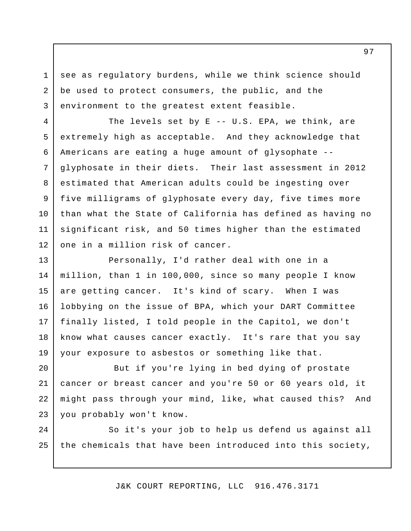see as regulatory burdens, while we think science should be used to protect consumers, the public, and the environment to the greatest extent feasible.

1

2

3

The levels set by E -- U.S. EPA, we think, are extremely high as acceptable. And they acknowledge that Americans are eating a huge amount of glysophate - glyphosate in their diets. Their last assessment in 2012 estimated that American adults could be ingesting over five milligrams of glyphosate every day, five times more than what the State of California has defined as having no significant risk, and 50 times higher than the estimated one in a million risk of cancer. 4 5 6 7 8 9 10 11 12

 Personally, I'd rather deal with one in a million, than 1 in 100,000, since so many people I know are getting cancer. It's kind of scary. When I was lobbying on the issue of BPA, which your DART Committee finally listed, I told people in the Capitol, we don't know what causes cancer exactly. It's rare that you say your exposure to asbestos or something like that. 13 14 15 16 17 18 19

 But if you're lying in bed dying of prostate cancer or breast cancer and you're 50 or 60 years old, it might pass through your mind, like, what caused this? And you probably won't know. 20 21 22 23

 So it's your job to help us defend us against all the chemicals that have been introduced into this society, 24 25

J&K COURT REPORTING, LLC 916.476.3171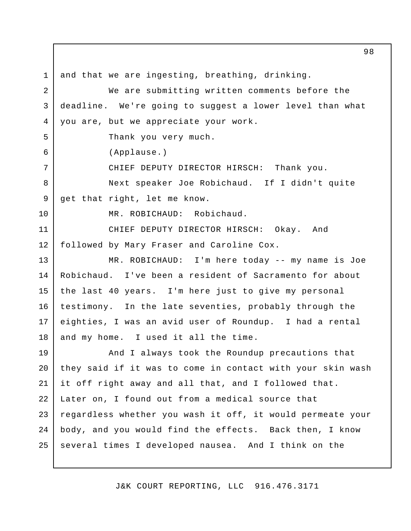and that we are ingesting, breathing, drinking. We are submitting written comments before the deadline. We're going to suggest a lower level than what you are, but we appreciate your work. Thank you very much. CHIEF DEPUTY DIRECTOR HIRSCH: Thank you. Next speaker Joe Robichaud. If I didn't quite get that right, let me know. MR. ROBICHAUD: Robichaud. CHIEF DEPUTY DIRECTOR HIRSCH: Okay. And followed by Mary Fraser and Caroline Cox. MR. ROBICHAUD: I'm here today -- my name is Joe Robichaud. I've been a resident of Sacramento for about the last 40 years. I'm here just to give my personal testimony. In the late seventies, probably through the eighties, I was an avid user of Roundup. I had a rental and my home. I used it all the time. And I always took the Roundup precautions that they said if it was to come in contact with your skin wash it off right away and all that, and I followed that. Later on, I found out from a medical source that regardless whether you wash it off, it would permeate your body, and you would find the effects. Back then, I know several times I developed nausea. And I think on the 1 2 3 4 5 6 7 8 9 10 11 12 13 14 15 16 17 18 19 20 21 22 23 24 25 (Applause.)

J&K COURT REPORTING, LLC 916.476.3171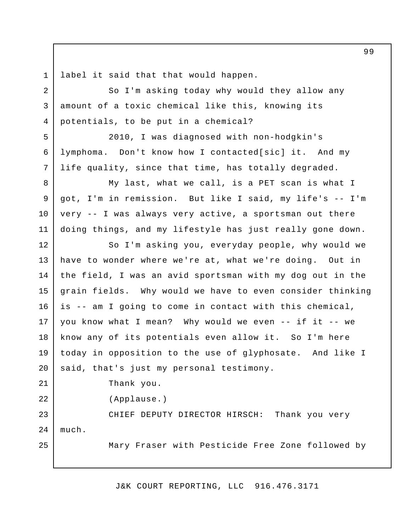label it said that that would happen. 1

 So I'm asking today why would they allow any amount of a toxic chemical like this, knowing its potentials, to be put in a chemical? 2 3 4

 2010, I was diagnosed with non-hodgkin's lymphoma. Don't know how I contacted[sic] it. And my life quality, since that time, has totally degraded.

 My last, what we call, is a PET scan is what I got, I'm in remission. But like I said, my life's -- I'm very -- I was always very active, a sportsman out there doing things, and my lifestyle has just really gone down. 11

 So I'm asking you, everyday people, why would we have to wonder where we're at, what we're doing. Out in the field, I was an avid sportsman with my dog out in the grain fields. Why would we have to even consider thinking is -- am I going to come in contact with this chemical, you know what I mean? Why would we even -- if it -- we know any of its potentials even allow it. So I'm here today in opposition to the use of glyphosate. And like I said, that's just my personal testimony. 12 13 14 15 16 17 18 19 20

Thank you.

5

6

7

8

9

10

21

22

25

(Applause.)

 CHIEF DEPUTY DIRECTOR HIRSCH: Thank you very 23 24 much.

Mary Fraser with Pesticide Free Zone followed by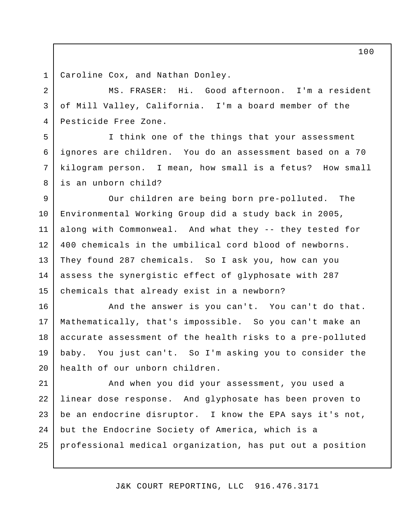Caroline Cox, and Nathan Donley. 1

2

3

4

5

6

7

8

 MS. FRASER: Hi. Good afternoon. I'm a resident of Mill Valley, California. I'm a board member of the Pesticide Free Zone.

 I think one of the things that your assessment ignores are children. You do an assessment based on a 70 kilogram person. I mean, how small is a fetus? How small is an unborn child?

 Our children are being born pre-polluted. The Environmental Working Group did a study back in 2005, along with Commonweal. And what they -- they tested for 400 chemicals in the umbilical cord blood of newborns. They found 287 chemicals. So I ask you, how can you assess the synergistic effect of glyphosate with 287 chemicals that already exist in a newborn? 9 10 11 12 13 14 15

 And the answer is you can't. You can't do that. Mathematically, that's impossible. So you can't make an accurate assessment of the health risks to a pre-polluted baby. You just can't. So I'm asking you to consider the health of our unborn children. 16 17 18 19 20

 And when you did your assessment, you used a linear dose response. And glyphosate has been proven to be an endocrine disruptor. I know the EPA says it's not, but the Endocrine Society of America, which is a professional medical organization, has put out a position 21 22 23 24 25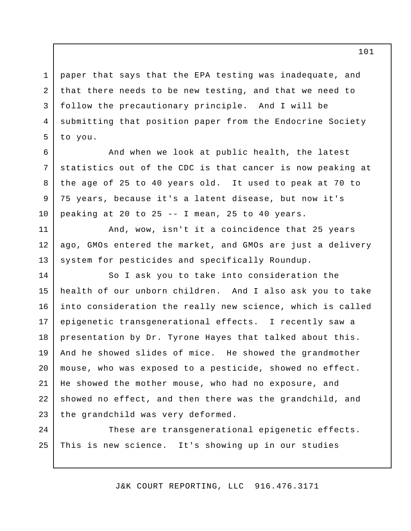paper that says that the EPA testing was inadequate, and that there needs to be new testing, and that we need to follow the precautionary principle. And I will be submitting that position paper from the Endocrine Society to you. 1 2 3 4 5

6

7

8

9

10

11

12

13

 And when we look at public health, the latest statistics out of the CDC is that cancer is now peaking at the age of 25 to 40 years old. It used to peak at 70 to 75 years, because it's a latent disease, but now it's peaking at 20 to 25 -- I mean, 25 to 40 years.

 And, wow, isn't it a coincidence that 25 years ago, GMOs entered the market, and GMOs are just a delivery system for pesticides and specifically Roundup.

 So I ask you to take into consideration the health of our unborn children. And I also ask you to take into consideration the really new science, which is called epigenetic transgenerational effects. I recently saw a presentation by Dr. Tyrone Hayes that talked about this. And he showed slides of mice. He showed the grandmother mouse, who was exposed to a pesticide, showed no effect. He showed the mother mouse, who had no exposure, and showed no effect, and then there was the grandchild, and the grandchild was very deformed. 14 15 16 17 18 19 20 21 22 23

 These are transgenerational epigenetic effects. This is new science. It's showing up in our studies 24 25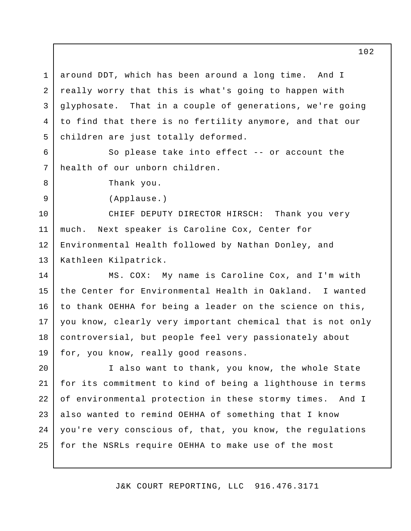around DDT, which has been around a long time. And I really worry that this is what's going to happen with qlyphosate. to find that there is no fertility anymore, and that our children are just totally deformed. 1 2 3 4 5 That in a couple of generations, we're going

 So please take into effect -- or account the health of our unborn children.

Thank you.

6

7

8

9

(Applause.)

 CHIEF DEPUTY DIRECTOR HIRSCH: Thank you very much. Next speaker is Caroline Cox, Center for Environmental Health followed by Nathan Donley, and 10 11 12 13 Kathleen Kilpatrick.

 MS. COX: My name is Caroline Cox, and I'm with the Center for Environmental Health in Oakland. I wanted to thank OEHHA for being a leader on the science on this, you know, clearly very important chemical that is not only controversial, but people feel very passionately about for, you know, really good reasons. 14 15 16 17 18 19

 I also want to thank, you know, the whole State for its commitment to kind of being a lighthouse in terms of environmental protection in these stormy times. And I also wanted to remind OEHHA of something that I know you're very conscious of, that, you know, the regulations for the NSRLs require OEHHA to make use of the most 20 21 22 23 24 25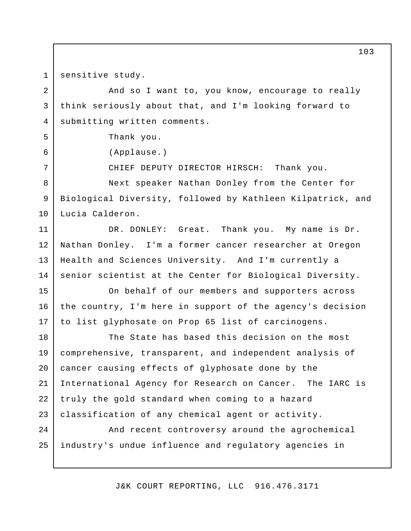sensitive study. 1

2

3

4

5

6

7

 And so I want to, you know, encourage to really think seriously about that, and I'm looking forward to submitting written comments.

Thank you.

(Applause.)

CHIEF DEPUTY DIRECTOR HIRSCH: Thank you.

 Next speaker Nathan Donley from the Center for Biological Diversity, followed by Kathleen Kilpatrick, and 8 9 10 Lucia Calderon.

DR. DONLEY: Great. Nathan Donley. I'm a former cancer researcher at Oregon Health and Sciences University. And I'm currently a senior scientist at the Center for Biological Diversity. 11 12 13 14 Thank you. My name is Dr.

 On behalf of our members and supporters across the country, I'm here in support of the agency's decision to list glyphosate on Prop 65 list of carcinogens. 15 16 17

 The State has based this decision on the most comprehensive, transparent, and independent analysis of cancer causing effects of glyphosate done by the International Agency for Research on Cancer. The IARC is truly the gold standard when coming to a hazard classification of any chemical agent or activity. 18 19 20 21 22 23

 And recent controversy around the agrochemical industry's undue influence and regulatory agencies in 24 25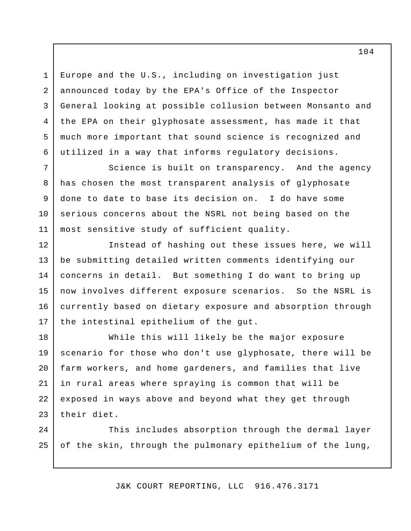Europe and the U.S., including on investigation just announced today by the EPA's Office of the Inspector General looking at possible collusion between Monsanto and the EPA on their glyphosate assessment, has made it that much more important that sound science is recognized and utilized in a way that informs regulatory decisions. 1 2 3 4 5 6

 Science is built on transparency. And the agency has chosen the most transparent analysis of glyphosate done to date to base its decision on. I do have some serious concerns about the NSRL not being based on the most sensitive study of sufficient quality. 7 8 9 10 11

 Instead of hashing out these issues here, we will be submitting detailed written comments identifying our concerns in detail. But something I do want to bring up now involves different exposure scenarios. So the NSRL is currently based on dietary exposure and absorption through the intestinal epithelium of the gut. 12 13 14 15 16 17

 While this will likely be the major exposure scenario for those who don't use glyphosate, there will be farm workers, and home gardeners, and families that live in rural areas where spraying is common that will be exposed in ways above and beyond what they get through their diet. 18 19 20 21 22 23

 This includes absorption through the dermal layer of the skin, through the pulmonary epithelium of the lung,  $2.4$ 25

J&K COURT REPORTING, LLC 916.476.3171

104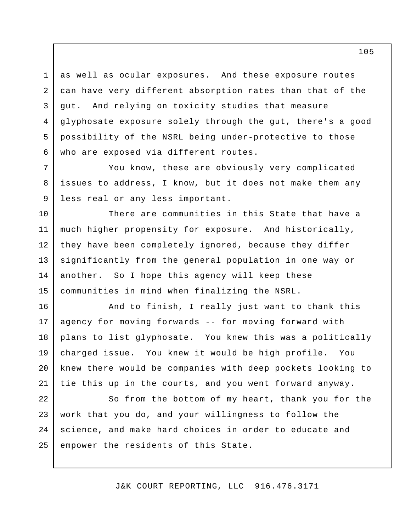as well as ocular exposures. And these exposure routes can have very different absorption rates than that of the qut. glyphosate exposure solely through the gut, there's a good possibility of the NSRL being under-protective to those who are exposed via different routes. 3 4 5 6 And relying on toxicity studies that measure

1

2

7

8

9

10

15

 You know, these are obviously very complicated issues to address, I know, but it does not make them any less real or any less important.

 There are communities in this State that have a much higher propensity for exposure. And historically, they have been completely ignored, because they differ significantly from the general population in one way or another. So I hope this agency will keep these communities in mind when finalizing the NSRL. 11 12 13 14

 And to finish, I really just want to thank this agency for moving forwards -- for moving forward with plans to list glyphosate. You knew this was a politically charged issue. You knew it would be high profile. You knew there would be companies with deep pockets looking to tie this up in the courts, and you went forward anyway. 16 17 18 19 20 21

 So from the bottom of my heart, thank you for the work that you do, and your willingness to follow the science, and make hard choices in order to educate and empower the residents of this State. 22 23 24 25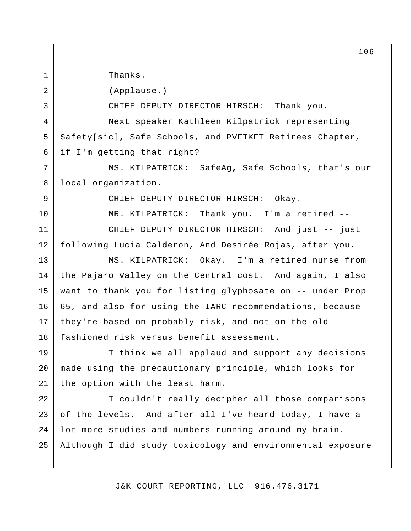Thanks.

1

2

3

4

5

6

7

8

9

10

(Applause.)

CHIEF DEPUTY DIRECTOR HIRSCH: Thank you.

 Next speaker Kathleen Kilpatrick representing Safety[sic], Safe Schools, and PVFTKFT Retirees Chapter, if I'm getting that right?

 MS. KILPATRICK: SafeAg, Safe Schools, that's our local organization.

CHIEF DEPUTY DIRECTOR HIRSCH: Okay.

MR. KILPATRICK: Thank you. I'm a retired -

 CHIEF DEPUTY DIRECTOR HIRSCH: And just -- just following Lucia Calderon, And Desirée Rojas, after you. 11 12

 MS. KILPATRICK: Okay. I'm a retired nurse from the Pajaro Valley on the Central cost. And again, I also want to thank you for listing glyphosate on -- under Prop 65, and also for using the IARC recommendations, because they're based on probably risk, and not on the old fashioned risk versus benefit assessment. 13 14 15 16 17 18

 I think we all applaud and support any decisions made using the precautionary principle, which looks for the option with the least harm. 19 20 21

 I couldn't really decipher all those comparisons of the levels. And after all I've heard today, I have a lot more studies and numbers running around my brain. Although I did study toxicology and environmental exposure 22 23 24 25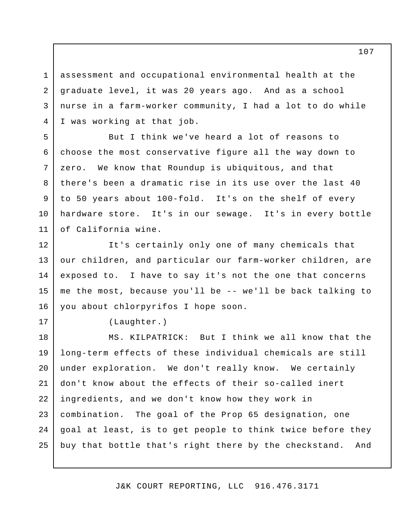assessment and occupational environmental health at the graduate level, it was 20 years ago. And as a school nurse in a farm-worker community, I had a lot to do while I was working at that job. 1 2 3 4

 But I think we've heard a lot of reasons to choose the most conservative figure all the way down to zero. We know that Roundup is ubiquitous, and that there's been a dramatic rise in its use over the last 40 to 50 years about 100-fold. It's on the shelf of every hardware store. It's in our sewage. It's in every bottle of California wine. 5 6 7 8 9 10 11

 It's certainly only one of many chemicals that our children, and particular our farm-worker children, are exposed to. I have to say it's not the one that concerns me the most, because you'll be -- we'll be back talking to you about chlorpyrifos I hope soon. 12 13 14 15 16

17

(Laughter.)

 MS. KILPATRICK: But I think we all know that the long-term effects of these individual chemicals are still under exploration. We don't really know. We certainly don't know about the effects of their so-called inert ingredients, and we don't know how they work in combination. The goal of the Prop 65 designation, one goal at least, is to get people to think twice before they buy that bottle that's right there by the checkstand. And 18 19 20 21 22 23 24 25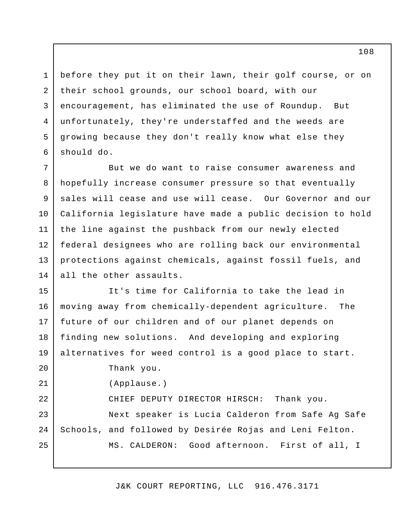before they put it on their lawn, their golf course, or on their school grounds, our school board, with our encouragement, has eliminated the use of Roundup. But unfortunately, they're understaffed and the weeds are growing because they don't really know what else they should do. 1 2 3 4 5 6

 But we do want to raise consumer awareness and hopefully increase consumer pressure so that eventually sales will cease and use will cease. Our Governor and our California legislature have made a public decision to hold the line against the pushback from our newly elected federal designees who are rolling back our environmental protections against chemicals, against fossil fuels, and all the other assaults. 7 8 9 10 11 12 13 14

 It's time for California to take the lead in moving away from chemically-dependent agriculture. The future of our children and of our planet depends on finding new solutions. And developing and exploring alternatives for weed control is a good place to start. Thank you. CHIEF DEPUTY DIRECTOR HIRSCH: Thank you. Next speaker is Lucia Calderon from Safe Ag Safe Schools, and followed by Desirée Rojas and Leni Felton. MS. CALDERON: Good afternoon. First of all, I 15 16 17 18 19 20 21 22 23 24 25 (Applause.)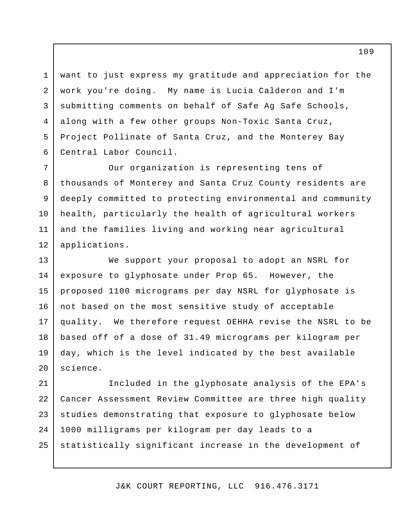want to just express my gratitude and appreciation for the work you're doing. My name is Lucia Calderon and I'm submitting comments on behalf of Safe Ag Safe Schools, along with a few other groups Non-Toxic Santa Cruz, Project Pollinate of Santa Cruz, and the Monterey Bay Central Labor Council. 1 2 3 4 5 6

 Our organization is representing tens of thousands of Monterey and Santa Cruz County residents are deeply committed to protecting environmental and community health, particularly the health of agricultural workers and the families living and working near agricultural 7 8 9 10 11 12 applications.

 We support your proposal to adopt an NSRL for exposure to glyphosate under Prop 65. However, the proposed 1100 micrograms per day NSRL for glyphosate is not based on the most sensitive study of acceptable quality. We therefore request OEHHA revise the NSRL to be based off of a dose of 31.49 micrograms per kilogram per day, which is the level indicated by the best available 13 14 15 16 17 18 19 20 science.

 Included in the glyphosate analysis of the EPA's Cancer Assessment Review Committee are three high quality studies demonstrating that exposure to glyphosate below 1000 milligrams per kilogram per day leads to a statistically significant increase in the development of 21 22 23 24 25

J&K COURT REPORTING, LLC 916.476.3171

109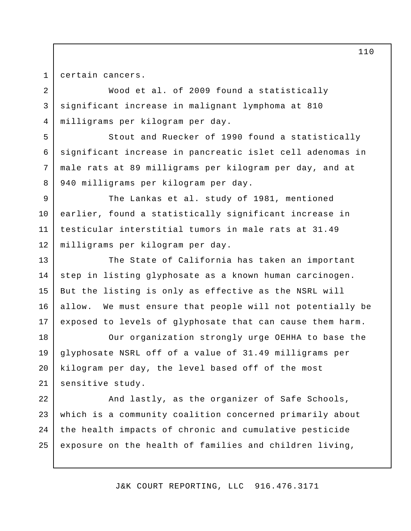1 2

3

4

5

6

7

8

certain cancers.

 Wood et al. of 2009 found a statistically significant increase in malignant lymphoma at 810 milligrams per kilogram per day.

 Stout and Ruecker of 1990 found a statistically significant increase in pancreatic islet cell adenomas in male rats at 89 milligrams per kilogram per day, and at 940 milligrams per kilogram per day.

 The Lankas et al. study of 1981, mentioned earlier, found a statistically significant increase in testicular interstitial tumors in male rats at 31.49 milligrams per kilogram per day. 9 10 11 12

 The State of California has taken an important step in listing glyphosate as a known human carcinogen. But the listing is only as effective as the NSRL will allow. We must ensure that people will not potentially be exposed to levels of glyphosate that can cause them harm. 13 14 15 16 17

 Our organization strongly urge OEHHA to base the glyphosate NSRL off of a value of 31.49 milligrams per kilogram per day, the level based off of the most sensitive study. 18 19 20 21

 And lastly, as the organizer of Safe Schools, which is a community coalition concerned primarily about the health impacts of chronic and cumulative pesticide exposure on the health of families and children living, 22 23 24 25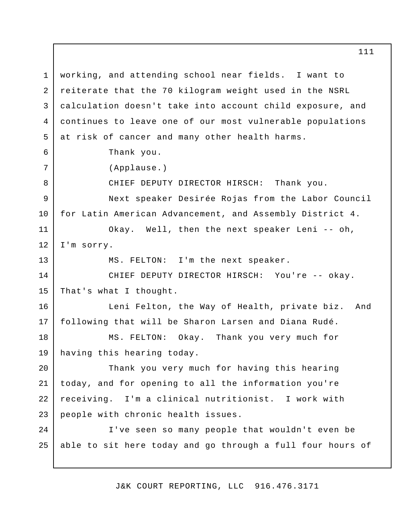working, and attending school near fields. I want to reiterate that the 70 kilogram weight used in the NSRL calculation doesn't take into account child exposure, and continues to leave one of our most vulnerable populations at risk of cancer and many other health harms. Thank you. CHIEF DEPUTY DIRECTOR HIRSCH: Thank you. Next speaker Desirée Rojas from the Labor Council for Latin American Advancement, and Assembly District 4. Okay. Well, then the next speaker Leni -- oh, I'm sorry. MS. FELTON: I'm the next speaker. CHIEF DEPUTY DIRECTOR HIRSCH: You're -- okay. That's what I thought. Leni Felton, the Way of Health, private biz. And following that will be Sharon Larsen and Diana Rudé. MS. FELTON: Okay. Thank you very much for having this hearing today. Thank you very much for having this hearing today, and for opening to all the information you're receiving. I'm a clinical nutritionist. I work with people with chronic health issues. I've seen so many people that wouldn't even be able to sit here today and go through a full four hours of 1 2 3 4 5 6 7 8 9 10 11 12 13 14 15 16 17 18 19 20 21 22 23 24 25 (Applause.)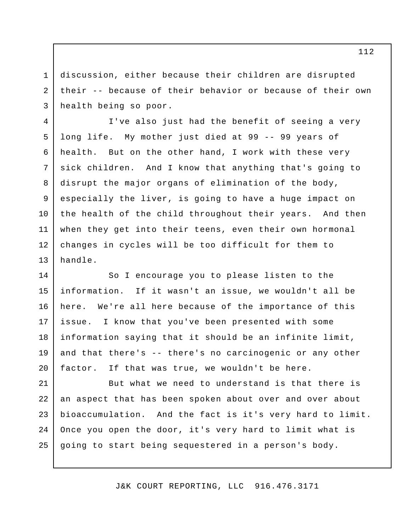discussion, either because their children are disrupted their -- because of their behavior or because of their own health being so poor. 3

1

2

 I've also just had the benefit of seeing a very long life. My mother just died at 99 -- 99 years of health. But on the other hand, I work with these very sick children. And I know that anything that's going to disrupt the major organs of elimination of the body, especially the liver, is going to have a huge impact on the health of the child throughout their years. And then when they get into their teens, even their own hormonal changes in cycles will be too difficult for them to 4 5 6 7 8 9 10 11 12 13 handle.

 So I encourage you to please listen to the information. here. We're all here because of the importance of this issue. information saying that it should be an infinite limit, and that there's -- there's no carcinogenic or any other factor. 14 15 16 17 18 19 20 If it wasn't an issue, we wouldn't all be I know that you've been presented with some If that was true, we wouldn't be here.

 But what we need to understand is that there is an aspect that has been spoken about over and over about bioaccumulation. And the fact is it's very hard to limit. Once you open the door, it's very hard to limit what is going to start being sequestered in a person's body. 21 22 23 24 25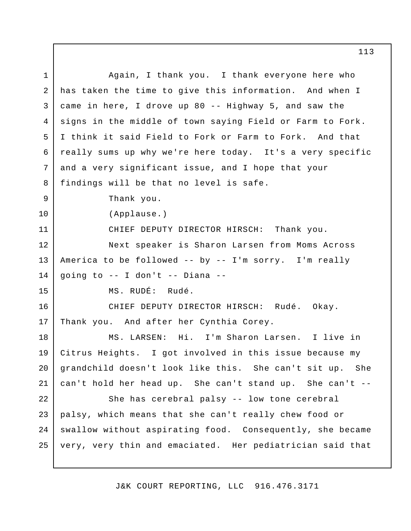Again, I thank you. I thank everyone here who has taken the time to give this information. And when I came in here, I drove up 80 -- Highway 5, and saw the signs in the middle of town saying Field or Farm to Fork. I think it said Field to Fork or Farm to Fork. And that really sums up why we're here today. It's a very specific and a very significant issue, and I hope that your findings will be that no level is safe. Thank you. CHIEF DEPUTY DIRECTOR HIRSCH: Thank you. Next speaker is Sharon Larsen from Moms Across America to be followed -- by -- I'm sorry. I'm really going to -- I don't -- Diana - MS. RUDÉ: Rudé. CHIEF DEPUTY DIRECTOR HIRSCH: Rudé. Okay. Thank you. And after her Cynthia Corey. MS. LARSEN: Hi. I'm Sharon Larsen. I live in Citrus Heights. I got involved in this issue because my grandchild doesn't look like this. She can't sit up. She can't hold her head up. She can't stand up. She can't - She has cerebral palsy -- low tone cerebral palsy, which means that she can't really chew food or swallow without aspirating food. Consequently, she became very, very thin and emaciated. Her pediatrician said that 1 2 3 4 5 6 7 8 9 10 11 12 13 14 15 16 17 18 19 20 21 22 23 24 25 (Applause.)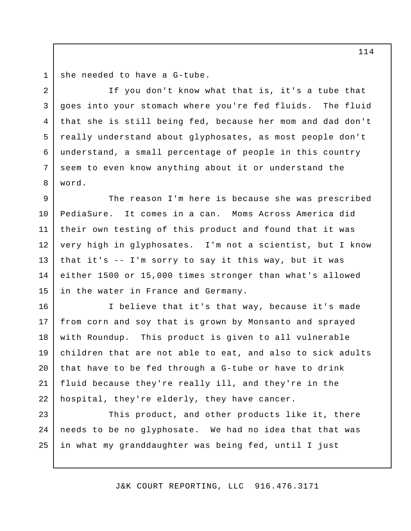she needed to have a G-tube. 1

 If you don't know what that is, it's a tube that goes into your stomach where you're fed fluids. The fluid that she is still being fed, because her mom and dad don't really understand about glyphosates, as most people don't understand, a small percentage of people in this country seem to even know anything about it or understand the 2 3 4 5 6 7 8 word.

 The reason I'm here is because she was prescribed PediaSure. It comes in a can. Moms Across America did their own testing of this product and found that it was very high in glyphosates. I'm not a scientist, but I know that it's -- I'm sorry to say it this way, but it was either 1500 or 15,000 times stronger than what's allowed in the water in France and Germany. 9 10 11 12 13 14 15

 I believe that it's that way, because it's made from corn and soy that is grown by Monsanto and sprayed with Roundup. This product is given to all vulnerable children that are not able to eat, and also to sick adults that have to be fed through a G-tube or have to drink fluid because they're really ill, and they're in the hospital, they're elderly, they have cancer. 16 17 18 19 20 21 22

 This product, and other products like it, there needs to be no glyphosate. We had no idea that that was in what my granddaughter was being fed, until I just 23 24 25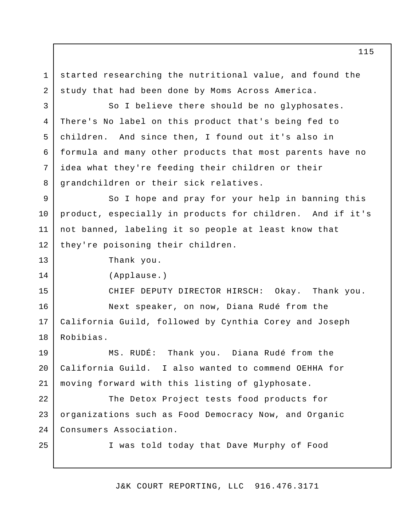started researching the nutritional value, and found the study that had been done by Moms Across America. 1 2

 So I believe there should be no glyphosates. There's No label on this product that's being fed to children. And since then, I found out it's also in formula and many other products that most parents have no idea what they're feeding their children or their grandchildren or their sick relatives. 3 4 5 6 7 8

 So I hope and pray for your help in banning this product, especially in products for children. And if it's not banned, labeling it so people at least know that they're poisoning their children. 9 10 11 12

Thank you.

(Applause.)

13

14

15

16

17

18

25

 CHIEF DEPUTY DIRECTOR HIRSCH: Okay. Thank you. Next speaker, on now, Diana Rudé from the California Guild, followed by Cynthia Corey and Joseph Robibias.

 MS. RUDÉ: Thank you. Diana Rudé from the California Guild. I also wanted to commend OEHHA for moving forward with this listing of glyphosate. 19 20 21

 The Detox Project tests food products for organizations such as Food Democracy Now, and Organic 22 23 24 Consumers Association.

I was told today that Dave Murphy of Food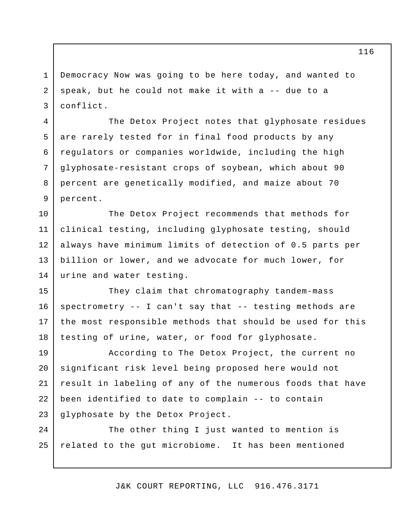Democracy Now was going to be here today, and wanted to speak, but he could not make it with a -- due to a 1 2 3 conflict.

4

5

6

7

8

9

 The Detox Project notes that glyphosate residues are rarely tested for in final food products by any regulators or companies worldwide, including the high glyphosate-resistant crops of soybean, which about 90 percent are genetically modified, and maize about 70 percent.

 The Detox Project recommends that methods for clinical testing, including glyphosate testing, should always have minimum limits of detection of 0.5 parts per billion or lower, and we advocate for much lower, for urine and water testing. 10 11 12 13 14

 They claim that chromatography tandem-mass spectrometry -- I can't say that -- testing methods are the most responsible methods that should be used for this testing of urine, water, or food for glyphosate. 15 16 17 18

 According to The Detox Project, the current no significant risk level being proposed here would not result in labeling of any of the numerous foods that have been identified to date to complain -- to contain glyphosate by the Detox Project. 19 20 21 22 23

 The other thing I just wanted to mention is related to the gut microbiome. It has been mentioned 24 25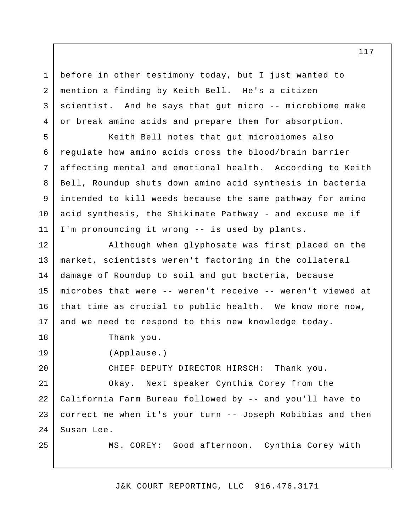before in other testimony today, but I just wanted to mention a finding by Keith Bell. He's a citizen scientist. And he says that gut micro -- microbiome make or break amino acids and prepare them for absorption.

 Keith Bell notes that gut microbiomes also regulate how amino acids cross the blood/brain barrier affecting mental and emotional health. According to Keith Bell, Roundup shuts down amino acid synthesis in bacteria intended to kill weeds because the same pathway for amino acid synthesis, the Shikimate Pathway - and excuse me if I'm pronouncing it wrong -- is used by plants.

 Although when glyphosate was first placed on the market, scientists weren't factoring in the collateral damage of Roundup to soil and gut bacteria, because microbes that were -- weren't receive -- weren't viewed at that time as crucial to public health. We know more now, and we need to respond to this new knowledge today. 12 13 14 15 16 17

Thank you.

1

2

3

4

5

6

7

8

9

10

11

18

19

20

25

(Applause.)

CHIEF DEPUTY DIRECTOR HIRSCH: Thank you.

 Okay. Next speaker Cynthia Corey from the California Farm Bureau followed by -- and you'll have to correct me when it's your turn -- Joseph Robibias and then 21 22 23 24 Susan Lee.

MS. COREY: Good afternoon. Cynthia Corey with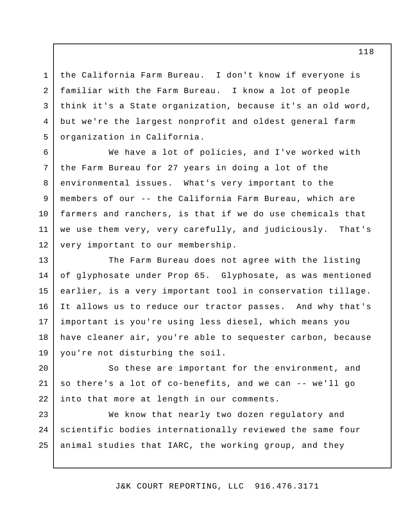the California Farm Bureau. I don't know if everyone is familiar with the Farm Bureau. I know a lot of people think it's a State organization, because it's an old word, but we're the largest nonprofit and oldest general farm organization in California. 4

1

2

3

5

6

7

8

9

10

11

12

 We have a lot of policies, and I've worked with the Farm Bureau for 27 years in doing a lot of the environmental issues. What's very important to the members of our -- the California Farm Bureau, which are farmers and ranchers, is that if we do use chemicals that we use them very, very carefully, and judiciously. That's very important to our membership.

 The Farm Bureau does not agree with the listing of glyphosate under Prop 65. Glyphosate, as was mentioned earlier, is a very important tool in conservation tillage. It allows us to reduce our tractor passes. And why that's important is you're using less diesel, which means you have cleaner air, you're able to sequester carbon, because you're not disturbing the soil. 13 14 15 16 17 18 19

 So these are important for the environment, and so there's a lot of co-benefits, and we can -- we'll go into that more at length in our comments. 20 21 22

 We know that nearly two dozen regulatory and scientific bodies internationally reviewed the same four animal studies that IARC, the working group, and they 23 24 25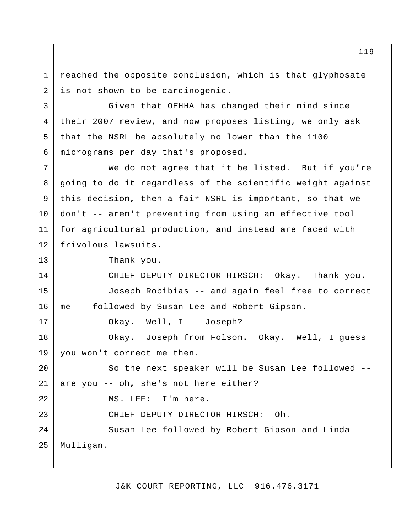reached the opposite conclusion, which is that glyphosate is not shown to be carcinogenic. 1 2

 Given that OEHHA has changed their mind since their 2007 review, and now proposes listing, we only ask that the NSRL be absolutely no lower than the 1100 micrograms per day that's proposed. 4

 We do not agree that it be listed. But if you're going to do it regardless of the scientific weight against this decision, then a fair NSRL is important, so that we don't -- aren't preventing from using an effective tool for agricultural production, and instead are faced with 7 8 9 10 11 12 frivolous lawsuits.

Thank you.

3

5

6

13

 CHIEF DEPUTY DIRECTOR HIRSCH: Okay. Thank you. Joseph Robibias -- and again feel free to correct me -- followed by Susan Lee and Robert Gipson. Okay. Well, I -- Joseph? Okay. Joseph from Folsom. Okay. Well, I guess you won't correct me then. So the next speaker will be Susan Lee followed - are you -- oh, she's not here either? MS. LEE: I'm here. CHIEF DEPUTY DIRECTOR HIRSCH: Oh. Susan Lee followed by Robert Gipson and Linda 14 15 16 17 18 19 20 21 22 23 24 25 Mulligan.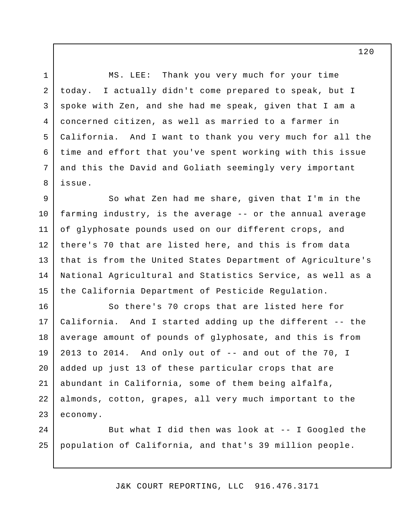MS. LEE: today. spoke with Zen, and she had me speak, given that I am a concerned citizen, as well as married to a farmer in California. And I want to thank you very much for all the time and effort that you've spent working with this issue and this the David and Goliath seemingly very important 3 4 5 Thank you very much for your time I actually didn't come prepared to speak, but I issue.

1

2

6

7

8

 So what Zen had me share, given that I'm in the farming industry, is the average -- or the annual average of glyphosate pounds used on our different crops, and there's 70 that are listed here, and this is from data that is from the United States Department of Agriculture's National Agricultural and Statistics Service, as well as a the California Department of Pesticide Regulation. 9 10 11 12 13 14 15

 So there's 70 crops that are listed here for California. And I started adding up the different -- the average amount of pounds of glyphosate, and this is from 2013 to 2014. And only out of -- and out of the 70, I added up just 13 of these particular crops that are abundant in California, some of them being alfalfa, almonds, cotton, grapes, all very much important to the 16 17 18 19 20 21 22 23 economy.

 But what I did then was look at -- I Googled the population of California, and that's 39 million people. 24 25

J&K COURT REPORTING, LLC 916.476.3171

120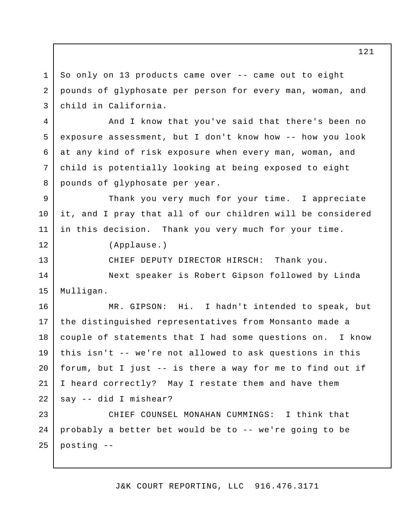So only on 13 products came over -- came out to eight pounds of glyphosate per person for every man, woman, and child in California. And I know that you've said that there's been no exposure assessment, but I don't know how -- how you look at any kind of risk exposure when every man, woman, and child is potentially looking at being exposed to eight pounds of glyphosate per year. Thank you very much for your time. I appreciate it, and I pray that all of our children will be considered in this decision. Thank you very much for your time. CHIEF DEPUTY DIRECTOR HIRSCH: Thank you. Next speaker is Robert Gipson followed by Linda MR. GIPSON: Hi. I hadn't intended to speak, but the distinguished representatives from Monsanto made a couple of statements that I had some questions on. I know this isn't -- we're not allowed to ask questions in this forum, but I just -- is there a way for me to find out if I heard correctly? May I restate them and have them say -- did I mishear? CHIEF COUNSEL MONAHAN CUMMINGS: I think that probably a better bet would be to -- we're going to be posting - 1 2 3 4 5 6 7 8 9 10 11 12 13 14 15 16 17 18 19 20 21 22 23 24 25 (Applause.) Mulligan.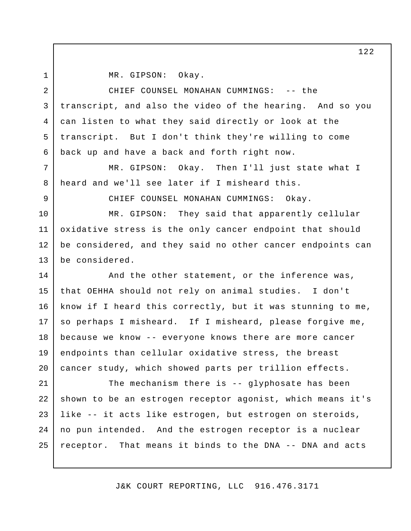1 2

5

6

7

8

MR. GIPSON: Okay.

 CHIEF COUNSEL MONAHAN CUMMINGS: -- the transcript, and also the video of the hearing. And so you can listen to what they said directly or look at the transcript. But I don't think they're willing to come back up and have a back and forth right now. 3 4

 MR. GIPSON: Okay. Then I'll just state what I heard and we'll see later if I misheard this.

9

CHIEF COUNSEL MONAHAN CUMMINGS: Okay.

 MR. GIPSON: They said that apparently cellular oxidative stress is the only cancer endpoint that should be considered, and they said no other cancer endpoints can 10 11 12 13 be considered.

 And the other statement, or the inference was, that OEHHA should not rely on animal studies. I don't know if I heard this correctly, but it was stunning to me, so perhaps I misheard. If I misheard, please forgive me, because we know -- everyone knows there are more cancer endpoints than cellular oxidative stress, the breast cancer study, which showed parts per trillion effects. 14 15 16 17 18 19 20

 The mechanism there is -- glyphosate has been shown to be an estrogen receptor agonist, which means it's like -- it acts like estrogen, but estrogen on steroids, no pun intended. And the estrogen receptor is a nuclear receptor. That means it binds to the DNA -- DNA and acts 21 22 23 24 25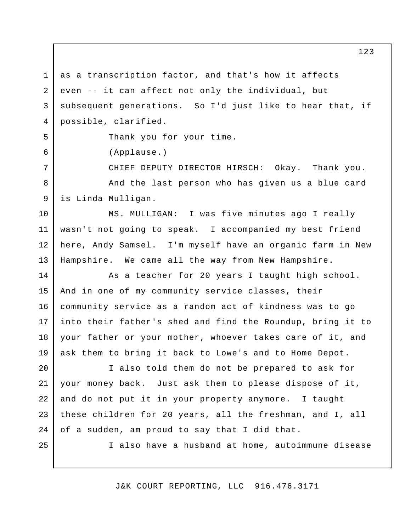as a transcription factor, and that's how it affects even -- it can affect not only the individual, but subsequent generations. So I'd just like to hear that, if 1 2 3 4 possible, clarified.

Thank you for your time.

(Applause.)

 CHIEF DEPUTY DIRECTOR HIRSCH: Okay. Thank you. And the last person who has given us a blue card is Linda Mulligan. 7 8 9

 MS. MULLIGAN: I was five minutes ago I really wasn't not going to speak. I accompanied my best friend here, Andy Samsel. I'm myself have an organic farm in New Hampshire. We came all the way from New Hampshire. 10 11 12 13

 As a teacher for 20 years I taught high school. And in one of my community service classes, their community service as a random act of kindness was to go into their father's shed and find the Roundup, bring it to your father or your mother, whoever takes care of it, and ask them to bring it back to Lowe's and to Home Depot. 14 15 16 17 18 19

 I also told them do not be prepared to ask for your money back. Just ask them to please dispose of it, and do not put it in your property anymore. I taught these children for 20 years, all the freshman, and I, all of a sudden, am proud to say that I did that. 20 21 22 23 24

25

5

6

I also have a husband at home, autoimmune disease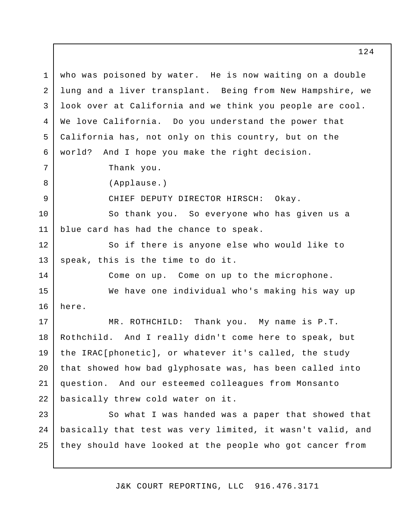who was poisoned by water. He is now waiting on a double lung and a liver transplant. Being from New Hampshire, we look over at California and we think you people are cool. We love California. Do you understand the power that California has, not only on this country, but on the world? Thank you. CHIEF DEPUTY DIRECTOR HIRSCH: Okay. So thank you. So everyone who has given us a blue card has had the chance to speak. So if there is anyone else who would like to speak, this is the time to do it. Come on up. Come on up to the microphone. We have one individual who's making his way up MR. ROTHCHILD: Thank you. My name is P.T. Rothchild. And I really didn't come here to speak, but the IRAC[phonetic], or whatever it's called, the study that showed how bad glyphosate was, has been called into question. And our esteemed colleagues from Monsanto basically threw cold water on it. So what I was handed was a paper that showed that basically that test was very limited, it wasn't valid, and they should have looked at the people who got cancer from 1 2 3 4 5 6 7 8 9 10 11 12 13 14 15 16 17 18 19 20 21 22 23 24 25 And I hope you make the right decision. (Applause.) here.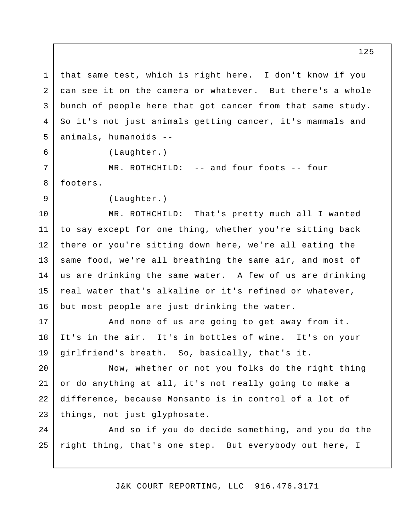that same test, which is right here. I don't know if you can see it on the camera or whatever. But there's a whole bunch of people here that got cancer from that same study. So it's not just animals getting cancer, it's mammals and animals, humanoids - 1 2 3 4 5

(Laughter.)

6

7

8

9

 MR. ROTHCHILD: -- and four foots -- four footers.

(Laughter.)

 MR. ROTHCHILD: That's pretty much all I wanted to say except for one thing, whether you're sitting back there or you're sitting down here, we're all eating the same food, we're all breathing the same air, and most of us are drinking the same water. A few of us are drinking real water that's alkaline or it's refined or whatever, but most people are just drinking the water. 10 11 12 13 14 15 16

 And none of us are going to get away from it. It's in the air. It's in bottles of wine. It's on your girlfriend's breath. So, basically, that's it. 17 18 19

 Now, whether or not you folks do the right thing or do anything at all, it's not really going to make a difference, because Monsanto is in control of a lot of things, not just glyphosate. 20 21 22 23

 And so if you do decide something, and you do the right thing, that's one step. But everybody out here, I 24 25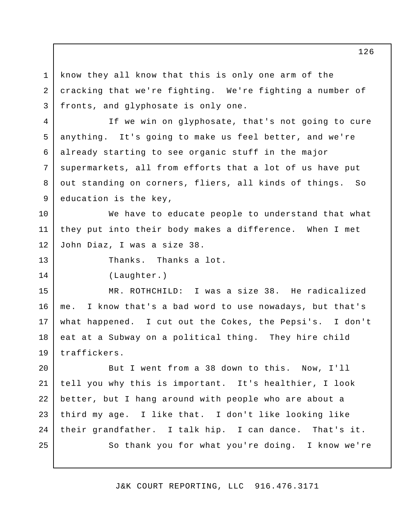know they all know that this is only one arm of the cracking that we're fighting. We're fighting a number of fronts, and glyphosate is only one. 1 2 3

 If we win on glyphosate, that's not going to cure anything. It's going to make us feel better, and we're already starting to see organic stuff in the major supermarkets, all from efforts that a lot of us have put out standing on corners, fliers, all kinds of things. So education is the key, 4 5 6 7 8 9

 We have to educate people to understand that what they put into their body makes a difference. When I met John Diaz, I was a size 38. 10 11 12

Thanks. Thanks a lot.

(Laughter.)

13

14

MR. ROTHCHILD: me. what happened. I cut out the Cokes, the Pepsi's. I don't eat at a Subway on a political thing. They hire child 15 16 17 18 19 I was a size 38. He radicalized I know that's a bad word to use nowadays, but that's traffickers.

 But I went from a 38 down to this. Now, I'll tell you why this is important. It's healthier, I look better, but I hang around with people who are about a third my age. I like that. I don't like looking like their grandfather. I talk hip. I can dance. That's it. So thank you for what you're doing. I know we're 20 21 22 23 24 25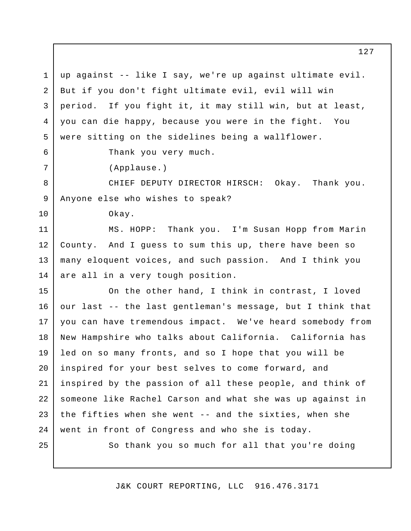up against -- like I say, we're up against ultimate evil. But if you don't fight ultimate evil, evil will win period. If you fight it, it may still win, but at least, you can die happy, because you were in the fight. You were sitting on the sidelines being a wallflower. 1 2 3 4 5

6

7

10

Thank you very much.

(Applause.)

 CHIEF DEPUTY DIRECTOR HIRSCH: Okay. Thank you. Anyone else who wishes to speak? 8 9

Okay.

MS. HOPP: County. And I guess to sum this up, there have been so many eloquent voices, and such passion. And I think you are all in a very tough position. 11 12 13 14 Thank you. I'm Susan Hopp from Marin

 On the other hand, I think in contrast, I loved our last -- the last gentleman's message, but I think that you can have tremendous impact. We've heard somebody from New Hampshire who talks about California. California has led on so many fronts, and so I hope that you will be inspired for your best selves to come forward, and inspired by the passion of all these people, and think of someone like Rachel Carson and what she was up against in the fifties when she went -- and the sixties, when she went in front of Congress and who she is today. 15 16 17 18 19 20 21 22 23 24

25

So thank you so much for all that you're doing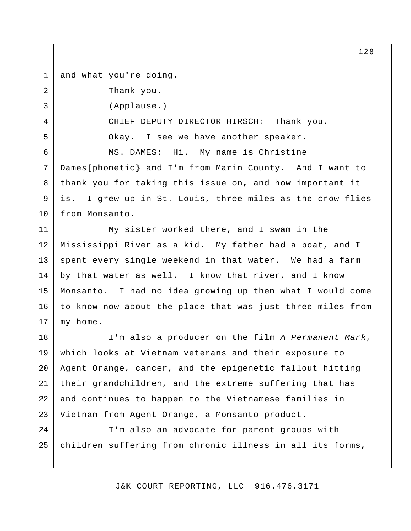and what you're doing. 1

2

3

4

5

6

Thank you.

(Applause.)

 CHIEF DEPUTY DIRECTOR HIRSCH: Thank you. Okay. I see we have another speaker. MS. DAMES: Hi. My name is Christine

 Dames[phonetic} and I'm from Marin County. And I want to thank you for taking this issue on, and how important it is. 7 8 9 10 I grew up in St. Louis, three miles as the crow flies from Monsanto.

 My sister worked there, and I swam in the Mississippi River as a kid. My father had a boat, and I spent every single weekend in that water. We had a farm by that water as well. I know that river, and I know Monsanto. I had no idea growing up then what I would come to know now about the place that was just three miles from my home. 11 12 13 14 15 16 17

 I'm also a producer on the film *A Permanent Mark*, which looks at Vietnam veterans and their exposure to Agent Orange, cancer, and the epigenetic fallout hitting their grandchildren, and the extreme suffering that has and continues to happen to the Vietnamese families in Vietnam from Agent Orange, a Monsanto product. 18 19 20 21 22 23

 I'm also an advocate for parent groups with children suffering from chronic illness in all its forms,  $2.4$ 25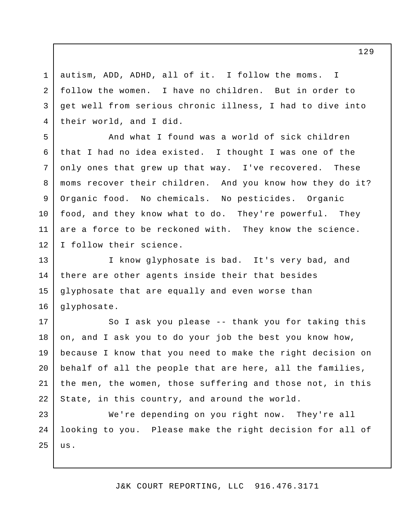autism, ADD, ADHD, all of it. I follow the moms. follow the women. I have no children. But in order to get well from serious chronic illness, I had to dive into their world, and I did. I

1

2

3

4

5

6

7

8

9

10

11

12

 And what I found was a world of sick children that I had no idea existed. I thought I was one of the only ones that grew up that way. I've recovered. These moms recover their children. And you know how they do it? Organic food. No chemicals. No pesticides. Organic food, and they know what to do. They're powerful. They are a force to be reckoned with. They know the science. I follow their science.

 I know glyphosate is bad. It's very bad, and there are other agents inside their that besides glyphosate that are equally and even worse than 13 14 15 16 glyphosate.

 So I ask you please -- thank you for taking this on, and I ask you to do your job the best you know how, because I know that you need to make the right decision on behalf of all the people that are here, all the families, the men, the women, those suffering and those not, in this State, in this country, and around the world. 17 18 19 20 21 22

 We're depending on you right now. They're all looking to you. Please make the right decision for all of 23 24 25 us.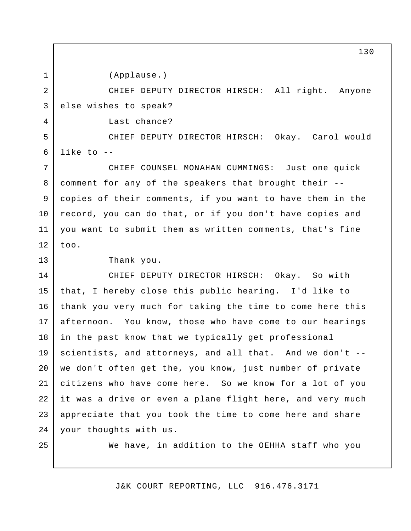(Applause.)

 CHIEF DEPUTY DIRECTOR HIRSCH: All right. Anyone 2 3 else wis hes to speak?

Last chance?

 CHIEF DEPUTY DIRECTOR HIRSCH: Okay. Carol would 5 6 like to -

 CHIEF COUNSEL MONAHAN CUMMINGS: Just one quick comment for any of the speakers that brought their - copies of their comments, if you want to have them in the record, you can do that, or if you don't have copies and you want to submit them as written comments, that's fine 7 8 9 10 11 12 too.

13

1

4

Thank you.

 CHIEF DEPUTY DIRECTOR HIRSCH: Okay. So with that, I hereby close this public hearing. I'd like to thank you very much for taking the time to come here this afternoon. in the past know that we typically get professional scientists, and attorneys, and all that. And we don't - we don't often get the, you know, just number of private citizens who have come here. So we know for a lot of you it was a drive or even a plane flight here, and very much appreciate that you took the time to come here and share your thoughts with us. 14 15 16 17 18 19 20 21 22 23 24 You know, those who have come to our hearings

25

We have, in addition to the OEHHA staff who you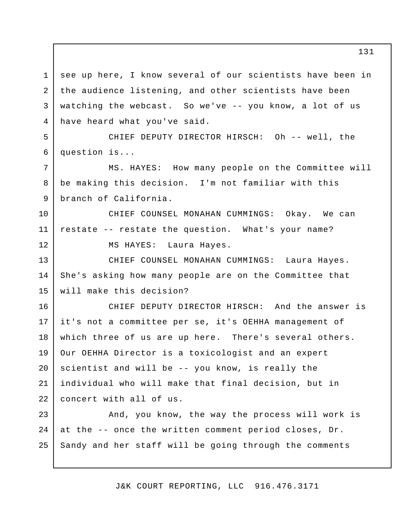see up here, I know several of our scientists have been in the audience listening, and other scientists have been watching the webcast. So we've -- you know, a lot of us have heard what you've said. 1 2 3 4

 CHIEF DEPUTY DIRECTOR HIRSCH: Oh -- well, the 5 6 question is...

 MS. HAYES: How many people on the Committee will be making this decision. I'm not familiar with this branch of California.

 CHIEF COUNSEL MONAHAN CUMMINGS: Okay. We can restate -- restate the question. What's your name? MS HAYES: 10 11 12 Laura Hayes.

7

8

9

 CHIEF COUNSEL MONAHAN CUMMINGS: Laura Hayes. She's asking how many people are on the Committee that will make this decision? 13 14 15

 CHIEF DEPUTY DIRECTOR HIRSCH: And the answer is it's not a committee per se, it's OEHHA management of which three of us are up here. There's several others. Our OEHHA Director is a toxicologist and an expert scientist and will be -- you know, is really the individual who will make that final decision, but in concert with all of us. 16 17 18 19 20 21 22

 And, you know, the way the process will work is at the -- once the written comment period closes, Dr. Sandy and her staff will be going through the comments 23 24 25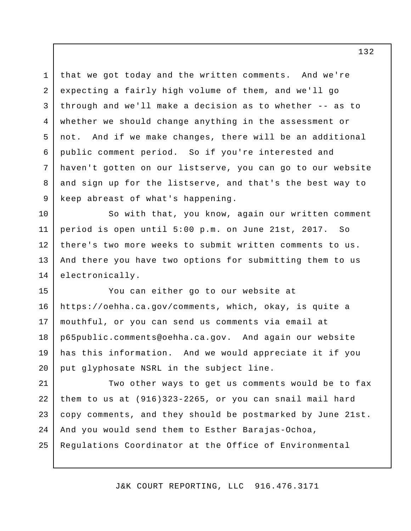that we got today and the written comments. And we're expecting a fairly high volume of them, and we'll go through and we'll make a decision as to whether -- as to whether we should change anything in the assessment or not. And if we make changes, there will be an additional public comment period. So if you're interested and haven't gotten on our listserve, you can go to our website and sign up for the listserve, and that's the best way to keep abreast of what's happening. 1 2 3 4 5 6 7 8 9

 So with that, you know, again our written comment period is open until 5:00 p.m. on June 21st, 2017. So there's two more weeks to submit written comments to us. And there you have two options for submitting them to us 10 11 12 13 14 electronically.

 You can either go to our website at <https://oehha.ca.gov/comments>, which, okay, is quite a mouthful, or you can send us comments via email at [p65public.comments@oehha.ca.gov](mailto:p65public.comments@oehha.ca.gov). And again our website has this information. And we would appreciate it if you put glyphosate NSRL in the subject line. 15 16 17 18 19 20

 Two other ways to get us comments would be to fax them to us at (916)323-2265, or you can snail mail hard copy comments, and they should be postmarked by June 21st. And you would send them to Esther Barajas-Ochoa, Regulations Coordinator at the Office of Environmental 21 22 23 24 25

J&K COURT REPORTING, LLC 916.476.3171

132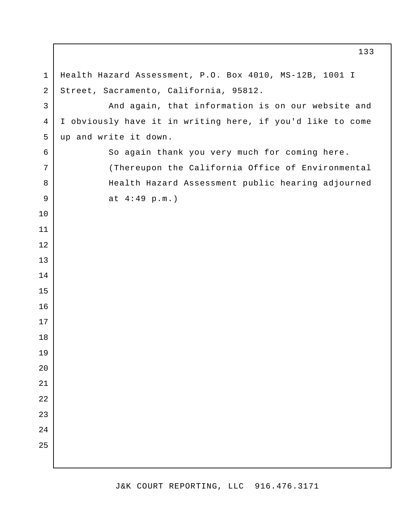Health Hazard Assessment, P.O. Box 4010, MS-12B, 1001 I Street, Sacramento, California, 95812. And again, that information is on our website and I obviously have it in writing here, if you'd like to come up and write it down. So again thank you very much for coming here. (Thereupon the California Office of Environmental Health Hazard Assessment public hearing adjourned at 4:49 p.m.)